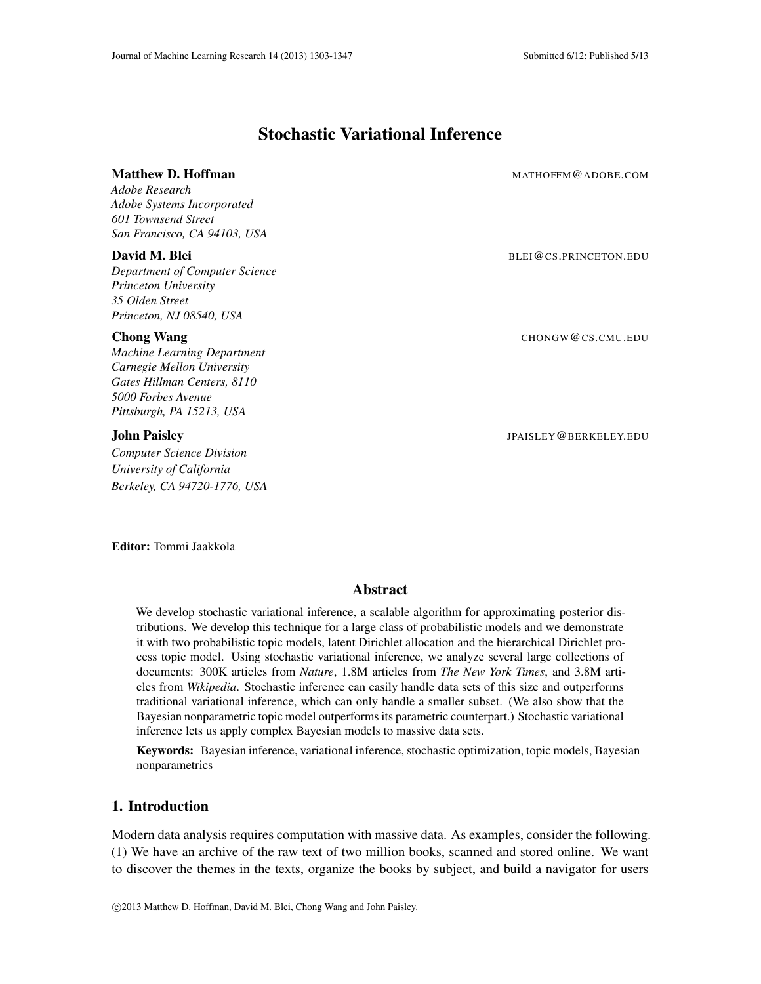## Stochastic Variational Inference

# Matthew D. Hoffman MATHOFFM @ADOBE.COM

*Adobe Research Adobe Systems Incorporated 601 Townsend Street San Francisco, CA 94103, USA*

*Department of Computer Science Princeton University 35 Olden Street Princeton, NJ 08540, USA*

*Machine Learning Department Carnegie Mellon University Gates Hillman Centers, 8110 5000 Forbes Avenue Pittsburgh, PA 15213, USA*

*Computer Science Division University of California Berkeley, CA 94720-1776, USA*

**David M. Blei** BLEI@CS.PRINCETON.EDU

**Chong Wang** CHONGW **CHONGW CHONGW CONGW CONGW** CHONGW **CHONGW** CHONGW **CHONGW** CHONGW **CHONGW** CHONGW **CHONGW** CHONGW **CHONGW** CHONGW **CHONGW** CHONGW **CHONGW** CHONGW **CHONGW** CHONGW **CHONGW** CHONGW **CHONGW** CHONGW **CHONGW** 

**John Paisley Jean Community Community Community Community Community Community Community Community Community Community Community Community Community Community Community Community Community Community Community Community C** 

Editor: Tommi Jaakkola

### Abstract

We develop stochastic variational inference, a scalable algorithm for approximating posterior distributions. We develop this technique for a large class of probabilistic models and we demonstrate it with two probabilistic topic models, latent Dirichlet allocation and the hierarchical Dirichlet process topic model. Using stochastic variational inference, we analyze several large collections of documents: 300K articles from *Nature*, 1.8M articles from *The New York Times*, and 3.8M articles from *Wikipedia*. Stochastic inference can easily handle data sets of this size and outperforms traditional variational inference, which can only handle a smaller subset. (We also show that the Bayesian nonparametric topic model outperforms its parametric counterpart.) Stochastic variational inference lets us apply complex Bayesian models to massive data sets.

Keywords: Bayesian inference, variational inference, stochastic optimization, topic models, Bayesian nonparametrics

### 1. Introduction

Modern data analysis requires computation with massive data. As examples, consider the following. (1) We have an archive of the raw text of two million books, scanned and stored online. We want to discover the themes in the texts, organize the books by subject, and build a navigator for users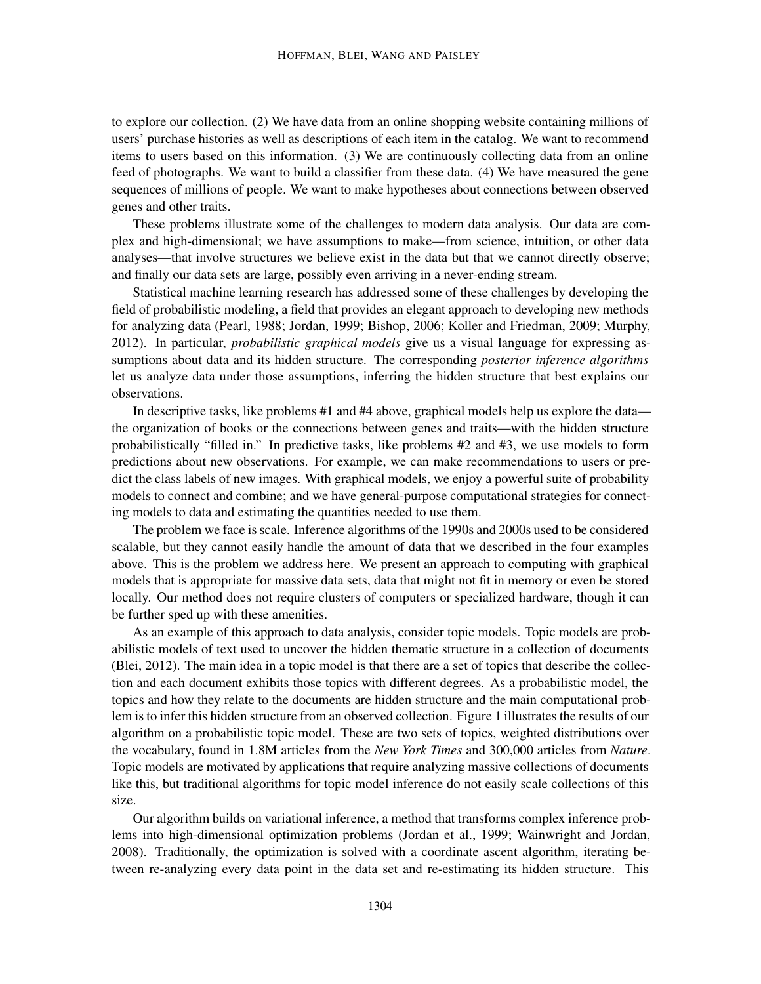to explore our collection. (2) We have data from an online shopping website containing millions of users' purchase histories as well as descriptions of each item in the catalog. We want to recommend items to users based on this information. (3) We are continuously collecting data from an online feed of photographs. We want to build a classifier from these data. (4) We have measured the gene sequences of millions of people. We want to make hypotheses about connections between observed genes and other traits.

These problems illustrate some of the challenges to modern data analysis. Our data are complex and high-dimensional; we have assumptions to make—from science, intuition, or other data analyses—that involve structures we believe exist in the data but that we cannot directly observe; and finally our data sets are large, possibly even arriving in a never-ending stream.

Statistical machine learning research has addressed some of these challenges by developing the field of probabilistic modeling, a field that provides an elegant approach to developing new methods for analyzing data (Pearl, 1988; Jordan, 1999; Bishop, 2006; Koller and Friedman, 2009; Murphy, 2012). In particular, *probabilistic graphical models* give us a visual language for expressing assumptions about data and its hidden structure. The corresponding *posterior inference algorithms* let us analyze data under those assumptions, inferring the hidden structure that best explains our observations.

In descriptive tasks, like problems #1 and #4 above, graphical models help us explore the data the organization of books or the connections between genes and traits—with the hidden structure probabilistically "filled in." In predictive tasks, like problems #2 and #3, we use models to form predictions about new observations. For example, we can make recommendations to users or predict the class labels of new images. With graphical models, we enjoy a powerful suite of probability models to connect and combine; and we have general-purpose computational strategies for connecting models to data and estimating the quantities needed to use them.

The problem we face is scale. Inference algorithms of the 1990s and 2000s used to be considered scalable, but they cannot easily handle the amount of data that we described in the four examples above. This is the problem we address here. We present an approach to computing with graphical models that is appropriate for massive data sets, data that might not fit in memory or even be stored locally. Our method does not require clusters of computers or specialized hardware, though it can be further sped up with these amenities.

As an example of this approach to data analysis, consider topic models. Topic models are probabilistic models of text used to uncover the hidden thematic structure in a collection of documents (Blei, 2012). The main idea in a topic model is that there are a set of topics that describe the collection and each document exhibits those topics with different degrees. As a probabilistic model, the topics and how they relate to the documents are hidden structure and the main computational problem is to infer this hidden structure from an observed collection. Figure 1 illustrates the results of our algorithm on a probabilistic topic model. These are two sets of topics, weighted distributions over the vocabulary, found in 1.8M articles from the *New York Times* and 300,000 articles from *Nature*. Topic models are motivated by applications that require analyzing massive collections of documents like this, but traditional algorithms for topic model inference do not easily scale collections of this size.

Our algorithm builds on variational inference, a method that transforms complex inference problems into high-dimensional optimization problems (Jordan et al., 1999; Wainwright and Jordan, 2008). Traditionally, the optimization is solved with a coordinate ascent algorithm, iterating between re-analyzing every data point in the data set and re-estimating its hidden structure. This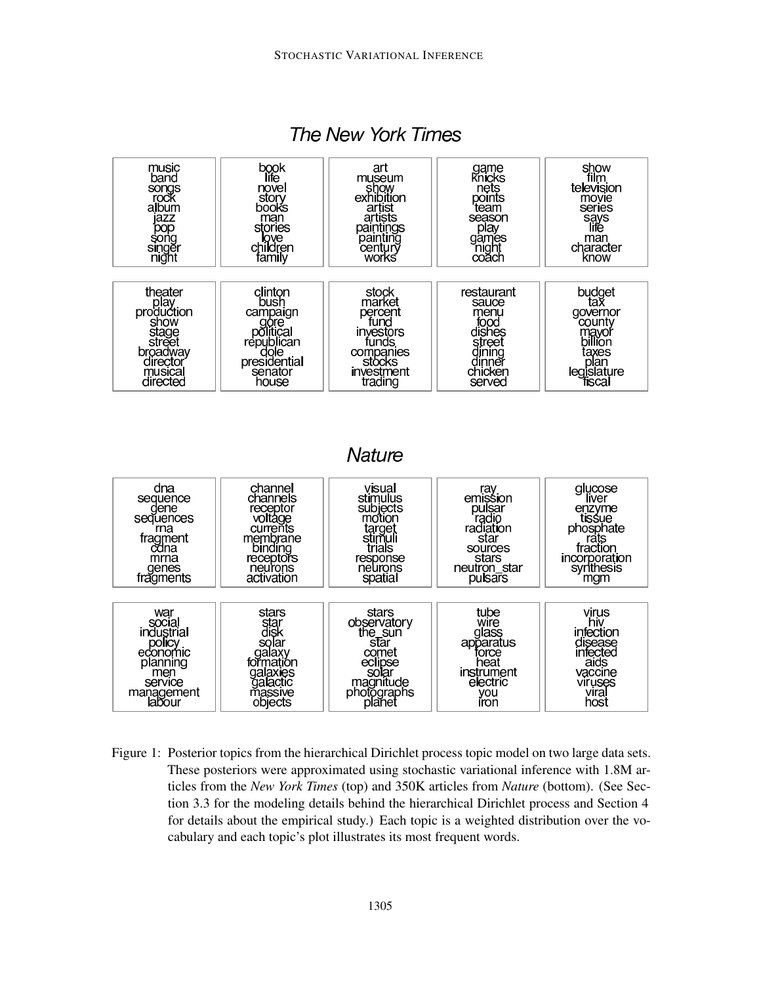

## The New York Times

**Nature** 



Figure 1: Posterior topics from the hierarchical Dirichlet process topic model on two large data sets. These posteriors were approximated using stochastic variational inference with 1.8M articles from the *New York Times* (top) and 350K articles from *Nature* (bottom). (See Section 3.3 for the modeling details behind the hierarchical Dirichlet process and Section 4 for details about the empirical study.) Each topic is a weighted distribution over the vocabulary and each topic's plot illustrates its most frequent words.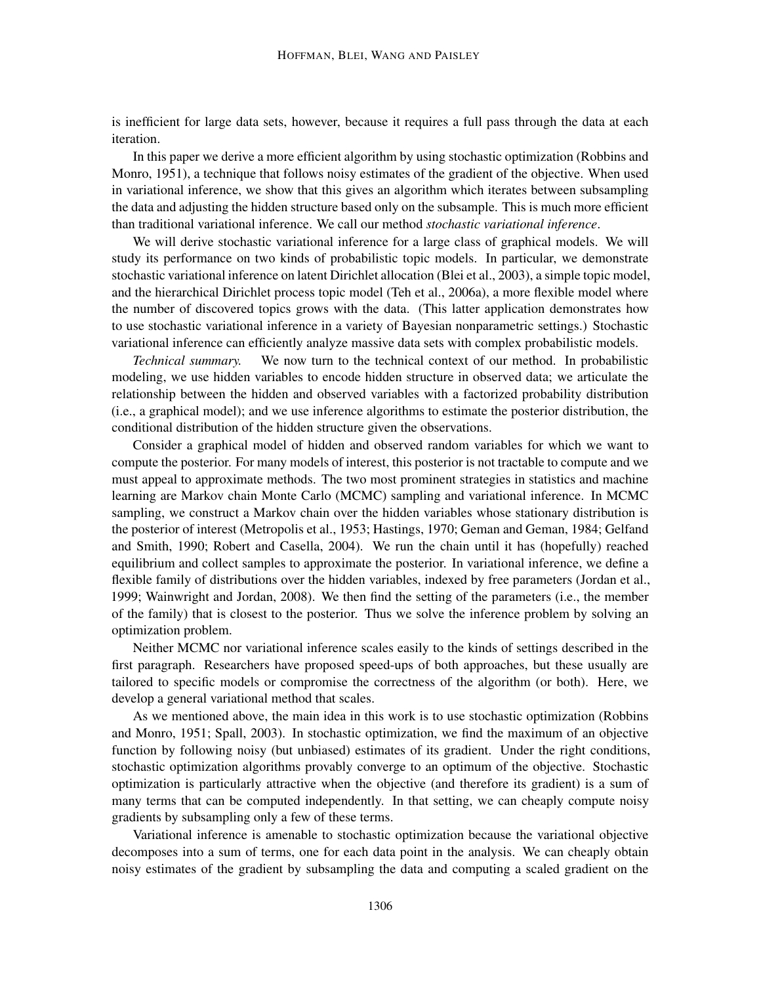is inefficient for large data sets, however, because it requires a full pass through the data at each iteration.

In this paper we derive a more efficient algorithm by using stochastic optimization (Robbins and Monro, 1951), a technique that follows noisy estimates of the gradient of the objective. When used in variational inference, we show that this gives an algorithm which iterates between subsampling the data and adjusting the hidden structure based only on the subsample. This is much more efficient than traditional variational inference. We call our method *stochastic variational inference*.

We will derive stochastic variational inference for a large class of graphical models. We will study its performance on two kinds of probabilistic topic models. In particular, we demonstrate stochastic variational inference on latent Dirichlet allocation (Blei et al., 2003), a simple topic model, and the hierarchical Dirichlet process topic model (Teh et al., 2006a), a more flexible model where the number of discovered topics grows with the data. (This latter application demonstrates how to use stochastic variational inference in a variety of Bayesian nonparametric settings.) Stochastic variational inference can efficiently analyze massive data sets with complex probabilistic models.

*Technical summary.* We now turn to the technical context of our method. In probabilistic modeling, we use hidden variables to encode hidden structure in observed data; we articulate the relationship between the hidden and observed variables with a factorized probability distribution (i.e., a graphical model); and we use inference algorithms to estimate the posterior distribution, the conditional distribution of the hidden structure given the observations.

Consider a graphical model of hidden and observed random variables for which we want to compute the posterior. For many models of interest, this posterior is not tractable to compute and we must appeal to approximate methods. The two most prominent strategies in statistics and machine learning are Markov chain Monte Carlo (MCMC) sampling and variational inference. In MCMC sampling, we construct a Markov chain over the hidden variables whose stationary distribution is the posterior of interest (Metropolis et al., 1953; Hastings, 1970; Geman and Geman, 1984; Gelfand and Smith, 1990; Robert and Casella, 2004). We run the chain until it has (hopefully) reached equilibrium and collect samples to approximate the posterior. In variational inference, we define a flexible family of distributions over the hidden variables, indexed by free parameters (Jordan et al., 1999; Wainwright and Jordan, 2008). We then find the setting of the parameters (i.e., the member of the family) that is closest to the posterior. Thus we solve the inference problem by solving an optimization problem.

Neither MCMC nor variational inference scales easily to the kinds of settings described in the first paragraph. Researchers have proposed speed-ups of both approaches, but these usually are tailored to specific models or compromise the correctness of the algorithm (or both). Here, we develop a general variational method that scales.

As we mentioned above, the main idea in this work is to use stochastic optimization (Robbins and Monro, 1951; Spall, 2003). In stochastic optimization, we find the maximum of an objective function by following noisy (but unbiased) estimates of its gradient. Under the right conditions, stochastic optimization algorithms provably converge to an optimum of the objective. Stochastic optimization is particularly attractive when the objective (and therefore its gradient) is a sum of many terms that can be computed independently. In that setting, we can cheaply compute noisy gradients by subsampling only a few of these terms.

Variational inference is amenable to stochastic optimization because the variational objective decomposes into a sum of terms, one for each data point in the analysis. We can cheaply obtain noisy estimates of the gradient by subsampling the data and computing a scaled gradient on the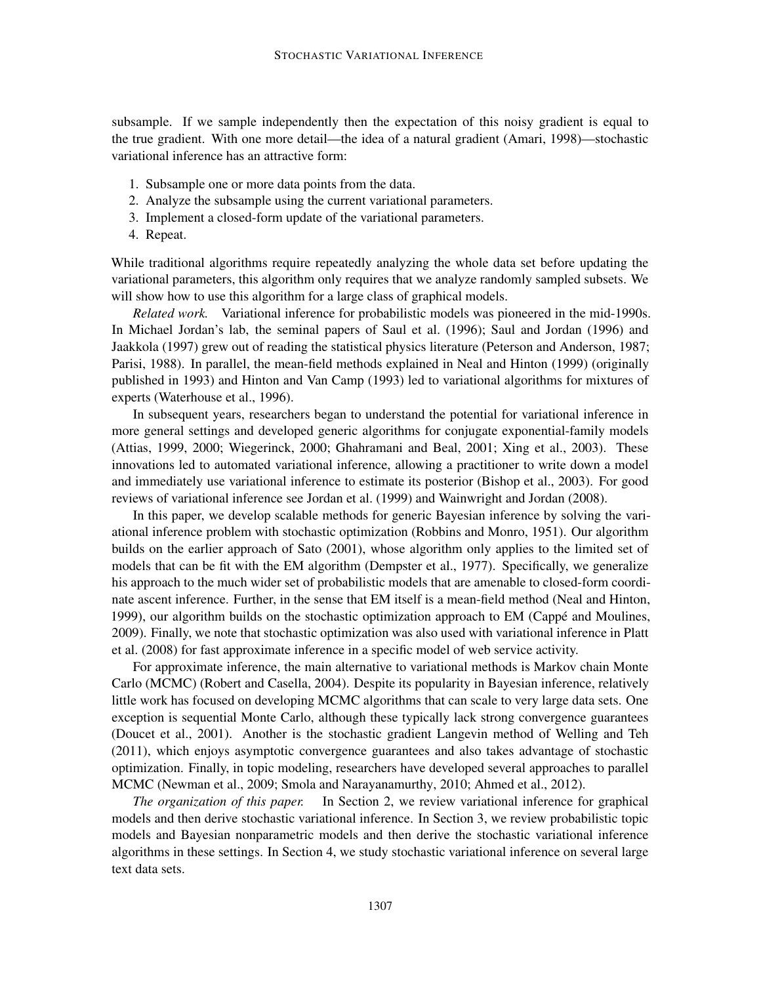subsample. If we sample independently then the expectation of this noisy gradient is equal to the true gradient. With one more detail—the idea of a natural gradient (Amari, 1998)—stochastic variational inference has an attractive form:

- 1. Subsample one or more data points from the data.
- 2. Analyze the subsample using the current variational parameters.
- 3. Implement a closed-form update of the variational parameters.
- 4. Repeat.

While traditional algorithms require repeatedly analyzing the whole data set before updating the variational parameters, this algorithm only requires that we analyze randomly sampled subsets. We will show how to use this algorithm for a large class of graphical models.

*Related work.* Variational inference for probabilistic models was pioneered in the mid-1990s. In Michael Jordan's lab, the seminal papers of Saul et al. (1996); Saul and Jordan (1996) and Jaakkola (1997) grew out of reading the statistical physics literature (Peterson and Anderson, 1987; Parisi, 1988). In parallel, the mean-field methods explained in Neal and Hinton (1999) (originally published in 1993) and Hinton and Van Camp (1993) led to variational algorithms for mixtures of experts (Waterhouse et al., 1996).

In subsequent years, researchers began to understand the potential for variational inference in more general settings and developed generic algorithms for conjugate exponential-family models (Attias, 1999, 2000; Wiegerinck, 2000; Ghahramani and Beal, 2001; Xing et al., 2003). These innovations led to automated variational inference, allowing a practitioner to write down a model and immediately use variational inference to estimate its posterior (Bishop et al., 2003). For good reviews of variational inference see Jordan et al. (1999) and Wainwright and Jordan (2008).

In this paper, we develop scalable methods for generic Bayesian inference by solving the variational inference problem with stochastic optimization (Robbins and Monro, 1951). Our algorithm builds on the earlier approach of Sato (2001), whose algorithm only applies to the limited set of models that can be fit with the EM algorithm (Dempster et al., 1977). Specifically, we generalize his approach to the much wider set of probabilistic models that are amenable to closed-form coordinate ascent inference. Further, in the sense that EM itself is a mean-field method (Neal and Hinton, 1999), our algorithm builds on the stochastic optimization approach to EM (Cappé and Moulines, 2009). Finally, we note that stochastic optimization was also used with variational inference in Platt et al. (2008) for fast approximate inference in a specific model of web service activity.

For approximate inference, the main alternative to variational methods is Markov chain Monte Carlo (MCMC) (Robert and Casella, 2004). Despite its popularity in Bayesian inference, relatively little work has focused on developing MCMC algorithms that can scale to very large data sets. One exception is sequential Monte Carlo, although these typically lack strong convergence guarantees (Doucet et al., 2001). Another is the stochastic gradient Langevin method of Welling and Teh (2011), which enjoys asymptotic convergence guarantees and also takes advantage of stochastic optimization. Finally, in topic modeling, researchers have developed several approaches to parallel MCMC (Newman et al., 2009; Smola and Narayanamurthy, 2010; Ahmed et al., 2012).

*The organization of this paper.* In Section 2, we review variational inference for graphical models and then derive stochastic variational inference. In Section 3, we review probabilistic topic models and Bayesian nonparametric models and then derive the stochastic variational inference algorithms in these settings. In Section 4, we study stochastic variational inference on several large text data sets.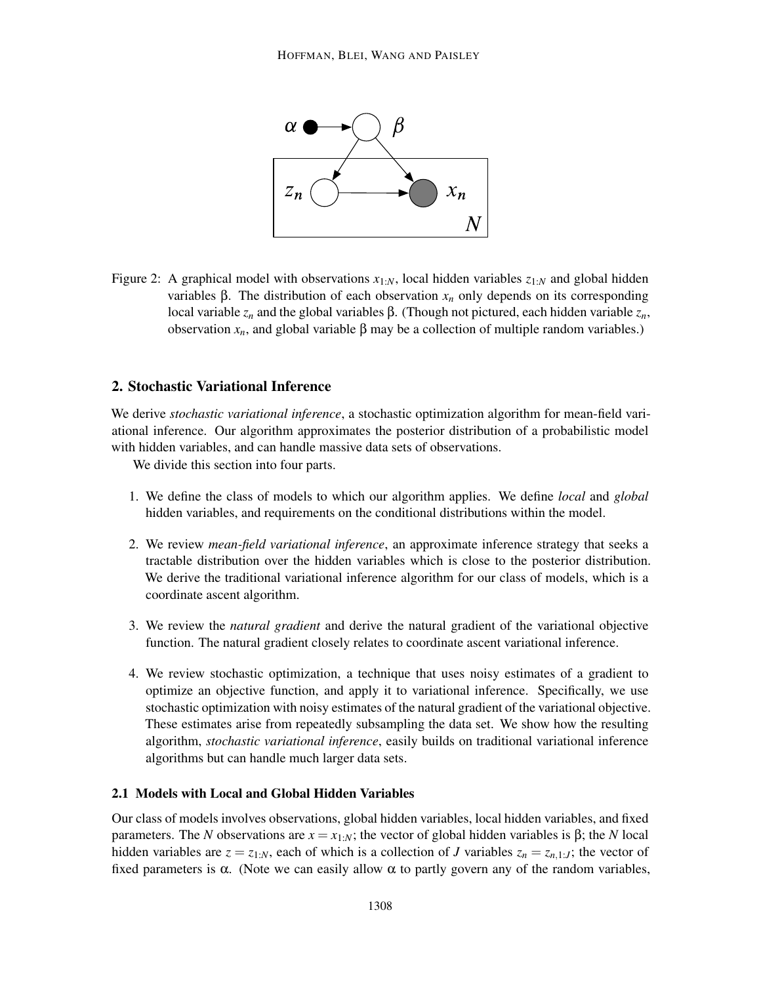

Figure 2: A graphical model with observations *x*1:*N*, local hidden variables *z*1:*<sup>N</sup>* and global hidden variables β. The distribution of each observation *x<sup>n</sup>* only depends on its corresponding local variable *z<sup>n</sup>* and the global variables β. (Though not pictured, each hidden variable *zn*, observation  $x<sub>n</sub>$ , and global variable β may be a collection of multiple random variables.)

### 2. Stochastic Variational Inference

We derive *stochastic variational inference*, a stochastic optimization algorithm for mean-field variational inference. Our algorithm approximates the posterior distribution of a probabilistic model with hidden variables, and can handle massive data sets of observations.

We divide this section into four parts.

- 1. We define the class of models to which our algorithm applies. We define *local* and *global* hidden variables, and requirements on the conditional distributions within the model.
- 2. We review *mean-field variational inference*, an approximate inference strategy that seeks a tractable distribution over the hidden variables which is close to the posterior distribution. We derive the traditional variational inference algorithm for our class of models, which is a coordinate ascent algorithm.
- 3. We review the *natural gradient* and derive the natural gradient of the variational objective function. The natural gradient closely relates to coordinate ascent variational inference.
- 4. We review stochastic optimization, a technique that uses noisy estimates of a gradient to optimize an objective function, and apply it to variational inference. Specifically, we use stochastic optimization with noisy estimates of the natural gradient of the variational objective. These estimates arise from repeatedly subsampling the data set. We show how the resulting algorithm, *stochastic variational inference*, easily builds on traditional variational inference algorithms but can handle much larger data sets.

### 2.1 Models with Local and Global Hidden Variables

Our class of models involves observations, global hidden variables, local hidden variables, and fixed parameters. The *N* observations are *x* = *x*1:*N*; the vector of global hidden variables is β; the *N* local hidden variables are  $z = z_{1:N}$ , each of which is a collection of *J* variables  $z_n = z_{n,1:J}$ ; the vector of fixed parameters is  $\alpha$ . (Note we can easily allow  $\alpha$  to partly govern any of the random variables,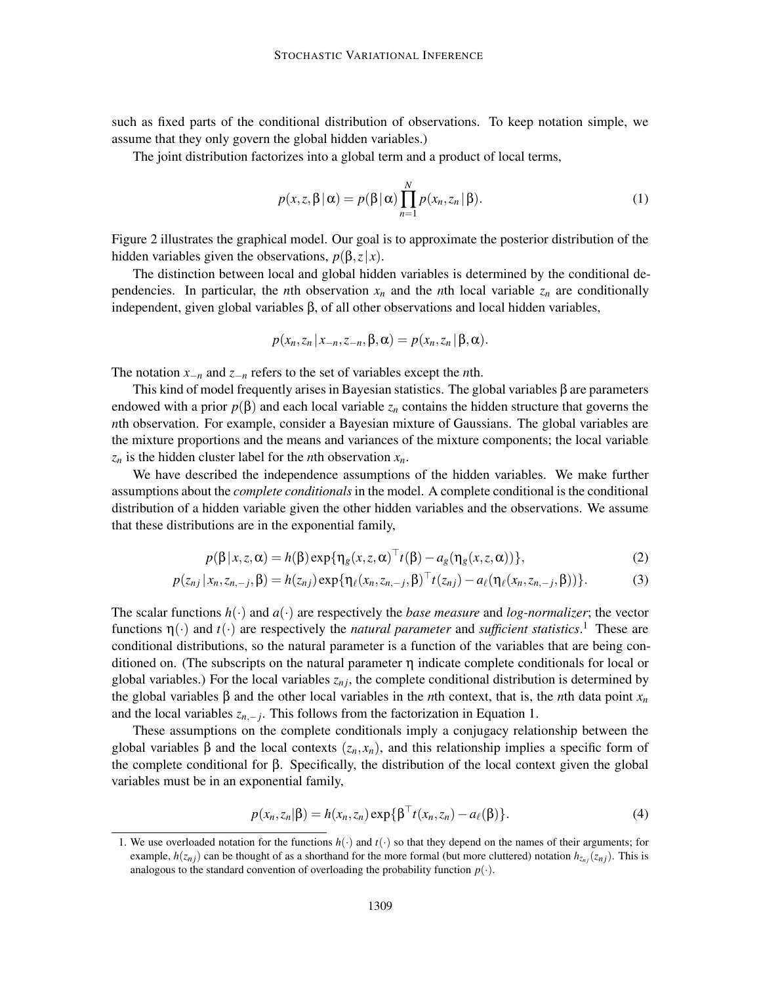such as fixed parts of the conditional distribution of observations. To keep notation simple, we assume that they only govern the global hidden variables.)

The joint distribution factorizes into a global term and a product of local terms,

$$
p(x, z, \beta | \alpha) = p(\beta | \alpha) \prod_{n=1}^{N} p(x_n, z_n | \beta).
$$
 (1)

Figure 2 illustrates the graphical model. Our goal is to approximate the posterior distribution of the hidden variables given the observations,  $p(\beta, z|x)$ .

The distinction between local and global hidden variables is determined by the conditional dependencies. In particular, the *n*th observation  $x_n$  and the *n*th local variable  $z_n$  are conditionally independent, given global variables β, of all other observations and local hidden variables,

$$
p(x_n, z_n | x_{-n}, z_{-n}, \beta, \alpha) = p(x_n, z_n | \beta, \alpha).
$$

The notation *x*−*<sup>n</sup>* and *z*−*<sup>n</sup>* refers to the set of variables except the *n*th.

This kind of model frequently arises in Bayesian statistics. The global variables  $\beta$  are parameters endowed with a prior  $p(\beta)$  and each local variable  $z_n$  contains the hidden structure that governs the *n*th observation. For example, consider a Bayesian mixture of Gaussians. The global variables are the mixture proportions and the means and variances of the mixture components; the local variable  $z_n$  is the hidden cluster label for the *n*th observation  $x_n$ .

We have described the independence assumptions of the hidden variables. We make further assumptions about the *complete conditionals* in the model. A complete conditional is the conditional distribution of a hidden variable given the other hidden variables and the observations. We assume that these distributions are in the exponential family,

$$
p(\beta | x, z, \alpha) = h(\beta) \exp{\{\eta_g(x, z, \alpha)^{\top} t(\beta) - a_g(\eta_g(x, z, \alpha))\}},
$$
\n(2)

$$
p(z_{nj} | x_n, z_{n,-j}, \beta) = h(z_{nj}) \exp\{\eta_\ell(x_n, z_{n,-j}, \beta)^\top t(z_{nj}) - a_\ell(\eta_\ell(x_n, z_{n,-j}, \beta))\}.
$$
 (3)

The scalar functions  $h(\cdot)$  and  $a(\cdot)$  are respectively the *base measure* and *log-normalizer*; the vector functions  $\eta(\cdot)$  and  $t(\cdot)$  are respectively the *natural parameter* and *sufficient statistics*.<sup>1</sup> These are conditional distributions, so the natural parameter is a function of the variables that are being conditioned on. (The subscripts on the natural parameter  $\eta$  indicate complete conditionals for local or global variables.) For the local variables  $z_{ni}$ , the complete conditional distribution is determined by the global variables β and the other local variables in the *n*th context, that is, the *n*th data point *x<sup>n</sup>* and the local variables  $z_{n,-j}$ . This follows from the factorization in Equation 1.

These assumptions on the complete conditionals imply a conjugacy relationship between the global variables  $\beta$  and the local contexts  $(z_n, x_n)$ , and this relationship implies a specific form of the complete conditional for β. Specifically, the distribution of the local context given the global variables must be in an exponential family,

$$
p(x_n, z_n | \beta) = h(x_n, z_n) \exp{\lbrace \beta^\top t(x_n, z_n) - a_\ell(\beta) \rbrace}.
$$
 (4)

<sup>1.</sup> We use overloaded notation for the functions  $h(\cdot)$  and  $t(\cdot)$  so that they depend on the names of their arguments; for example,  $h(z_{ni})$  can be thought of as a shorthand for the more formal (but more cluttered) notation  $h_{z_{ni}}(z_{ni})$ . This is analogous to the standard convention of overloading the probability function  $p(\cdot)$ .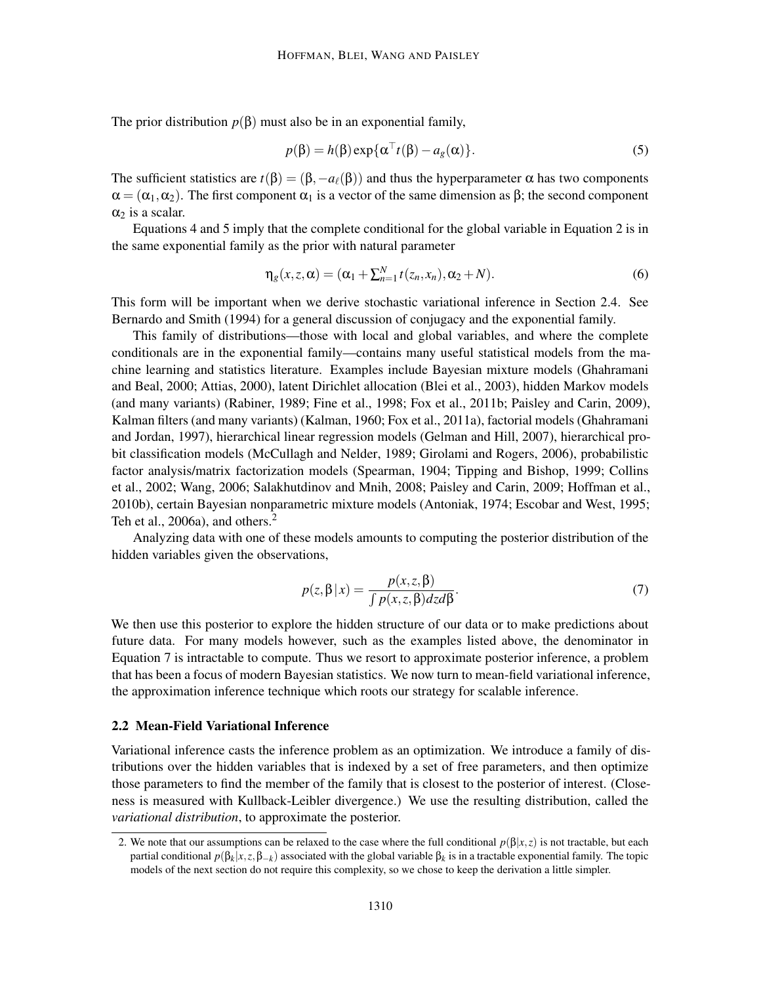The prior distribution  $p(\beta)$  must also be in an exponential family,

$$
p(\beta) = h(\beta) \exp{\{\alpha^{\top} t(\beta) - a_g(\alpha)\}}.
$$
 (5)

The sufficient statistics are  $t(\beta) = (\beta, -a_\ell(\beta))$  and thus the hyperparameter  $\alpha$  has two components  $\alpha = (\alpha_1, \alpha_2)$ . The first component  $\alpha_1$  is a vector of the same dimension as  $\beta$ ; the second component  $\alpha_2$  is a scalar.

Equations 4 and 5 imply that the complete conditional for the global variable in Equation 2 is in the same exponential family as the prior with natural parameter

$$
\eta_g(x, z, \alpha) = (\alpha_1 + \sum_{n=1}^N t(z_n, x_n), \alpha_2 + N). \tag{6}
$$

This form will be important when we derive stochastic variational inference in Section 2.4. See Bernardo and Smith (1994) for a general discussion of conjugacy and the exponential family.

This family of distributions—those with local and global variables, and where the complete conditionals are in the exponential family—contains many useful statistical models from the machine learning and statistics literature. Examples include Bayesian mixture models (Ghahramani and Beal, 2000; Attias, 2000), latent Dirichlet allocation (Blei et al., 2003), hidden Markov models (and many variants) (Rabiner, 1989; Fine et al., 1998; Fox et al., 2011b; Paisley and Carin, 2009), Kalman filters (and many variants) (Kalman, 1960; Fox et al., 2011a), factorial models (Ghahramani and Jordan, 1997), hierarchical linear regression models (Gelman and Hill, 2007), hierarchical probit classification models (McCullagh and Nelder, 1989; Girolami and Rogers, 2006), probabilistic factor analysis/matrix factorization models (Spearman, 1904; Tipping and Bishop, 1999; Collins et al., 2002; Wang, 2006; Salakhutdinov and Mnih, 2008; Paisley and Carin, 2009; Hoffman et al., 2010b), certain Bayesian nonparametric mixture models (Antoniak, 1974; Escobar and West, 1995; Teh et al., 2006a), and others.<sup>2</sup>

Analyzing data with one of these models amounts to computing the posterior distribution of the hidden variables given the observations,

$$
p(z, \beta | x) = \frac{p(x, z, \beta)}{\int p(x, z, \beta) dz d\beta}.
$$
 (7)

We then use this posterior to explore the hidden structure of our data or to make predictions about future data. For many models however, such as the examples listed above, the denominator in Equation 7 is intractable to compute. Thus we resort to approximate posterior inference, a problem that has been a focus of modern Bayesian statistics. We now turn to mean-field variational inference, the approximation inference technique which roots our strategy for scalable inference.

#### 2.2 Mean-Field Variational Inference

Variational inference casts the inference problem as an optimization. We introduce a family of distributions over the hidden variables that is indexed by a set of free parameters, and then optimize those parameters to find the member of the family that is closest to the posterior of interest. (Closeness is measured with Kullback-Leibler divergence.) We use the resulting distribution, called the *variational distribution*, to approximate the posterior.

<sup>2.</sup> We note that our assumptions can be relaxed to the case where the full conditional  $p(\beta|x,z)$  is not tractable, but each partial conditional *p*(β*<sup>k</sup>* |*x*,*z*,β−*k*) associated with the global variable β*<sup>k</sup>* is in a tractable exponential family. The topic models of the next section do not require this complexity, so we chose to keep the derivation a little simpler.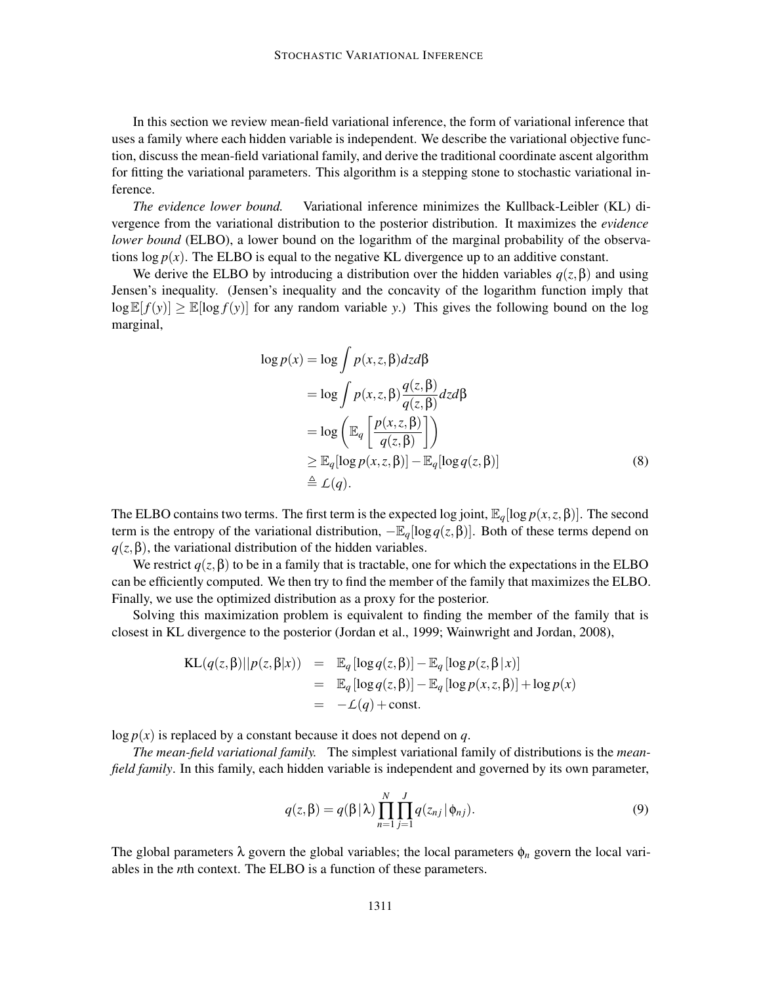In this section we review mean-field variational inference, the form of variational inference that uses a family where each hidden variable is independent. We describe the variational objective function, discuss the mean-field variational family, and derive the traditional coordinate ascent algorithm for fitting the variational parameters. This algorithm is a stepping stone to stochastic variational inference.

*The evidence lower bound.* Variational inference minimizes the Kullback-Leibler (KL) divergence from the variational distribution to the posterior distribution. It maximizes the *evidence lower bound* (ELBO), a lower bound on the logarithm of the marginal probability of the observations  $\log p(x)$ . The ELBO is equal to the negative KL divergence up to an additive constant.

We derive the ELBO by introducing a distribution over the hidden variables  $q(z, \beta)$  and using Jensen's inequality. (Jensen's inequality and the concavity of the logarithm function imply that  $\log \mathbb{E}[f(y)] \geq \mathbb{E}[\log f(y)]$  for any random variable *y*.) This gives the following bound on the log marginal,

$$
\log p(x) = \log \int p(x, z, \beta) dz d\beta
$$
  
=  $\log \int p(x, z, \beta) \frac{q(z, \beta)}{q(z, \beta)} dz d\beta$   
=  $\log \left( \mathbb{E}_q \left[ \frac{p(x, z, \beta)}{q(z, \beta)} \right] \right)$   
 $\geq \mathbb{E}_q [\log p(x, z, \beta)] - \mathbb{E}_q [\log q(z, \beta)]$   
 $\stackrel{\triangle}{=} L(q).$  (8)

The ELBO contains two terms. The first term is the expected log joint,  $\mathbb{E}_q[\log p(x, z, \beta)]$ . The second term is the entropy of the variational distribution,  $-\mathbb{E}_q[\log q(z, \beta)]$ . Both of these terms depend on  $q(z, \beta)$ , the variational distribution of the hidden variables.

We restrict  $q(z, \beta)$  to be in a family that is tractable, one for which the expectations in the ELBO can be efficiently computed. We then try to find the member of the family that maximizes the ELBO. Finally, we use the optimized distribution as a proxy for the posterior.

Solving this maximization problem is equivalent to finding the member of the family that is closest in KL divergence to the posterior (Jordan et al., 1999; Wainwright and Jordan, 2008),

$$
KL(q(z, \beta)||p(z, \beta|x)) = \mathbb{E}_q [log q(z, \beta)] - \mathbb{E}_q [log p(z, \beta | x)]
$$
  
= 
$$
\mathbb{E}_q [log q(z, \beta)] - \mathbb{E}_q [log p(x, z, \beta)] + log p(x)
$$
  
= 
$$
-\mathcal{L}(q) + const.
$$

 $\log p(x)$  is replaced by a constant because it does not depend on *q*.

*The mean-field variational family.* The simplest variational family of distributions is the *meanfield family*. In this family, each hidden variable is independent and governed by its own parameter,

$$
q(z,\beta) = q(\beta | \lambda) \prod_{n=1}^{N} \prod_{j=1}^{J} q(z_{nj} | \phi_{nj}).
$$
\n(9)

The global parameters  $\lambda$  govern the global variables; the local parameters  $\phi_n$  govern the local variables in the *n*th context. The ELBO is a function of these parameters.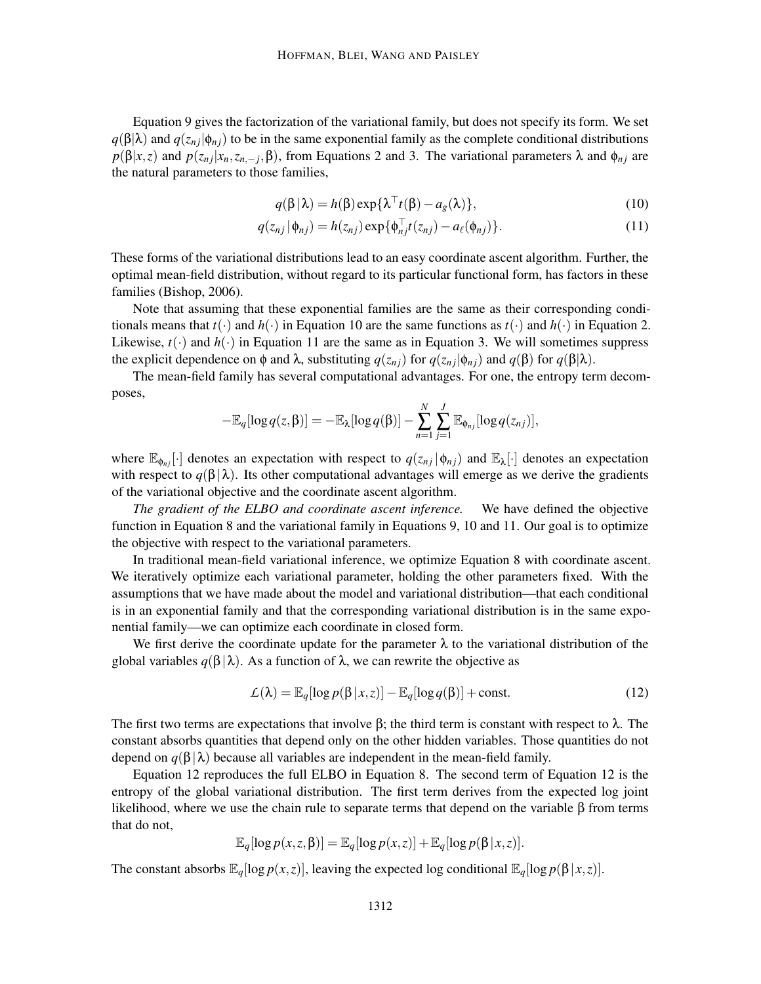Equation 9 gives the factorization of the variational family, but does not specify its form. We set  $q(\beta|\lambda)$  and  $q(z_{ni}|\phi_{ni})$  to be in the same exponential family as the complete conditional distributions *p*(β|*x*,*z*) and *p*(*z<sub>nj</sub>*|*x<sub>n</sub>*,*z<sub>n,−j</sub>*,β), from Equations 2 and 3. The variational parameters λ and φ<sub>*nj*</sub> are the natural parameters to those families,

$$
q(\beta|\lambda) = h(\beta) \exp\{\lambda^{\top} t(\beta) - a_g(\lambda)\},\tag{10}
$$

$$
q(z_{nj}|\phi_{nj}) = h(z_{nj}) \exp{\{\phi_{nj}^{\top}t(z_{nj}) - a_\ell(\phi_{nj})\}}.
$$
\n(11)

These forms of the variational distributions lead to an easy coordinate ascent algorithm. Further, the optimal mean-field distribution, without regard to its particular functional form, has factors in these families (Bishop, 2006).

Note that assuming that these exponential families are the same as their corresponding conditionals means that  $t(\cdot)$  and  $h(\cdot)$  in Equation 10 are the same functions as  $t(\cdot)$  and  $h(\cdot)$  in Equation 2. Likewise,  $t(\cdot)$  and  $h(\cdot)$  in Equation 11 are the same as in Equation 3. We will sometimes suppress the explicit dependence on φ and λ, substituting  $q(z_{ni})$  for  $q(z_{ni}|\phi_{ni})$  and  $q(\beta)$  for  $q(\beta|\lambda)$ .

The mean-field family has several computational advantages. For one, the entropy term decomposes,

$$
-\mathbb{E}_q[\log q(z,\beta)] = -\mathbb{E}_{\lambda}[\log q(\beta)] - \sum_{n=1}^N \sum_{j=1}^J \mathbb{E}_{\phi_{nj}}[\log q(z_{nj})],
$$

where  $\mathbb{E}_{\phi_{ni}}[\cdot]$  denotes an expectation with respect to  $q(z_{nj}|\phi_{nj})$  and  $\mathbb{E}_{\lambda}[\cdot]$  denotes an expectation with respect to  $q(\beta|\lambda)$ . Its other computational advantages will emerge as we derive the gradients of the variational objective and the coordinate ascent algorithm.

*The gradient of the ELBO and coordinate ascent inference.* We have defined the objective function in Equation 8 and the variational family in Equations 9, 10 and 11. Our goal is to optimize the objective with respect to the variational parameters.

In traditional mean-field variational inference, we optimize Equation 8 with coordinate ascent. We iteratively optimize each variational parameter, holding the other parameters fixed. With the assumptions that we have made about the model and variational distribution—that each conditional is in an exponential family and that the corresponding variational distribution is in the same exponential family—we can optimize each coordinate in closed form.

We first derive the coordinate update for the parameter  $\lambda$  to the variational distribution of the global variables  $q(\beta|\lambda)$ . As a function of  $\lambda$ , we can rewrite the objective as

$$
\mathcal{L}(\lambda) = \mathbb{E}_q[\log p(\beta | x, z)] - \mathbb{E}_q[\log q(\beta)] + \text{const.}
$$
\n(12)

The first two terms are expectations that involve  $\beta$ ; the third term is constant with respect to  $\lambda$ . The constant absorbs quantities that depend only on the other hidden variables. Those quantities do not depend on  $q(\beta|\lambda)$  because all variables are independent in the mean-field family.

Equation 12 reproduces the full ELBO in Equation 8. The second term of Equation 12 is the entropy of the global variational distribution. The first term derives from the expected log joint likelihood, where we use the chain rule to separate terms that depend on the variable β from terms that do not,

$$
\mathbb{E}_{q}[\log p(x, z, \beta)] = \mathbb{E}_{q}[\log p(x, z)] + \mathbb{E}_{q}[\log p(\beta | x, z)].
$$

The constant absorbs  $\mathbb{E}_q[\log p(x, z)]$ , leaving the expected log conditional  $\mathbb{E}_q[\log p(\beta | x, z)]$ .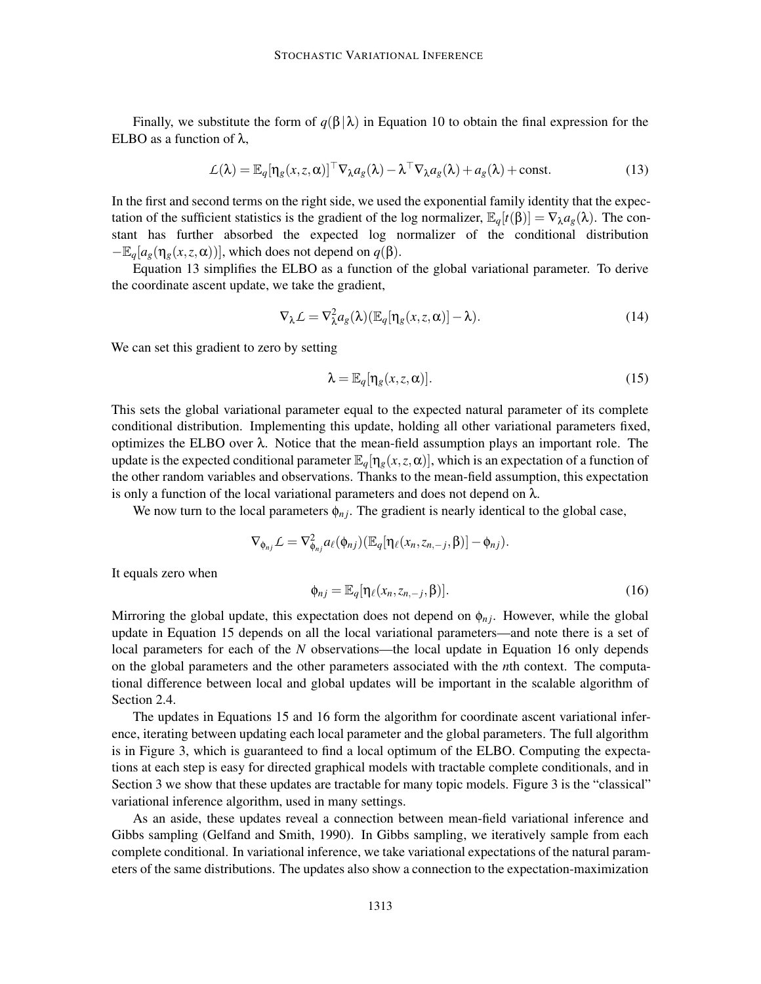Finally, we substitute the form of  $q(\beta|\lambda)$  in Equation 10 to obtain the final expression for the ELBO as a function of  $\lambda$ .

$$
\mathcal{L}(\lambda) = \mathbb{E}_q[\eta_g(x, z, \alpha)]^\top \nabla_\lambda a_g(\lambda) - \lambda^\top \nabla_\lambda a_g(\lambda) + a_g(\lambda) + \text{const.}
$$
\n(13)

In the first and second terms on the right side, we used the exponential family identity that the expectation of the sufficient statistics is the gradient of the log normalizer,  $\mathbb{E}_q[t(\beta)] = \nabla_\lambda a_g(\lambda)$ . The constant has further absorbed the expected log normalizer of the conditional distribution  $-\mathbb{E}_q[a_g(\eta_g(x,z,\alpha))]$ , which does not depend on  $q(\beta)$ .

Equation 13 simplifies the ELBO as a function of the global variational parameter. To derive the coordinate ascent update, we take the gradient,

$$
\nabla_{\lambda} \mathcal{L} = \nabla_{\lambda}^{2} a_{g}(\lambda) (\mathbb{E}_{q}[\eta_{g}(x, z, \alpha)] - \lambda).
$$
 (14)

We can set this gradient to zero by setting

$$
\lambda = \mathbb{E}_q[\eta_s(x, z, \alpha)].\tag{15}
$$

This sets the global variational parameter equal to the expected natural parameter of its complete conditional distribution. Implementing this update, holding all other variational parameters fixed, optimizes the ELBO over λ. Notice that the mean-field assumption plays an important role. The update is the expected conditional parameter  $\mathbb{E}_q[\eta_g(x,z,\alpha)]$ , which is an expectation of a function of the other random variables and observations. Thanks to the mean-field assumption, this expectation is only a function of the local variational parameters and does not depend on  $\lambda$ .

We now turn to the local parameters  $\phi_{nj}$ . The gradient is nearly identical to the global case,

$$
\nabla_{\phi_{nj}} \mathcal{L} = \nabla^2_{\phi_{nj}} a_\ell(\phi_{nj}) (\mathbb{E}_q[\eta_\ell(x_n,z_{n,-j},\beta)] - \phi_{nj}).
$$

It equals zero when

$$
\phi_{nj} = \mathbb{E}_q[\eta_\ell(x_n, z_{n,-j}, \beta)]. \tag{16}
$$

Mirroring the global update, this expectation does not depend on  $\phi_{nj}$ . However, while the global update in Equation 15 depends on all the local variational parameters—and note there is a set of local parameters for each of the *N* observations—the local update in Equation 16 only depends on the global parameters and the other parameters associated with the *n*th context. The computational difference between local and global updates will be important in the scalable algorithm of Section 2.4.

The updates in Equations 15 and 16 form the algorithm for coordinate ascent variational inference, iterating between updating each local parameter and the global parameters. The full algorithm is in Figure 3, which is guaranteed to find a local optimum of the ELBO. Computing the expectations at each step is easy for directed graphical models with tractable complete conditionals, and in Section 3 we show that these updates are tractable for many topic models. Figure 3 is the "classical" variational inference algorithm, used in many settings.

As an aside, these updates reveal a connection between mean-field variational inference and Gibbs sampling (Gelfand and Smith, 1990). In Gibbs sampling, we iteratively sample from each complete conditional. In variational inference, we take variational expectations of the natural parameters of the same distributions. The updates also show a connection to the expectation-maximization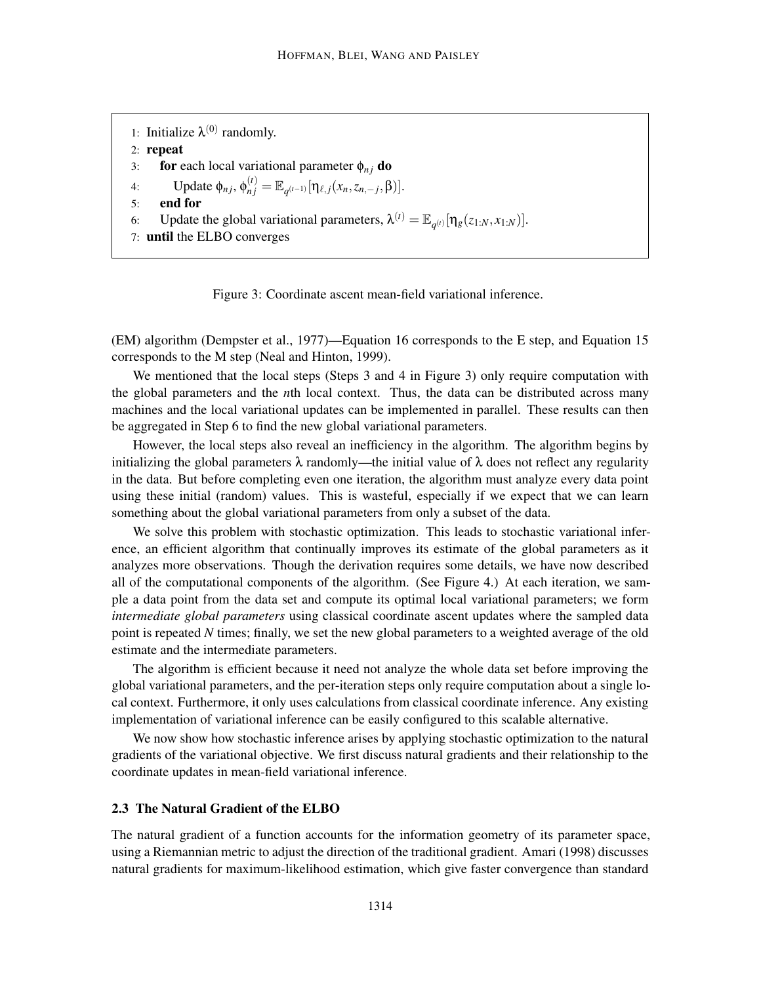1: Initialize  $\lambda^{(0)}$  randomly. 2: repeat 3: **for** each local variational parameter  $\phi_{nj}$  **do** 4: Update  $\phi_{nj}, \phi_{nj}^{(t)} = \mathbb{E}_{q^{(t-1)}}[\eta_{\ell,j}(x_n, z_{n,-j}, \beta)].$ 5: end for 6: Update the global variational parameters,  $\lambda^{(t)} = \mathbb{E}_{q^{(t)}}[\eta_g(z_{1:N}, x_{1:N})].$ 7: until the ELBO converges



(EM) algorithm (Dempster et al., 1977)—Equation 16 corresponds to the E step, and Equation 15 corresponds to the M step (Neal and Hinton, 1999).

We mentioned that the local steps (Steps 3 and 4 in Figure 3) only require computation with the global parameters and the *n*th local context. Thus, the data can be distributed across many machines and the local variational updates can be implemented in parallel. These results can then be aggregated in Step 6 to find the new global variational parameters.

However, the local steps also reveal an inefficiency in the algorithm. The algorithm begins by initializing the global parameters  $\lambda$  randomly—the initial value of  $\lambda$  does not reflect any regularity in the data. But before completing even one iteration, the algorithm must analyze every data point using these initial (random) values. This is wasteful, especially if we expect that we can learn something about the global variational parameters from only a subset of the data.

We solve this problem with stochastic optimization. This leads to stochastic variational inference, an efficient algorithm that continually improves its estimate of the global parameters as it analyzes more observations. Though the derivation requires some details, we have now described all of the computational components of the algorithm. (See Figure 4.) At each iteration, we sample a data point from the data set and compute its optimal local variational parameters; we form *intermediate global parameters* using classical coordinate ascent updates where the sampled data point is repeated *N* times; finally, we set the new global parameters to a weighted average of the old estimate and the intermediate parameters.

The algorithm is efficient because it need not analyze the whole data set before improving the global variational parameters, and the per-iteration steps only require computation about a single local context. Furthermore, it only uses calculations from classical coordinate inference. Any existing implementation of variational inference can be easily configured to this scalable alternative.

We now show how stochastic inference arises by applying stochastic optimization to the natural gradients of the variational objective. We first discuss natural gradients and their relationship to the coordinate updates in mean-field variational inference.

#### 2.3 The Natural Gradient of the ELBO

The natural gradient of a function accounts for the information geometry of its parameter space, using a Riemannian metric to adjust the direction of the traditional gradient. Amari (1998) discusses natural gradients for maximum-likelihood estimation, which give faster convergence than standard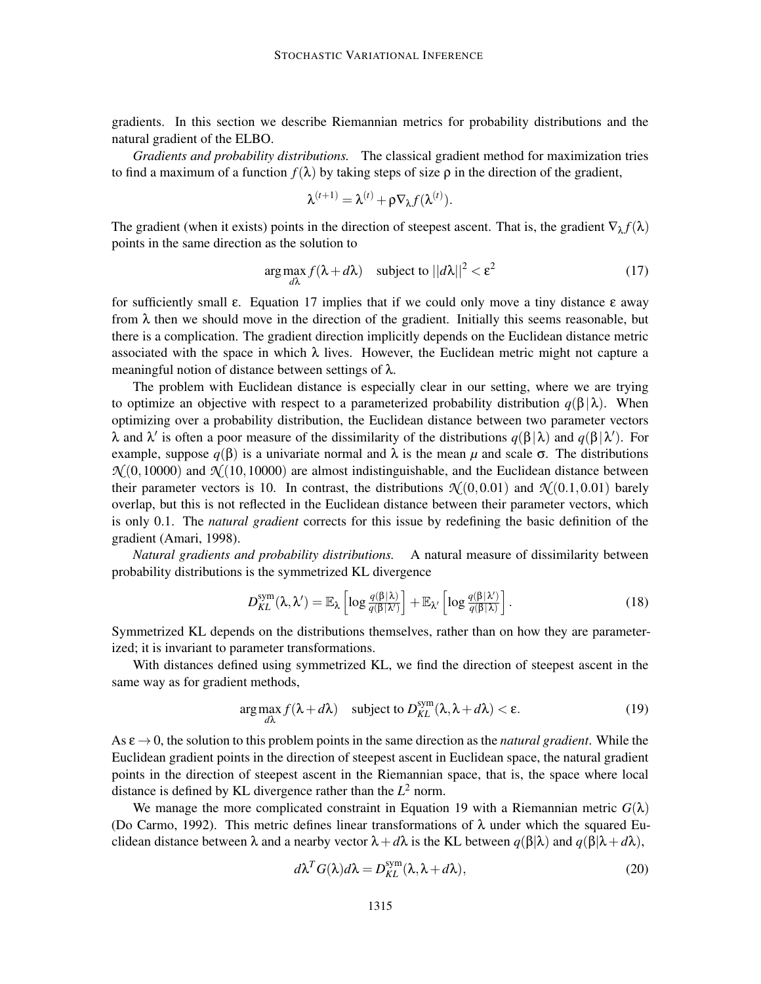gradients. In this section we describe Riemannian metrics for probability distributions and the natural gradient of the ELBO.

*Gradients and probability distributions.* The classical gradient method for maximization tries to find a maximum of a function  $f(\lambda)$  by taking steps of size  $\rho$  in the direction of the gradient,

$$
\lambda^{(t+1)} = \lambda^{(t)} + \rho \nabla_{\lambda} f(\lambda^{(t)}).
$$

The gradient (when it exists) points in the direction of steepest ascent. That is, the gradient  $\nabla_{\lambda} f(\lambda)$ points in the same direction as the solution to

$$
\arg\max_{d\lambda} f(\lambda + d\lambda) \quad \text{subject to } ||d\lambda||^2 < \varepsilon^2 \tag{17}
$$

for sufficiently small ε. Equation 17 implies that if we could only move a tiny distance ε away from  $\lambda$  then we should move in the direction of the gradient. Initially this seems reasonable, but there is a complication. The gradient direction implicitly depends on the Euclidean distance metric associated with the space in which  $\lambda$  lives. However, the Euclidean metric might not capture a meaningful notion of distance between settings of  $\lambda$ .

The problem with Euclidean distance is especially clear in our setting, where we are trying to optimize an objective with respect to a parameterized probability distribution  $q(\beta|\lambda)$ . When optimizing over a probability distribution, the Euclidean distance between two parameter vectors λ and λ' is often a poor measure of the dissimilarity of the distributions  $q(\beta|\lambda)$  and  $q(\beta|\lambda')$ . For example, suppose  $q(\beta)$  is a univariate normal and  $\lambda$  is the mean  $\mu$  and scale  $\sigma$ . The distributions  $\mathcal{N}(0,10000)$  and  $\mathcal{N}(10,10000)$  are almost indistinguishable, and the Euclidean distance between their parameter vectors is 10. In contrast, the distributions  $\mathcal{N}(0,0.01)$  and  $\mathcal{N}(0.1,0.01)$  barely overlap, but this is not reflected in the Euclidean distance between their parameter vectors, which is only 0.1. The *natural gradient* corrects for this issue by redefining the basic definition of the gradient (Amari, 1998).

*Natural gradients and probability distributions.* A natural measure of dissimilarity between probability distributions is the symmetrized KL divergence

$$
D_{KL}^{\text{sym}}(\lambda, \lambda') = \mathbb{E}_{\lambda} \left[ \log \frac{q(\beta|\lambda)}{q(\beta|\lambda')} \right] + \mathbb{E}_{\lambda'} \left[ \log \frac{q(\beta|\lambda')}{q(\beta|\lambda)} \right]. \tag{18}
$$

Symmetrized KL depends on the distributions themselves, rather than on how they are parameterized; it is invariant to parameter transformations.

With distances defined using symmetrized KL, we find the direction of steepest ascent in the same way as for gradient methods,

$$
\underset{d\lambda}{\arg\max} f(\lambda + d\lambda) \quad \text{subject to } D_{KL}^{\text{sym}}(\lambda, \lambda + d\lambda) < \varepsilon. \tag{19}
$$

As  $\epsilon \to 0$ , the solution to this problem points in the same direction as the *natural gradient*. While the Euclidean gradient points in the direction of steepest ascent in Euclidean space, the natural gradient points in the direction of steepest ascent in the Riemannian space, that is, the space where local distance is defined by KL divergence rather than the  $L^2$  norm.

We manage the more complicated constraint in Equation 19 with a Riemannian metric  $G(\lambda)$ (Do Carmo, 1992). This metric defines linear transformations of  $\lambda$  under which the squared Euclidean distance between  $\lambda$  and a nearby vector  $\lambda + d\lambda$  is the KL between  $q(\beta|\lambda)$  and  $q(\beta|\lambda + d\lambda)$ ,

$$
d\lambda^T G(\lambda) d\lambda = D_{KL}^{\text{sym}}(\lambda, \lambda + d\lambda), \qquad (20)
$$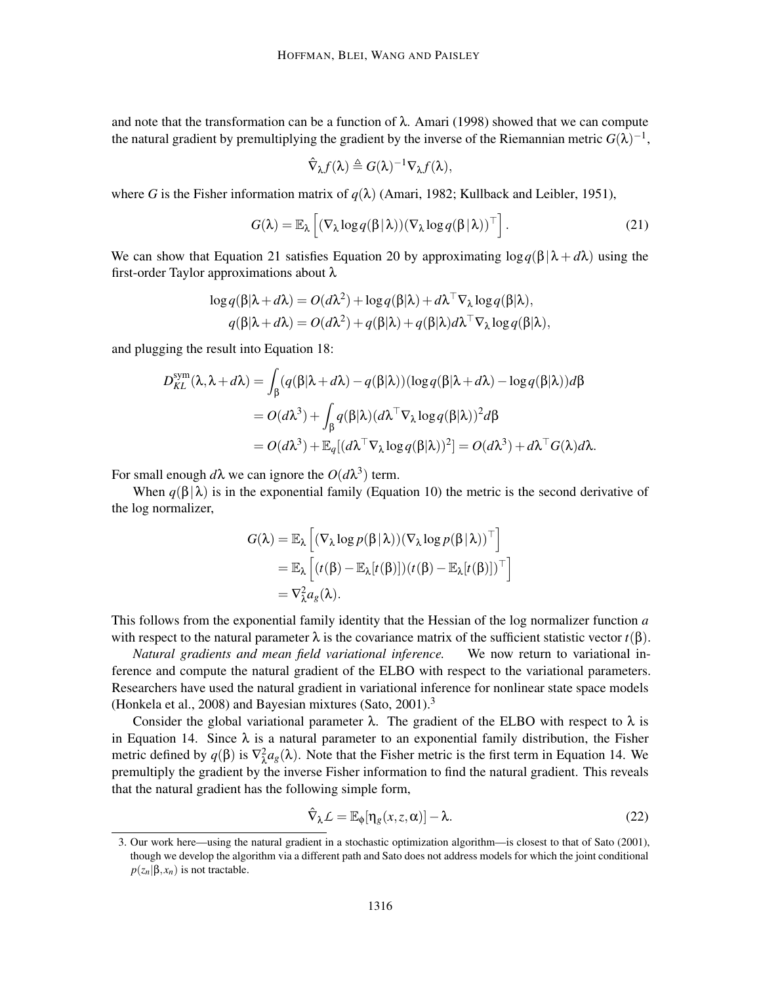and note that the transformation can be a function of  $\lambda$ . Amari (1998) showed that we can compute the natural gradient by premultiplying the gradient by the inverse of the Riemannian metric  $G(\lambda)^{-1}$ ,

$$
\hat{\nabla}_{\lambda} f(\lambda) \triangleq G(\lambda)^{-1} \nabla_{\lambda} f(\lambda),
$$

where *G* is the Fisher information matrix of  $q(\lambda)$  (Amari, 1982; Kullback and Leibler, 1951),

$$
G(\lambda) = \mathbb{E}_{\lambda} \left[ (\nabla_{\lambda} \log q(\beta | \lambda)) (\nabla_{\lambda} \log q(\beta | \lambda))^\top \right].
$$
 (21)

We can show that Equation 21 satisfies Equation 20 by approximating  $\log q(\beta|\lambda + d\lambda)$  using the first-order Taylor approximations about λ

$$
\log q(\beta|\lambda + d\lambda) = O(d\lambda^2) + \log q(\beta|\lambda) + d\lambda^{\top} \nabla_{\lambda} \log q(\beta|\lambda),
$$
  
 
$$
q(\beta|\lambda + d\lambda) = O(d\lambda^2) + q(\beta|\lambda) + q(\beta|\lambda) d\lambda^{\top} \nabla_{\lambda} \log q(\beta|\lambda),
$$

and plugging the result into Equation 18:

$$
D_{KL}^{\text{sym}}(\lambda, \lambda + d\lambda) = \int_{\beta} (q(\beta|\lambda + d\lambda) - q(\beta|\lambda))(\log q(\beta|\lambda + d\lambda) - \log q(\beta|\lambda))d\beta
$$
  
=  $O(d\lambda^3) + \int_{\beta} q(\beta|\lambda)(d\lambda^{\top}\nabla_{\lambda}\log q(\beta|\lambda))^2 d\beta$   
=  $O(d\lambda^3) + \mathbb{E}_{q}[(d\lambda^{\top}\nabla_{\lambda}\log q(\beta|\lambda))^2] = O(d\lambda^3) + d\lambda^{\top}G(\lambda)d\lambda.$ 

For small enough  $d\lambda$  we can ignore the  $O(d\lambda^3)$  term.

When  $q(\beta|\lambda)$  is in the exponential family (Equation 10) the metric is the second derivative of the log normalizer,

$$
G(\lambda) = \mathbb{E}_{\lambda} \left[ (\nabla_{\lambda} \log p(\beta | \lambda)) (\nabla_{\lambda} \log p(\beta | \lambda))^{\top} \right]
$$
  
=  $\mathbb{E}_{\lambda} \left[ (t(\beta) - \mathbb{E}_{\lambda}[t(\beta)])(t(\beta) - \mathbb{E}_{\lambda}[t(\beta)])^{\top} \right]$   
=  $\nabla_{\lambda}^{2} a_{g}(\lambda).$ 

This follows from the exponential family identity that the Hessian of the log normalizer function *a* with respect to the natural parameter  $\lambda$  is the covariance matrix of the sufficient statistic vector  $t(\beta)$ .

*Natural gradients and mean field variational inference.* We now return to variational inference and compute the natural gradient of the ELBO with respect to the variational parameters. Researchers have used the natural gradient in variational inference for nonlinear state space models (Honkela et al., 2008) and Bayesian mixtures (Sato, 2001).<sup>3</sup>

Consider the global variational parameter  $\lambda$ . The gradient of the ELBO with respect to  $\lambda$  is in Equation 14. Since  $\lambda$  is a natural parameter to an exponential family distribution, the Fisher metric defined by  $q(\beta)$  is  $\nabla^2_{\lambda}a_g(\lambda)$ . Note that the Fisher metric is the first term in Equation 14. We premultiply the gradient by the inverse Fisher information to find the natural gradient. This reveals that the natural gradient has the following simple form,

$$
\hat{\nabla}_{\lambda} \mathcal{L} = \mathbb{E}_{\phi}[\eta_g(x, z, \alpha)] - \lambda.
$$
 (22)

<sup>3.</sup> Our work here—using the natural gradient in a stochastic optimization algorithm—is closest to that of Sato (2001), though we develop the algorithm via a different path and Sato does not address models for which the joint conditional  $p(z_n|\beta, x_n)$  is not tractable.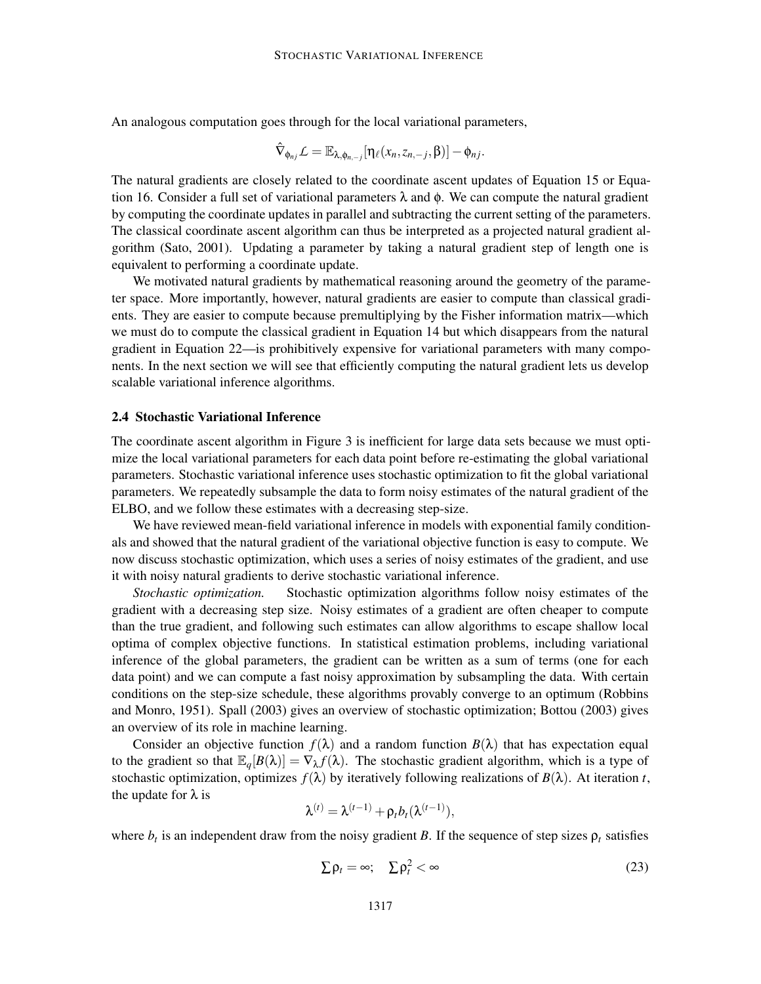An analogous computation goes through for the local variational parameters,

$$
\hat{\nabla}_{\phi_{nj}}\mathcal{L}=\mathbb{E}_{\lambda,\phi_{n,-j}}[\eta_{\ell}(x_n,z_{n,-j},\beta)]-\phi_{nj}.
$$

The natural gradients are closely related to the coordinate ascent updates of Equation 15 or Equation 16. Consider a full set of variational parameters  $\lambda$  and  $\phi$ . We can compute the natural gradient by computing the coordinate updates in parallel and subtracting the current setting of the parameters. The classical coordinate ascent algorithm can thus be interpreted as a projected natural gradient algorithm (Sato, 2001). Updating a parameter by taking a natural gradient step of length one is equivalent to performing a coordinate update.

We motivated natural gradients by mathematical reasoning around the geometry of the parameter space. More importantly, however, natural gradients are easier to compute than classical gradients. They are easier to compute because premultiplying by the Fisher information matrix—which we must do to compute the classical gradient in Equation 14 but which disappears from the natural gradient in Equation 22—is prohibitively expensive for variational parameters with many components. In the next section we will see that efficiently computing the natural gradient lets us develop scalable variational inference algorithms.

#### 2.4 Stochastic Variational Inference

The coordinate ascent algorithm in Figure 3 is inefficient for large data sets because we must optimize the local variational parameters for each data point before re-estimating the global variational parameters. Stochastic variational inference uses stochastic optimization to fit the global variational parameters. We repeatedly subsample the data to form noisy estimates of the natural gradient of the ELBO, and we follow these estimates with a decreasing step-size.

We have reviewed mean-field variational inference in models with exponential family conditionals and showed that the natural gradient of the variational objective function is easy to compute. We now discuss stochastic optimization, which uses a series of noisy estimates of the gradient, and use it with noisy natural gradients to derive stochastic variational inference.

*Stochastic optimization.* Stochastic optimization algorithms follow noisy estimates of the gradient with a decreasing step size. Noisy estimates of a gradient are often cheaper to compute than the true gradient, and following such estimates can allow algorithms to escape shallow local optima of complex objective functions. In statistical estimation problems, including variational inference of the global parameters, the gradient can be written as a sum of terms (one for each data point) and we can compute a fast noisy approximation by subsampling the data. With certain conditions on the step-size schedule, these algorithms provably converge to an optimum (Robbins and Monro, 1951). Spall (2003) gives an overview of stochastic optimization; Bottou (2003) gives an overview of its role in machine learning.

Consider an objective function  $f(\lambda)$  and a random function  $B(\lambda)$  that has expectation equal to the gradient so that  $\mathbb{E}_q[B(\lambda)] = \nabla_\lambda f(\lambda)$ . The stochastic gradient algorithm, which is a type of stochastic optimization, optimizes  $f(\lambda)$  by iteratively following realizations of  $B(\lambda)$ . At iteration *t*, the update for  $\lambda$  is

$$
\lambda^{(t)} = \lambda^{(t-1)} + \rho_t b_t(\lambda^{(t-1)}),
$$

where  $b_t$  is an independent draw from the noisy gradient *B*. If the sequence of step sizes  $\rho_t$  satisfies

$$
\sum \rho_t = \infty; \quad \sum \rho_t^2 < \infty \tag{23}
$$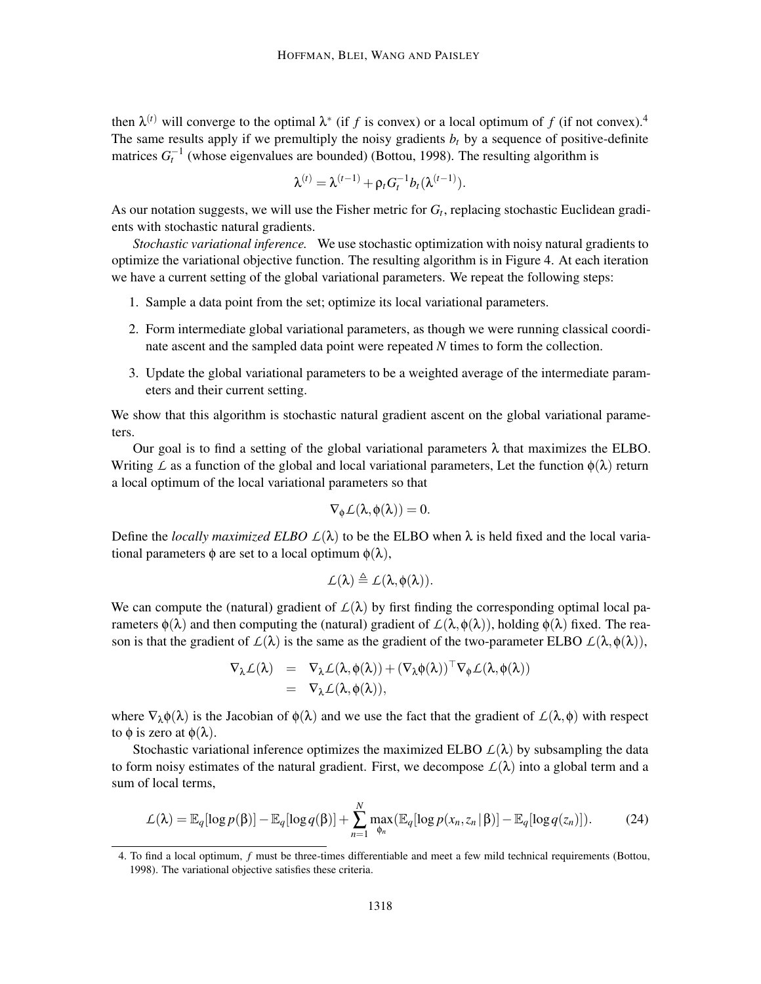then  $\lambda^{(t)}$  will converge to the optimal  $\lambda^*$  (if *f* is convex) or a local optimum of *f* (if not convex).<sup>4</sup> The same results apply if we premultiply the noisy gradients  $b_t$  by a sequence of positive-definite matrices  $G_t^{-1}$  (whose eigenvalues are bounded) (Bottou, 1998). The resulting algorithm is

$$
\lambda^{(t)} = \lambda^{(t-1)} + \rho_t G_t^{-1} b_t(\lambda^{(t-1)}).
$$

As our notation suggests, we will use the Fisher metric for *G<sup>t</sup>* , replacing stochastic Euclidean gradients with stochastic natural gradients.

*Stochastic variational inference.* We use stochastic optimization with noisy natural gradients to optimize the variational objective function. The resulting algorithm is in Figure 4. At each iteration we have a current setting of the global variational parameters. We repeat the following steps:

- 1. Sample a data point from the set; optimize its local variational parameters.
- 2. Form intermediate global variational parameters, as though we were running classical coordinate ascent and the sampled data point were repeated *N* times to form the collection.
- 3. Update the global variational parameters to be a weighted average of the intermediate parameters and their current setting.

We show that this algorithm is stochastic natural gradient ascent on the global variational parameters.

Our goal is to find a setting of the global variational parameters  $\lambda$  that maximizes the ELBO. Writing *L* as a function of the global and local variational parameters, Let the function  $\phi(\lambda)$  return a local optimum of the local variational parameters so that

$$
\nabla_{\phi} \mathcal{L}(\lambda, \phi(\lambda)) = 0.
$$

Define the *locally maximized ELBO*  $L(\lambda)$  to be the ELBO when  $\lambda$  is held fixed and the local variational parameters  $\phi$  are set to a local optimum  $\phi(\lambda)$ ,

$$
\mathcal{L}(\lambda) \triangleq \mathcal{L}(\lambda, \varphi(\lambda)).
$$

We can compute the (natural) gradient of  $\mathcal{L}(\lambda)$  by first finding the corresponding optimal local parameters  $\phi(\lambda)$  and then computing the (natural) gradient of  $\mathcal{L}(\lambda, \phi(\lambda))$ , holding  $\phi(\lambda)$  fixed. The reason is that the gradient of  $\mathcal{L}(\lambda)$  is the same as the gradient of the two-parameter ELBO  $\mathcal{L}(\lambda, \phi(\lambda))$ ,

$$
\begin{array}{rcl}\nabla_{\lambda}\mathcal{L}(\lambda) & = & \nabla_{\lambda}\mathcal{L}(\lambda,\phi(\lambda)) + (\nabla_{\lambda}\phi(\lambda))^\top\nabla_{\phi}\mathcal{L}(\lambda,\phi(\lambda)) \\
& = & \nabla_{\lambda}\mathcal{L}(\lambda,\phi(\lambda)),\n\end{array}
$$

where  $\nabla_{\lambda} \phi(\lambda)$  is the Jacobian of  $\phi(\lambda)$  and we use the fact that the gradient of  $\mathcal{L}(\lambda,\phi)$  with respect to  $\phi$  is zero at  $\phi(\lambda)$ .

Stochastic variational inference optimizes the maximized ELBO  $\mathcal{L}(\lambda)$  by subsampling the data to form noisy estimates of the natural gradient. First, we decompose  $L(\lambda)$  into a global term and a sum of local terms,

$$
\mathcal{L}(\lambda) = \mathbb{E}_q[\log p(\beta)] - \mathbb{E}_q[\log q(\beta)] + \sum_{n=1}^N \max_{\phi_n} (\mathbb{E}_q[\log p(x_n, z_n | \beta)] - \mathbb{E}_q[\log q(z_n)]). \tag{24}
$$

<sup>4.</sup> To find a local optimum, *f* must be three-times differentiable and meet a few mild technical requirements (Bottou, 1998). The variational objective satisfies these criteria.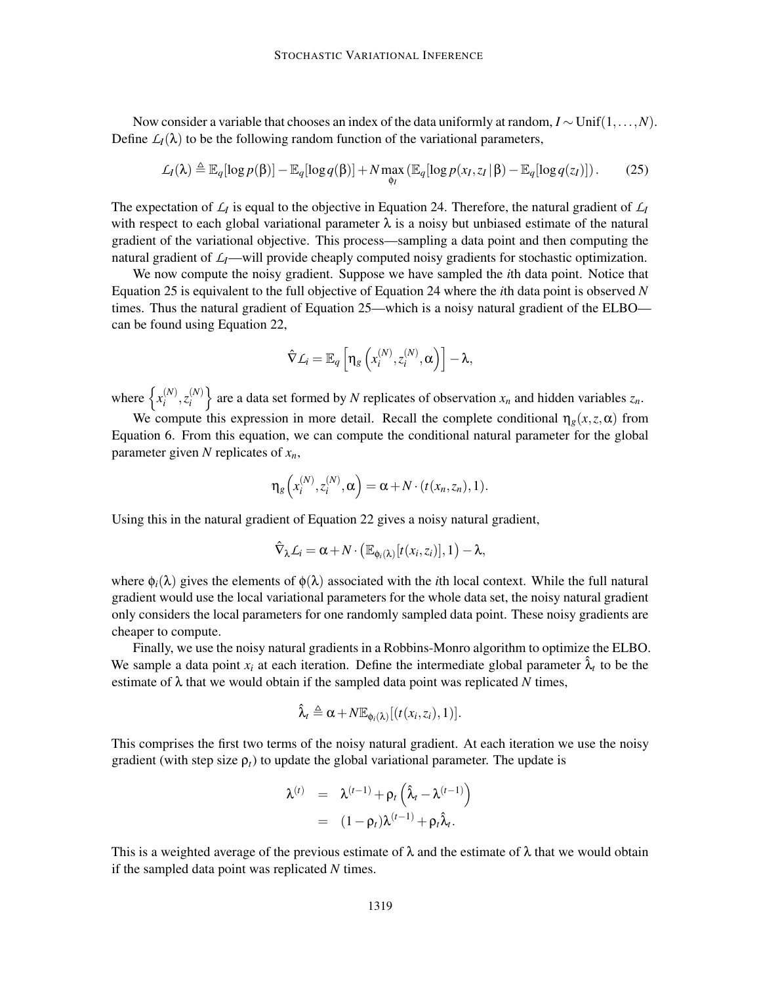Now consider a variable that chooses an index of the data uniformly at random, *I* ∼ Unif(1,...,*N*). Define  $L_I(\lambda)$  to be the following random function of the variational parameters,

$$
\mathcal{L}_I(\lambda) \triangleq \mathbb{E}_q[\log p(\beta)] - \mathbb{E}_q[\log q(\beta)] + N \max_{\phi_I} (\mathbb{E}_q[\log p(x_I, z_I | \beta) - \mathbb{E}_q[\log q(z_I)]). \tag{25}
$$

The expectation of  $L_I$  is equal to the objective in Equation 24. Therefore, the natural gradient of  $L_I$ with respect to each global variational parameter  $\lambda$  is a noisy but unbiased estimate of the natural gradient of the variational objective. This process—sampling a data point and then computing the natural gradient of  $\mathcal{L}_I$ —will provide cheaply computed noisy gradients for stochastic optimization.

We now compute the noisy gradient. Suppose we have sampled the *i*th data point. Notice that Equation 25 is equivalent to the full objective of Equation 24 where the *i*th data point is observed *N* times. Thus the natural gradient of Equation 25—which is a noisy natural gradient of the ELBO can be found using Equation 22,

$$
\hat{\nabla} L_i = \mathbb{E}_q \left[ \eta_g \left( x_i^{(N)}, z_i^{(N)}, \alpha \right) \right] - \lambda,
$$

where  $\left\{ x_i^{(N)} \right\}$  $\binom{i}{i}$ ,  $z_i^{(N)}$  $\{N_i^{(N)}\}$  are a data set formed by *N* replicates of observation  $x_n$  and hidden variables  $z_n$ .

We compute this expression in more detail. Recall the complete conditional  $\eta_g(x, z, \alpha)$  from Equation 6. From this equation, we can compute the conditional natural parameter for the global parameter given *N* replicates of *xn*,

$$
\eta_g\left(x_i^{(N)}, z_i^{(N)}, \alpha\right) = \alpha + N \cdot (t(x_n, z_n), 1).
$$

Using this in the natural gradient of Equation 22 gives a noisy natural gradient,

$$
\hat{\nabla}_{\lambda} L_i = \alpha + N \cdot (\mathbb{E}_{\phi_i(\lambda)}[t(x_i, z_i)], 1) - \lambda,
$$

where  $\phi_i(\lambda)$  gives the elements of  $\phi(\lambda)$  associated with the *i*th local context. While the full natural gradient would use the local variational parameters for the whole data set, the noisy natural gradient only considers the local parameters for one randomly sampled data point. These noisy gradients are cheaper to compute.

Finally, we use the noisy natural gradients in a Robbins-Monro algorithm to optimize the ELBO. We sample a data point  $x_i$  at each iteration. Define the intermediate global parameter  $\hat{\lambda}_t$  to be the estimate of  $\lambda$  that we would obtain if the sampled data point was replicated N times,

$$
\hat{\lambda}_t \triangleq \alpha + N \mathbb{E}_{\phi_i(\lambda)}[(t(x_i,z_i),1)].
$$

This comprises the first two terms of the noisy natural gradient. At each iteration we use the noisy gradient (with step size  $\rho_t$ ) to update the global variational parameter. The update is

$$
\lambda^{(t)} = \lambda^{(t-1)} + \rho_t \left( \hat{\lambda}_t - \lambda^{(t-1)} \right)
$$
  
= 
$$
(1 - \rho_t) \lambda^{(t-1)} + \rho_t \hat{\lambda}_t.
$$

This is a weighted average of the previous estimate of  $\lambda$  and the estimate of  $\lambda$  that we would obtain if the sampled data point was replicated *N* times.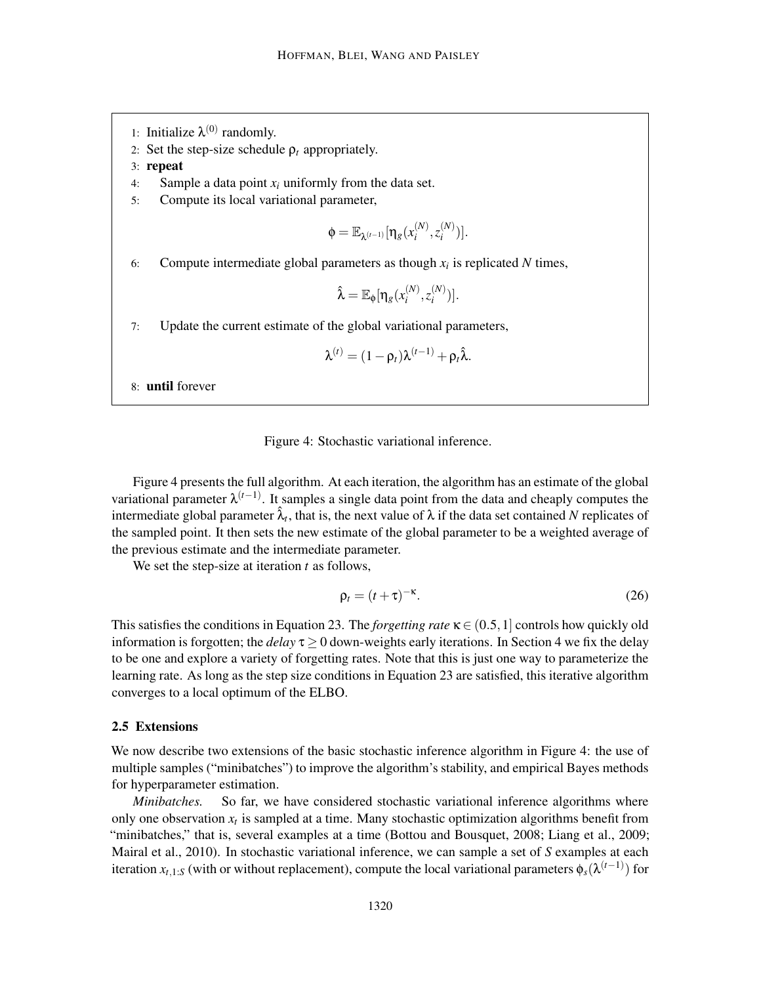- 1: Initialize  $\lambda^{(0)}$  randomly.
- 2: Set the step-size schedule  $\rho_t$  appropriately.
- 3: repeat
- 4: Sample a data point *x<sup>i</sup>* uniformly from the data set.
- 5: Compute its local variational parameter,

$$
\Phi = \mathbb{E}_{\lambda^{(t-1)}}[\eta_g(x_i^{(N)}, z_i^{(N)})].
$$

6: Compute intermediate global parameters as though  $x_i$  is replicated  $N$  times,

$$
\hat{\lambda} = \mathbb{E}_{\phi}[\eta_g(x_i^{(N)}, z_i^{(N)})].
$$

7: Update the current estimate of the global variational parameters,

$$
\lambda^{(t)} = (1 - \rho_t)\lambda^{(t-1)} + \rho_t \hat{\lambda}.
$$

8: until forever

#### Figure 4: Stochastic variational inference.

Figure 4 presents the full algorithm. At each iteration, the algorithm has an estimate of the global variational parameter λ (*t*−1) . It samples a single data point from the data and cheaply computes the intermediate global parameter  $\hat{\lambda}_t$ , that is, the next value of  $\lambda$  if the data set contained *N* replicates of the sampled point. It then sets the new estimate of the global parameter to be a weighted average of the previous estimate and the intermediate parameter.

We set the step-size at iteration *t* as follows,

$$
\rho_t = (t + \tau)^{-\kappa}.\tag{26}
$$

This satisfies the conditions in Equation 23. The *forgetting rate*  $\kappa \in (0.5, 1]$  controls how quickly old information is forgotten; the *delay*  $\tau \ge 0$  down-weights early iterations. In Section 4 we fix the delay to be one and explore a variety of forgetting rates. Note that this is just one way to parameterize the learning rate. As long as the step size conditions in Equation 23 are satisfied, this iterative algorithm converges to a local optimum of the ELBO.

#### 2.5 Extensions

We now describe two extensions of the basic stochastic inference algorithm in Figure 4: the use of multiple samples ("minibatches") to improve the algorithm's stability, and empirical Bayes methods for hyperparameter estimation.

*Minibatches.* So far, we have considered stochastic variational inference algorithms where only one observation  $x_t$  is sampled at a time. Many stochastic optimization algorithms benefit from "minibatches," that is, several examples at a time (Bottou and Bousquet, 2008; Liang et al., 2009; Mairal et al., 2010). In stochastic variational inference, we can sample a set of *S* examples at each iteration  $x_{t,1:S}$  (with or without replacement), compute the local variational parameters  $\phi_s(\lambda^{(t-1)})$  for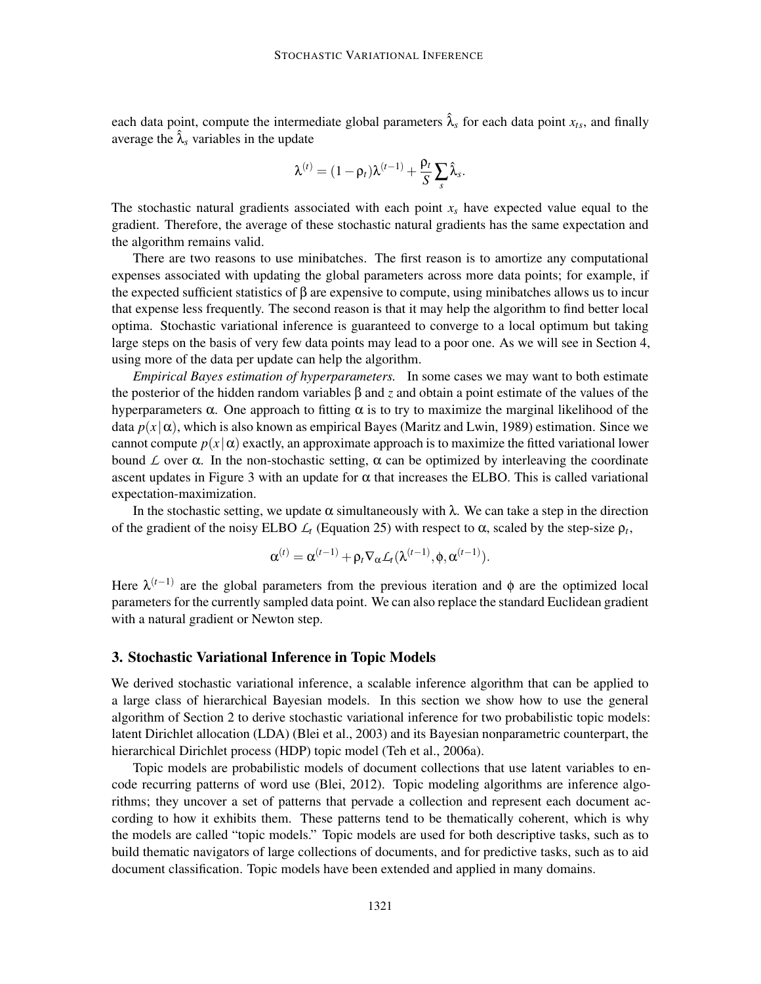each data point, compute the intermediate global parameters  $\hat{\lambda}_s$  for each data point  $x_{ts}$ , and finally average the  $\hat{\lambda}_s$  variables in the update

$$
\lambda^{(t)}=(1-\rho_t)\lambda^{(t-1)}+\frac{\rho_t}{S}\sum_s \hat{\lambda}_s.
$$

The stochastic natural gradients associated with each point  $x_s$  have expected value equal to the gradient. Therefore, the average of these stochastic natural gradients has the same expectation and the algorithm remains valid.

There are two reasons to use minibatches. The first reason is to amortize any computational expenses associated with updating the global parameters across more data points; for example, if the expected sufficient statistics of  $\beta$  are expensive to compute, using minibatches allows us to incur that expense less frequently. The second reason is that it may help the algorithm to find better local optima. Stochastic variational inference is guaranteed to converge to a local optimum but taking large steps on the basis of very few data points may lead to a poor one. As we will see in Section 4, using more of the data per update can help the algorithm.

*Empirical Bayes estimation of hyperparameters.* In some cases we may want to both estimate the posterior of the hidden random variables β and *z* and obtain a point estimate of the values of the hyperparameters  $\alpha$ . One approach to fitting  $\alpha$  is to try to maximize the marginal likelihood of the data  $p(x|\alpha)$ , which is also known as empirical Bayes (Maritz and Lwin, 1989) estimation. Since we cannot compute  $p(x|\alpha)$  exactly, an approximate approach is to maximize the fitted variational lower bound *L* over α. In the non-stochastic setting, α can be optimized by interleaving the coordinate ascent updates in Figure 3 with an update for  $\alpha$  that increases the ELBO. This is called variational expectation-maximization.

In the stochastic setting, we update  $\alpha$  simultaneously with  $\lambda$ . We can take a step in the direction of the gradient of the noisy ELBO  $L_t$  (Equation 25) with respect to α, scaled by the step-size  $ρ_t$ ,

$$
\boldsymbol{\alpha}^{(t)} = \boldsymbol{\alpha}^{(t-1)} + \rho_t \nabla_{\boldsymbol{\alpha}} \mathcal{L}_t(\boldsymbol{\lambda}^{(t-1)}, \boldsymbol{\phi}, \boldsymbol{\alpha}^{(t-1)}).
$$

Here  $\lambda^{(t-1)}$  are the global parameters from the previous iteration and  $\phi$  are the optimized local parameters for the currently sampled data point. We can also replace the standard Euclidean gradient with a natural gradient or Newton step.

#### 3. Stochastic Variational Inference in Topic Models

We derived stochastic variational inference, a scalable inference algorithm that can be applied to a large class of hierarchical Bayesian models. In this section we show how to use the general algorithm of Section 2 to derive stochastic variational inference for two probabilistic topic models: latent Dirichlet allocation (LDA) (Blei et al., 2003) and its Bayesian nonparametric counterpart, the hierarchical Dirichlet process (HDP) topic model (Teh et al., 2006a).

Topic models are probabilistic models of document collections that use latent variables to encode recurring patterns of word use (Blei, 2012). Topic modeling algorithms are inference algorithms; they uncover a set of patterns that pervade a collection and represent each document according to how it exhibits them. These patterns tend to be thematically coherent, which is why the models are called "topic models." Topic models are used for both descriptive tasks, such as to build thematic navigators of large collections of documents, and for predictive tasks, such as to aid document classification. Topic models have been extended and applied in many domains.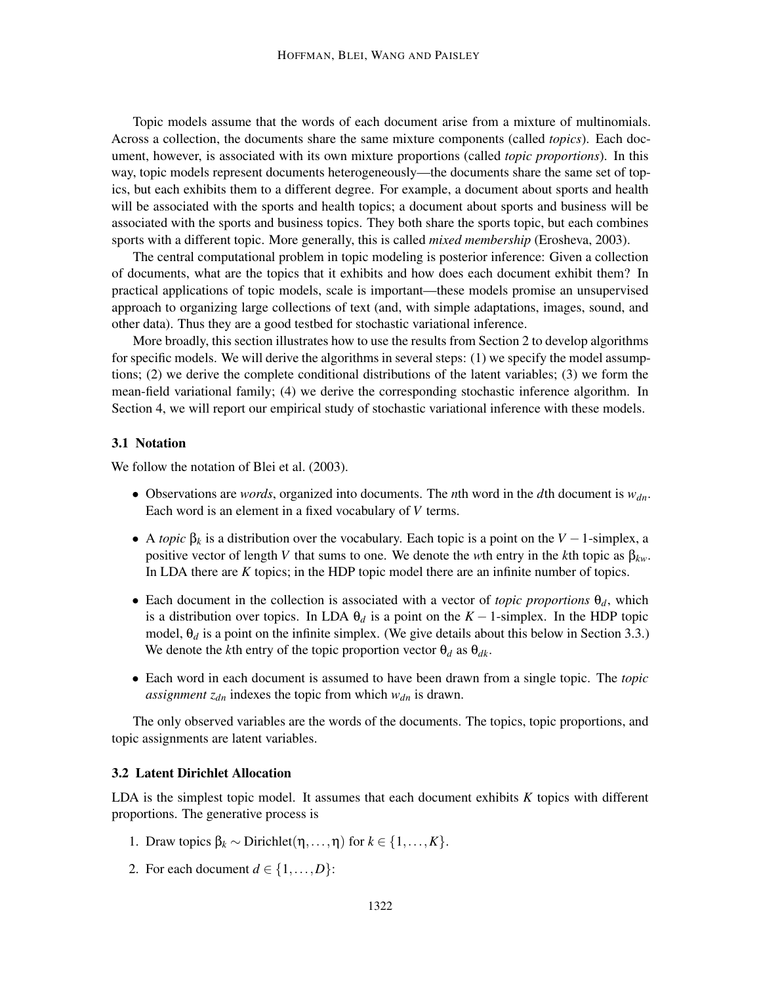Topic models assume that the words of each document arise from a mixture of multinomials. Across a collection, the documents share the same mixture components (called *topics*). Each document, however, is associated with its own mixture proportions (called *topic proportions*). In this way, topic models represent documents heterogeneously—the documents share the same set of topics, but each exhibits them to a different degree. For example, a document about sports and health will be associated with the sports and health topics; a document about sports and business will be associated with the sports and business topics. They both share the sports topic, but each combines sports with a different topic. More generally, this is called *mixed membership* (Erosheva, 2003).

The central computational problem in topic modeling is posterior inference: Given a collection of documents, what are the topics that it exhibits and how does each document exhibit them? In practical applications of topic models, scale is important—these models promise an unsupervised approach to organizing large collections of text (and, with simple adaptations, images, sound, and other data). Thus they are a good testbed for stochastic variational inference.

More broadly, this section illustrates how to use the results from Section 2 to develop algorithms for specific models. We will derive the algorithms in several steps: (1) we specify the model assumptions; (2) we derive the complete conditional distributions of the latent variables; (3) we form the mean-field variational family; (4) we derive the corresponding stochastic inference algorithm. In Section 4, we will report our empirical study of stochastic variational inference with these models.

### 3.1 Notation

We follow the notation of Blei et al.  $(2003)$ .

- Observations are *words*, organized into documents. The *n*th word in the *d*th document is *wdn*. Each word is an element in a fixed vocabulary of *V* terms.
- A *topic*  $\beta_k$  is a distribution over the vocabulary. Each topic is a point on the *V* − 1-simplex, a positive vector of length *V* that sums to one. We denote the *w*th entry in the *k*th topic as  $\beta_{kw}$ . In LDA there are *K* topics; in the HDP topic model there are an infinite number of topics.
- Each document in the collection is associated with a vector of *topic proportions*  $\theta_d$ , which is a distribution over topics. In LDA  $\theta_d$  is a point on the  $K-1$ -simplex. In the HDP topic model,  $\theta_d$  is a point on the infinite simplex. (We give details about this below in Section 3.3.) We denote the *k*th entry of the topic proportion vector  $\theta_d$  as  $\theta_{dk}$ .
- Each word in each document is assumed to have been drawn from a single topic. The *topic assignment zdn* indexes the topic from which *wdn* is drawn.

The only observed variables are the words of the documents. The topics, topic proportions, and topic assignments are latent variables.

#### 3.2 Latent Dirichlet Allocation

LDA is the simplest topic model. It assumes that each document exhibits *K* topics with different proportions. The generative process is

- 1. Draw topics β*<sup>k</sup>* ∼ Dirichlet(η,...,η) for *k* ∈ {1,...,*K*}.
- 2. For each document  $d \in \{1, ..., D\}$ :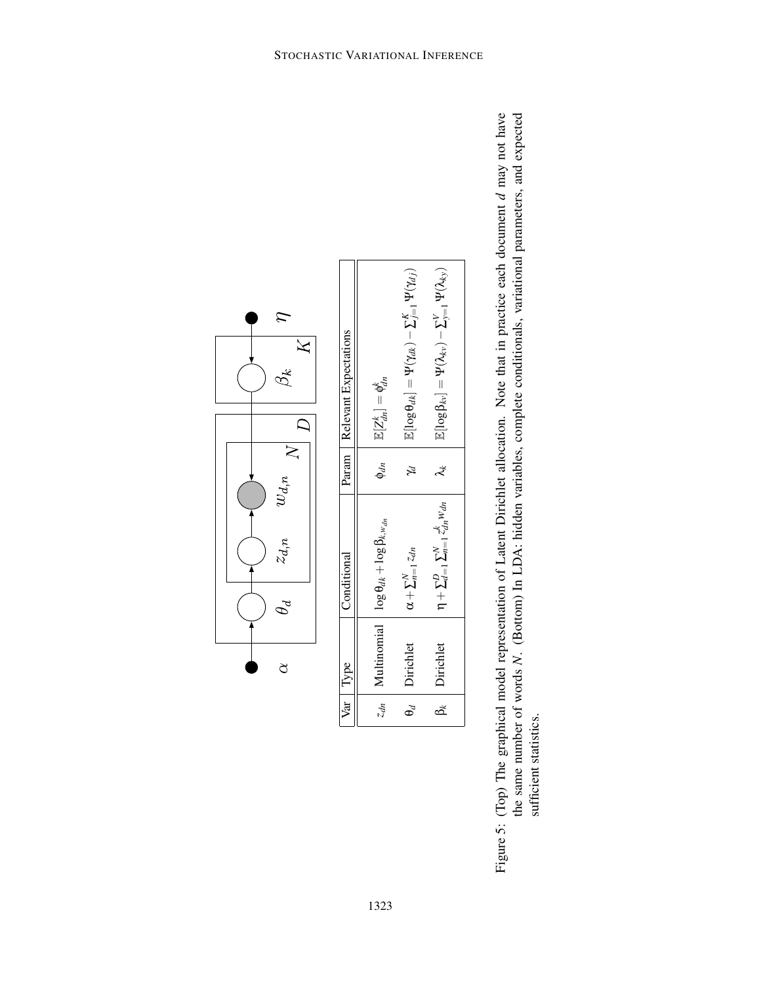| $\mathcal{L}% _{M_{1},M_{2}}^{\alpha,\beta}(\theta;\mathbf{A})=0$<br>$\tilde{\zeta}$ | Relevant Expectations | $\mathbb{E}[\log \beta_{kv}] = \mathbf{\Psi}(\lambda_{kv}) - \mathbf{\Sigma}_{y=1}^V \mathbf{\Psi}(\lambda_{ky})$<br>$\mathbb{E}[\log \theta_{dk}] = \Psi(\gamma_{dk}) - \Sigma_{j=1}^K \Psi(\gamma_{dj})$<br>$\mathbb{E}[Z_{dn}^k]=\mathfrak{q}_{dn}^k$ |
|--------------------------------------------------------------------------------------|-----------------------|----------------------------------------------------------------------------------------------------------------------------------------------------------------------------------------------------------------------------------------------------------|
| $\omega_{d,n}$                                                                       | Param                 | $\phi_{dn}$<br>$\lambda^*$<br>Z                                                                                                                                                                                                                          |
| $z_{d,n}$<br>$\mathcal{P}$                                                           | Conditional           | $\eta + \sum_{d=1}^{D} \sum_{n=1}^{N} z_{dn}^{k} w_{dn}$<br>Multinomial $\int \log \theta_{dk} + \log \beta_{k,w_{dn}}$<br>$\alpha + \sum_{n=1}^{N} z_{dn}$                                                                                              |
| ₫                                                                                    | Type                  | Dirichlet<br>Dirichlet                                                                                                                                                                                                                                   |
|                                                                                      | Var                   | $\beta_k$<br>$\Theta_d$<br>$z_{dn}$                                                                                                                                                                                                                      |

Figure 5: (Top) The graphical model representation of Latent Dirichlet allocation. Note that in practice each document d may not have the same number of words N. (Bottom) In LDA: hidden variables, complete conditionals, variational parameters, and expected may not have *N*. (Bottom) In LDA: hidden variables, complete conditionals, variational parameters, and expected Figure 5: (Top) The graphical model representation of Latent Dirichlet allocation. Note that in practice each document the same number of words sufficient statistics. sufficient statistics.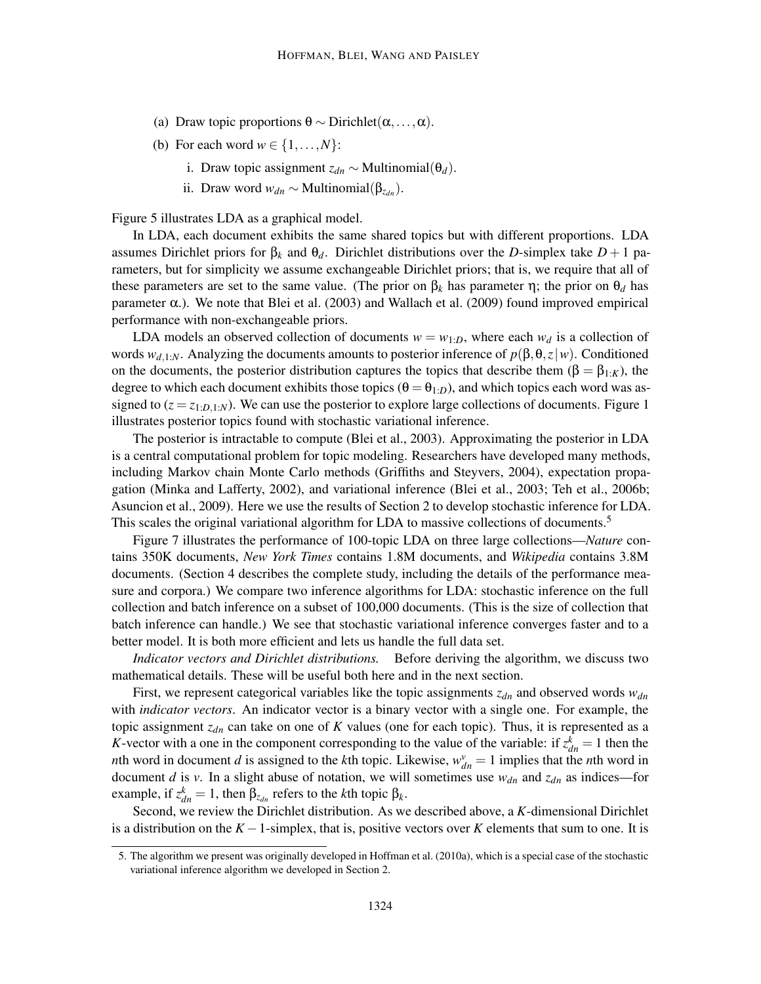- (a) Draw topic proportions  $\theta \sim \text{Dirichlet}(\alpha, \dots, \alpha)$ .
- (b) For each word  $w \in \{1, \ldots, N\}$ :
	- i. Draw topic assignment  $z_{dn} \sim \text{Multinomial}(\theta_d)$ .
	- ii. Draw word  $w_{dn}$  ∼ Multinomial( $β_{z_{dn}}$ ).

Figure 5 illustrates LDA as a graphical model.

In LDA, each document exhibits the same shared topics but with different proportions. LDA assumes Dirichlet priors for  $β_k$  and  $θ_d$ . Dirichlet distributions over the *D*-simplex take  $D+1$  parameters, but for simplicity we assume exchangeable Dirichlet priors; that is, we require that all of these parameters are set to the same value. (The prior on  $\beta_k$  has parameter  $\eta$ ; the prior on  $\theta_d$  has parameter  $\alpha$ .). We note that Blei et al. (2003) and Wallach et al. (2009) found improved empirical performance with non-exchangeable priors.

LDA models an observed collection of documents  $w = w_{1:D}$ , where each  $w_d$  is a collection of words  $w_{d,1:N}$ . Analyzing the documents amounts to posterior inference of  $p(\beta, \theta, z | w)$ . Conditioned on the documents, the posterior distribution captures the topics that describe them ( $\beta = \beta_{1:\mathcal{K}}$ ), the degree to which each document exhibits those topics ( $\theta = \theta_{1:D}$ ), and which topics each word was assigned to  $(z = z_{1:D,1:N})$ . We can use the posterior to explore large collections of documents. Figure 1 illustrates posterior topics found with stochastic variational inference.

The posterior is intractable to compute (Blei et al., 2003). Approximating the posterior in LDA is a central computational problem for topic modeling. Researchers have developed many methods, including Markov chain Monte Carlo methods (Griffiths and Steyvers, 2004), expectation propagation (Minka and Lafferty, 2002), and variational inference (Blei et al., 2003; Teh et al., 2006b; Asuncion et al., 2009). Here we use the results of Section 2 to develop stochastic inference for LDA. This scales the original variational algorithm for LDA to massive collections of documents.<sup>5</sup>

Figure 7 illustrates the performance of 100-topic LDA on three large collections—*Nature* contains 350K documents, *New York Times* contains 1.8M documents, and *Wikipedia* contains 3.8M documents. (Section 4 describes the complete study, including the details of the performance measure and corpora.) We compare two inference algorithms for LDA: stochastic inference on the full collection and batch inference on a subset of 100,000 documents. (This is the size of collection that batch inference can handle.) We see that stochastic variational inference converges faster and to a better model. It is both more efficient and lets us handle the full data set.

*Indicator vectors and Dirichlet distributions.* Before deriving the algorithm, we discuss two mathematical details. These will be useful both here and in the next section.

First, we represent categorical variables like the topic assignments  $z_{dn}$  and observed words  $w_{dn}$ with *indicator vectors*. An indicator vector is a binary vector with a single one. For example, the topic assignment *zdn* can take on one of *K* values (one for each topic). Thus, it is represented as a *K*-vector with a one in the component corresponding to the value of the variable: if  $z_{dn}^k = 1$  then the *n*th word in document *d* is assigned to the *k*th topic. Likewise,  $w_{dn}^{\nu} = 1$  implies that the *n*th word in document *d* is *v*. In a slight abuse of notation, we will sometimes use  $w_{dn}$  and  $z_{dn}$  as indices—for example, if  $z_{dn}^k = 1$ , then  $β_{z_{dn}}$  refers to the *k*th topic  $β_k$ .

Second, we review the Dirichlet distribution. As we described above, a *K*-dimensional Dirichlet is a distribution on the *K* −1-simplex, that is, positive vectors over *K* elements that sum to one. It is

<sup>5.</sup> The algorithm we present was originally developed in Hoffman et al. (2010a), which is a special case of the stochastic variational inference algorithm we developed in Section 2.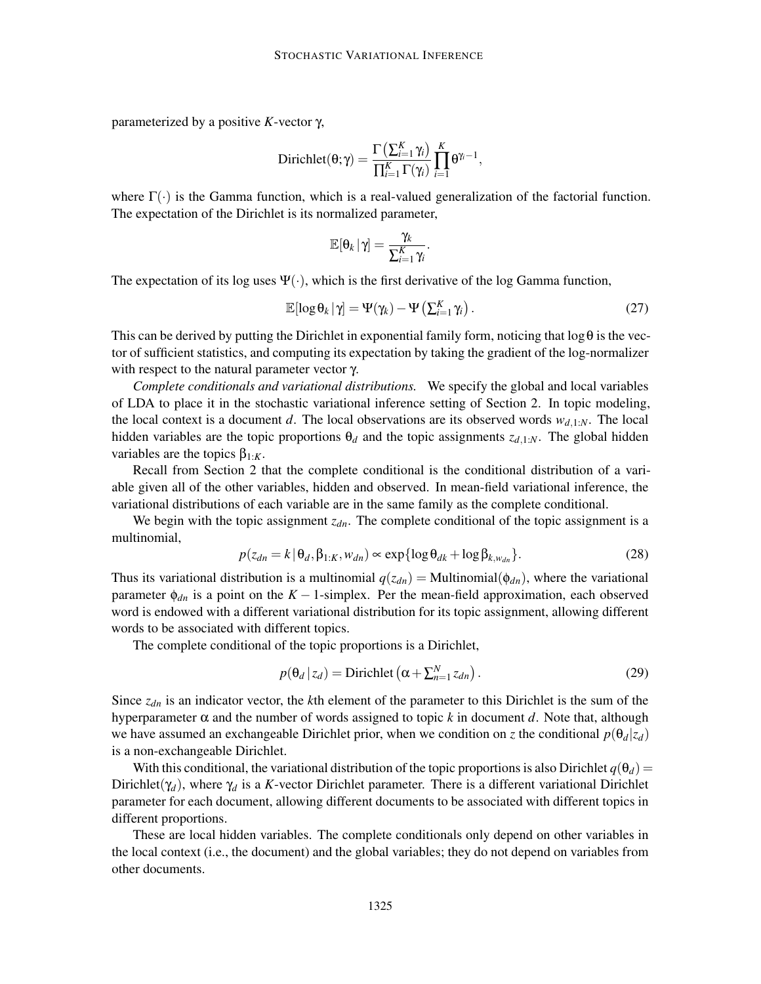parameterized by a positive *K*-vector γ,

$$
Dirichlet(\theta;\gamma)=\frac{\Gamma\left(\sum_{i=1}^K\gamma_i\right)}{\prod_{i=1}^K\Gamma(\gamma_i)}\prod_{i=1}^K\theta^{\gamma_i-1},
$$

where  $\Gamma(\cdot)$  is the Gamma function, which is a real-valued generalization of the factorial function. The expectation of the Dirichlet is its normalized parameter,

$$
\mathbb{E}[\theta_k \,|\, \gamma] = \frac{\gamma_k}{\sum_{i=1}^K \gamma_i}.
$$

The expectation of its log uses  $\Psi(\cdot)$ , which is the first derivative of the log Gamma function,

$$
\mathbb{E}[\log \theta_k | \gamma] = \Psi(\gamma_k) - \Psi\left(\sum_{i=1}^K \gamma_i\right). \tag{27}
$$

This can be derived by putting the Dirichlet in exponential family form, noticing that  $\log \theta$  is the vector of sufficient statistics, and computing its expectation by taking the gradient of the log-normalizer with respect to the natural parameter vector γ.

*Complete conditionals and variational distributions.* We specify the global and local variables of LDA to place it in the stochastic variational inference setting of Section 2. In topic modeling, the local context is a document *d*. The local observations are its observed words  $w_{d,1:N}$ . The local hidden variables are the topic proportions  $\theta_d$  and the topic assignments  $z_{d,1:N}$ . The global hidden variables are the topics  $\beta_{1:K}$ .

Recall from Section 2 that the complete conditional is the conditional distribution of a variable given all of the other variables, hidden and observed. In mean-field variational inference, the variational distributions of each variable are in the same family as the complete conditional.

We begin with the topic assignment *zdn*. The complete conditional of the topic assignment is a multinomial,

$$
p(z_{dn} = k | \theta_d, \beta_{1:K}, w_{dn}) \propto \exp\{\log \theta_{dk} + \log \beta_{k, w_{dn}}\}.
$$
 (28)

Thus its variational distribution is a multinomial  $q(z_{dn}) = \text{Multinomial}(\phi_{dn})$ , where the variational parameter  $\phi_{dn}$  is a point on the *K* − 1-simplex. Per the mean-field approximation, each observed word is endowed with a different variational distribution for its topic assignment, allowing different words to be associated with different topics.

The complete conditional of the topic proportions is a Dirichlet,

$$
p(\theta_d | z_d) = \text{Dirichlet}\left(\alpha + \sum_{n=1}^N z_{dn}\right). \tag{29}
$$

Since *zdn* is an indicator vector, the *k*th element of the parameter to this Dirichlet is the sum of the hyperparameter  $\alpha$  and the number of words assigned to topic  $k$  in document  $d$ . Note that, although we have assumed an exchangeable Dirichlet prior, when we condition on *z* the conditional  $p(\theta_d|z_d)$ is a non-exchangeable Dirichlet.

With this conditional, the variational distribution of the topic proportions is also Dirichlet  $q(\theta_d)$  = Dirichlet( $\gamma_d$ ), where  $\gamma_d$  is a *K*-vector Dirichlet parameter. There is a different variational Dirichlet parameter for each document, allowing different documents to be associated with different topics in different proportions.

These are local hidden variables. The complete conditionals only depend on other variables in the local context (i.e., the document) and the global variables; they do not depend on variables from other documents.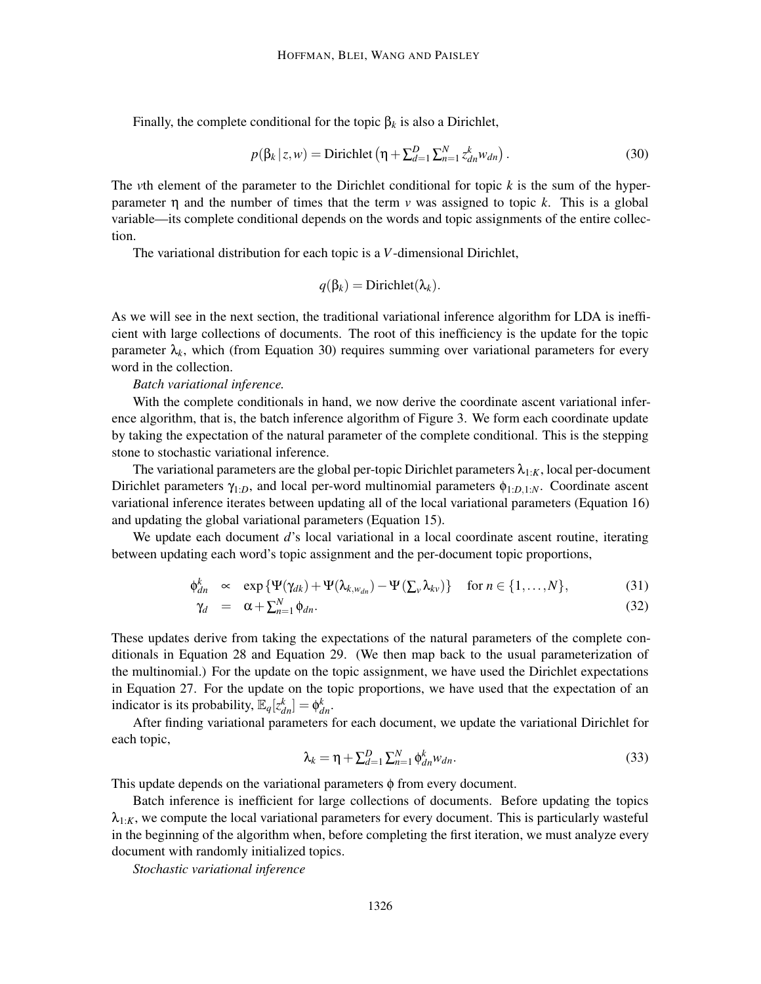Finally, the complete conditional for the topic  $β<sub>k</sub>$  is also a Dirichlet,

$$
p(\beta_k \mid z, w) = \text{Dirichlet}\left(\eta + \sum_{d=1}^D \sum_{n=1}^N z_{dn}^k w_{dn}\right). \tag{30}
$$

The *v*th element of the parameter to the Dirichlet conditional for topic *k* is the sum of the hyperparameter η and the number of times that the term *v* was assigned to topic *k*. This is a global variable—its complete conditional depends on the words and topic assignments of the entire collection.

The variational distribution for each topic is a *V*-dimensional Dirichlet,

$$
q(\beta_k) = \text{Dirichlet}(\lambda_k).
$$

As we will see in the next section, the traditional variational inference algorithm for LDA is inefficient with large collections of documents. The root of this inefficiency is the update for the topic parameter  $\lambda_k$ , which (from Equation 30) requires summing over variational parameters for every word in the collection.

*Batch variational inference.*

With the complete conditionals in hand, we now derive the coordinate ascent variational inference algorithm, that is, the batch inference algorithm of Figure 3. We form each coordinate update by taking the expectation of the natural parameter of the complete conditional. This is the stepping stone to stochastic variational inference.

The variational parameters are the global per-topic Dirichlet parameters  $\lambda_{1:K}$ , local per-document Dirichlet parameters  $\gamma_{1:D}$ , and local per-word multinomial parameters  $\phi_{1:D,1:N}$ . Coordinate ascent variational inference iterates between updating all of the local variational parameters (Equation 16) and updating the global variational parameters (Equation 15).

We update each document *d*'s local variational in a local coordinate ascent routine, iterating between updating each word's topic assignment and the per-document topic proportions,

$$
\phi_{dn}^k \quad \propto \quad \exp\left\{\Psi(\gamma_{dk}) + \Psi(\lambda_{k,w_{dn}}) - \Psi(\sum_{v}\lambda_{kv})\right\} \quad \text{for } n \in \{1,\dots,N\},\tag{31}
$$

$$
\gamma_d = \alpha + \sum_{n=1}^{N} \phi_{dn}.
$$
\n(32)

These updates derive from taking the expectations of the natural parameters of the complete conditionals in Equation 28 and Equation 29. (We then map back to the usual parameterization of the multinomial.) For the update on the topic assignment, we have used the Dirichlet expectations in Equation 27. For the update on the topic proportions, we have used that the expectation of an indicator is its probability,  $\mathbb{E}_q[z_{dn}^k] = \phi_{dn}^k$ .

After finding variational parameters for each document, we update the variational Dirichlet for each topic,

$$
\lambda_k = \eta + \sum_{d=1}^D \sum_{n=1}^N \phi_{dn}^k w_{dn}.
$$
\n(33)

This update depends on the variational parameters  $\phi$  from every document.

Batch inference is inefficient for large collections of documents. Before updating the topics  $\lambda_{1:K}$ , we compute the local variational parameters for every document. This is particularly wasteful in the beginning of the algorithm when, before completing the first iteration, we must analyze every document with randomly initialized topics.

*Stochastic variational inference*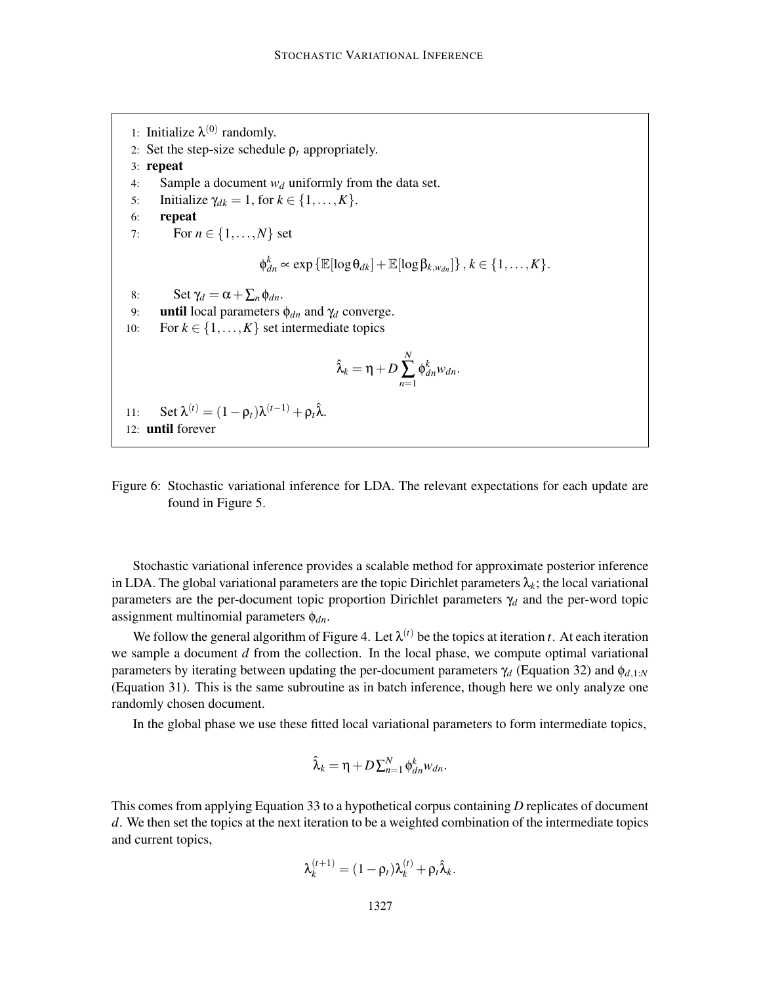1: Initialize  $\lambda^{(0)}$  randomly. 2: Set the step-size schedule  $\rho_t$  appropriately. 3: repeat 4: Sample a document  $w_d$  uniformly from the data set. 5: Initialize  $\gamma_{dk} = 1$ , for  $k \in \{1, \ldots, K\}$ . 6: repeat 7: For  $n \in \{1, ..., N\}$  set  $\phi_{dn}^k \propto \exp{\{\mathbb{E}[\log \theta_{dk}]+\mathbb{E}[\log \beta_{k,w_{dn}}]\}}, k \in \{1,\ldots,K\}.$ 8: Set  $\gamma_d = \alpha + \sum_n \phi_{dn}$ . 9: **until** local parameters  $\phi_{dn}$  and  $\gamma_d$  converge. 10: For  $k \in \{1, ..., K\}$  set intermediate topics  $\hat{\lambda}_k = \eta + D \sum_{n=1}^N$  $\oint_{dn}^k w_{dn}$ . 11: Set  $\lambda^{(t)} = (1 - \rho_t)\lambda^{(t-1)} + \rho_t\lambda$ . 12: until forever



Stochastic variational inference provides a scalable method for approximate posterior inference in LDA. The global variational parameters are the topic Dirichlet parameters  $\lambda_k$ ; the local variational parameters are the per-document topic proportion Dirichlet parameters γ*<sup>d</sup>* and the per-word topic assignment multinomial parameters φ*dn*.

We follow the general algorithm of Figure 4. Let  $\lambda^{(t)}$  be the topics at iteration *t*. At each iteration we sample a document *d* from the collection. In the local phase, we compute optimal variational parameters by iterating between updating the per-document parameters  $\gamma_d$  (Equation 32) and  $\phi_{d,1:N}$ (Equation 31). This is the same subroutine as in batch inference, though here we only analyze one randomly chosen document.

In the global phase we use these fitted local variational parameters to form intermediate topics,

$$
\hat{\lambda}_k = \eta + D \sum_{n=1}^N \phi_{dn}^k w_{dn}.
$$

This comes from applying Equation 33 to a hypothetical corpus containing *D* replicates of document *d*. We then set the topics at the next iteration to be a weighted combination of the intermediate topics and current topics,

$$
\lambda_k^{(t+1)} = (1 - \rho_t)\lambda_k^{(t)} + \rho_t \hat{\lambda}_k.
$$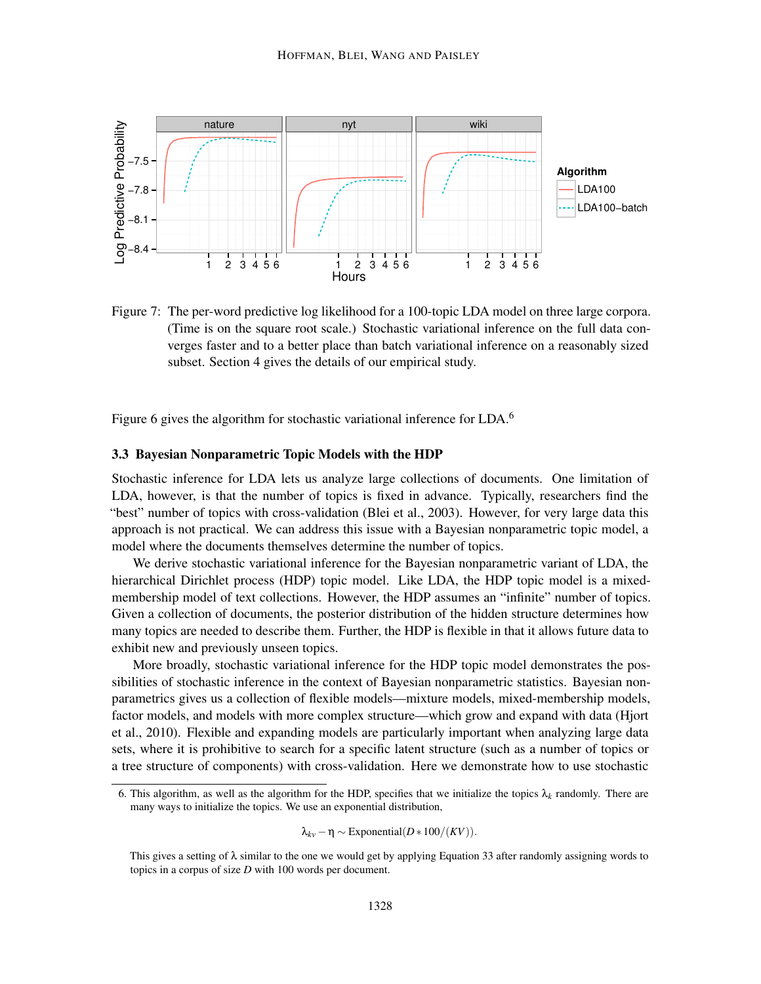

Figure 7: The per-word predictive log likelihood for a 100-topic LDA model on three large corpora. (Time is on the square root scale.) Stochastic variational inference on the full data converges faster and to a better place than batch variational inference on a reasonably sized subset. Section 4 gives the details of our empirical study.

Figure 6 gives the algorithm for stochastic variational inference for LDA.<sup>6</sup>

#### 3.3 Bayesian Nonparametric Topic Models with the HDP

Stochastic inference for LDA lets us analyze large collections of documents. One limitation of LDA, however, is that the number of topics is fixed in advance. Typically, researchers find the "best" number of topics with cross-validation (Blei et al., 2003). However, for very large data this approach is not practical. We can address this issue with a Bayesian nonparametric topic model, a model where the documents themselves determine the number of topics.

We derive stochastic variational inference for the Bayesian nonparametric variant of LDA, the hierarchical Dirichlet process (HDP) topic model. Like LDA, the HDP topic model is a mixedmembership model of text collections. However, the HDP assumes an "infinite" number of topics. Given a collection of documents, the posterior distribution of the hidden structure determines how many topics are needed to describe them. Further, the HDP is flexible in that it allows future data to exhibit new and previously unseen topics.

More broadly, stochastic variational inference for the HDP topic model demonstrates the possibilities of stochastic inference in the context of Bayesian nonparametric statistics. Bayesian nonparametrics gives us a collection of flexible models—mixture models, mixed-membership models, factor models, and models with more complex structure—which grow and expand with data (Hjort et al., 2010). Flexible and expanding models are particularly important when analyzing large data sets, where it is prohibitive to search for a specific latent structure (such as a number of topics or a tree structure of components) with cross-validation. Here we demonstrate how to use stochastic

$$
\lambda_{kv} - \eta \sim \text{Exponential}(D * 100/(KV)).
$$

<sup>6.</sup> This algorithm, as well as the algorithm for the HDP, specifies that we initialize the topics  $\lambda_k$  randomly. There are many ways to initialize the topics. We use an exponential distribution,

This gives a setting of  $\lambda$  similar to the one we would get by applying Equation 33 after randomly assigning words to topics in a corpus of size *D* with 100 words per document.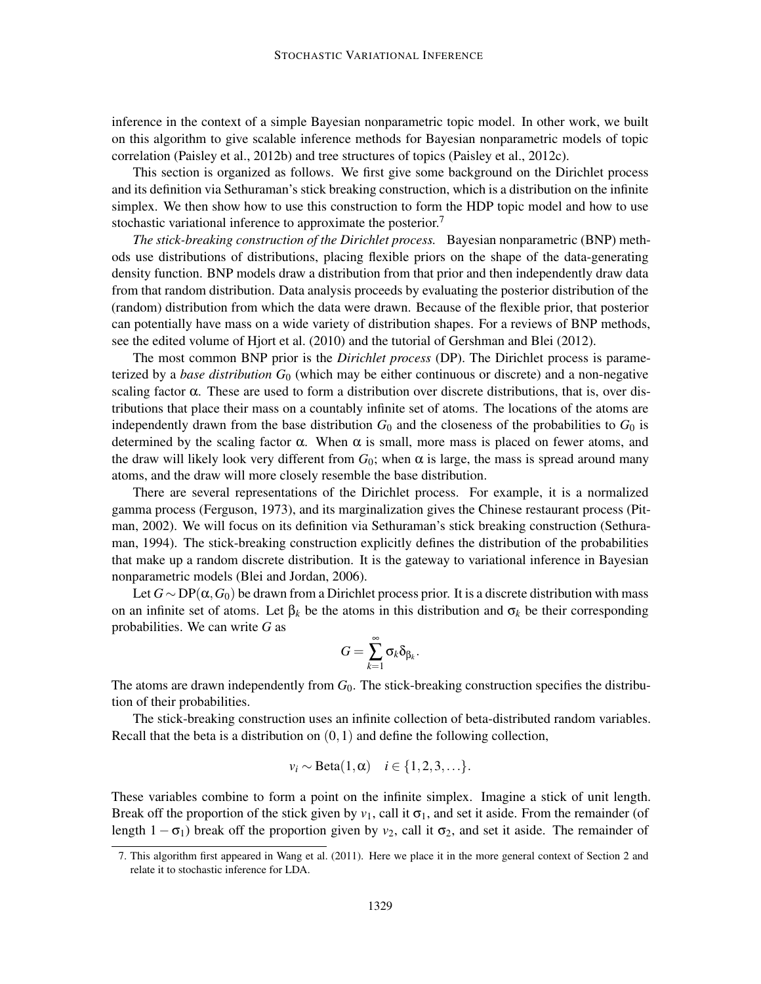inference in the context of a simple Bayesian nonparametric topic model. In other work, we built on this algorithm to give scalable inference methods for Bayesian nonparametric models of topic correlation (Paisley et al., 2012b) and tree structures of topics (Paisley et al., 2012c).

This section is organized as follows. We first give some background on the Dirichlet process and its definition via Sethuraman's stick breaking construction, which is a distribution on the infinite simplex. We then show how to use this construction to form the HDP topic model and how to use stochastic variational inference to approximate the posterior.<sup>7</sup>

*The stick-breaking construction of the Dirichlet process.* Bayesian nonparametric (BNP) methods use distributions of distributions, placing flexible priors on the shape of the data-generating density function. BNP models draw a distribution from that prior and then independently draw data from that random distribution. Data analysis proceeds by evaluating the posterior distribution of the (random) distribution from which the data were drawn. Because of the flexible prior, that posterior can potentially have mass on a wide variety of distribution shapes. For a reviews of BNP methods, see the edited volume of Hjort et al. (2010) and the tutorial of Gershman and Blei (2012).

The most common BNP prior is the *Dirichlet process* (DP). The Dirichlet process is parameterized by a *base distribution G*<sup>0</sup> (which may be either continuous or discrete) and a non-negative scaling factor  $\alpha$ . These are used to form a distribution over discrete distributions, that is, over distributions that place their mass on a countably infinite set of atoms. The locations of the atoms are independently drawn from the base distribution  $G_0$  and the closeness of the probabilities to  $G_0$  is determined by the scaling factor  $\alpha$ . When  $\alpha$  is small, more mass is placed on fewer atoms, and the draw will likely look very different from  $G_0$ ; when  $\alpha$  is large, the mass is spread around many atoms, and the draw will more closely resemble the base distribution.

There are several representations of the Dirichlet process. For example, it is a normalized gamma process (Ferguson, 1973), and its marginalization gives the Chinese restaurant process (Pitman, 2002). We will focus on its definition via Sethuraman's stick breaking construction (Sethuraman, 1994). The stick-breaking construction explicitly defines the distribution of the probabilities that make up a random discrete distribution. It is the gateway to variational inference in Bayesian nonparametric models (Blei and Jordan, 2006).

Let  $G \sim DP(\alpha, G_0)$  be drawn from a Dirichlet process prior. It is a discrete distribution with mass on an infinite set of atoms. Let  $\beta_k$  be the atoms in this distribution and  $\sigma_k$  be their corresponding probabilities. We can write *G* as

$$
G=\sum_{k=1}^\infty \sigma_k\delta_{\beta_k}.
$$

The atoms are drawn independently from  $G_0$ . The stick-breaking construction specifies the distribution of their probabilities.

The stick-breaking construction uses an infinite collection of beta-distributed random variables. Recall that the beta is a distribution on  $(0,1)$  and define the following collection,

$$
v_i \sim \text{Beta}(1,\alpha) \quad i \in \{1,2,3,\ldots\}.
$$

These variables combine to form a point on the infinite simplex. Imagine a stick of unit length. Break off the proportion of the stick given by  $v_1$ , call it  $\sigma_1$ , and set it aside. From the remainder (of length  $1 - \sigma_1$ ) break off the proportion given by *v*<sub>2</sub>, call it  $\sigma_2$ , and set it aside. The remainder of

<sup>7.</sup> This algorithm first appeared in Wang et al. (2011). Here we place it in the more general context of Section 2 and relate it to stochastic inference for LDA.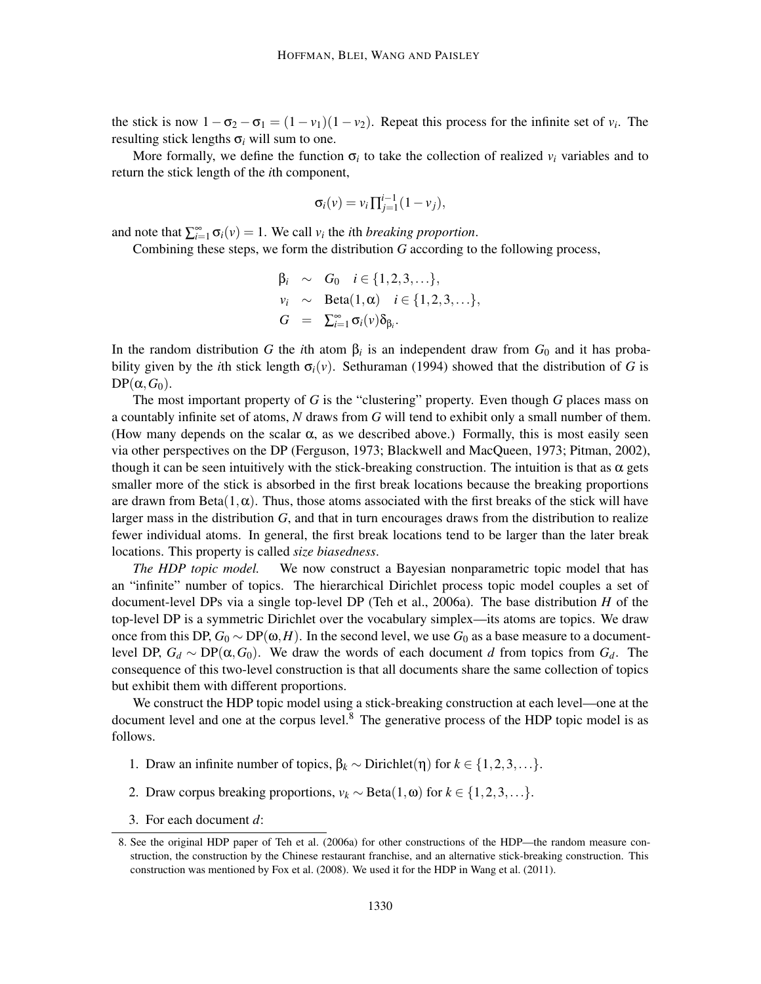the stick is now  $1 - \sigma_2 - \sigma_1 = (1 - v_1)(1 - v_2)$ . Repeat this process for the infinite set of  $v_i$ . The resulting stick lengths σ*<sup>i</sup>* will sum to one.

More formally, we define the function  $\sigma_i$  to take the collection of realized  $v_i$  variables and to return the stick length of the *i*th component,

$$
\sigma_i(v) = v_i \prod_{j=1}^{i-1} (1 - v_j),
$$

and note that  $\sum_{i=1}^{\infty} \sigma_i(v) = 1$ . We call *v<sub>i</sub>* the *i*th *breaking proportion*.

Combining these steps, we form the distribution *G* according to the following process,

$$
\beta_i \sim G_0 \quad i \in \{1, 2, 3, \ldots\},
$$
  
\n
$$
\begin{aligned}\n v_i &\sim \text{Beta}(1, \alpha) \quad i \in \{1, 2, 3, \ldots\}, \\
G &= \sum_{i=1}^{\infty} \sigma_i(v) \delta_{\beta_i}.\n \end{aligned}
$$

In the random distribution *G* the *i*th atom  $\beta_i$  is an independent draw from  $G_0$  and it has probability given by the *i*th stick length  $\sigma_i(v)$ . Sethuraman (1994) showed that the distribution of *G* is  $DP(\alpha, G_0)$ .

The most important property of *G* is the "clustering" property. Even though *G* places mass on a countably infinite set of atoms, *N* draws from *G* will tend to exhibit only a small number of them. (How many depends on the scalar  $\alpha$ , as we described above.) Formally, this is most easily seen via other perspectives on the DP (Ferguson, 1973; Blackwell and MacQueen, 1973; Pitman, 2002), though it can be seen intuitively with the stick-breaking construction. The intuition is that as  $\alpha$  gets smaller more of the stick is absorbed in the first break locations because the breaking proportions are drawn from Beta $(1, \alpha)$ . Thus, those atoms associated with the first breaks of the stick will have larger mass in the distribution *G*, and that in turn encourages draws from the distribution to realize fewer individual atoms. In general, the first break locations tend to be larger than the later break locations. This property is called *size biasedness*.

*The HDP topic model.* We now construct a Bayesian nonparametric topic model that has an "infinite" number of topics. The hierarchical Dirichlet process topic model couples a set of document-level DPs via a single top-level DP (Teh et al., 2006a). The base distribution *H* of the top-level DP is a symmetric Dirichlet over the vocabulary simplex—its atoms are topics. We draw once from this DP,  $G_0 \sim DP(\omega, H)$ . In the second level, we use  $G_0$  as a base measure to a documentlevel DP, *G<sup>d</sup>* ∼ DP(α,*G*0). We draw the words of each document *d* from topics from *Gd*. The consequence of this two-level construction is that all documents share the same collection of topics but exhibit them with different proportions.

We construct the HDP topic model using a stick-breaking construction at each level—one at the document level and one at the corpus level. $8$  The generative process of the HDP topic model is as follows.

- 1. Draw an infinite number of topics, β*<sup>k</sup>* ∼ Dirichlet(η) for *k* ∈ {1,2,3,...}.
- 2. Draw corpus breaking proportions,  $v_k \sim \text{Beta}(1, \omega)$  for  $k \in \{1, 2, 3, ...\}$ .
- 3. For each document *d*:

<sup>8.</sup> See the original HDP paper of Teh et al. (2006a) for other constructions of the HDP—the random measure construction, the construction by the Chinese restaurant franchise, and an alternative stick-breaking construction. This construction was mentioned by Fox et al. (2008). We used it for the HDP in Wang et al. (2011).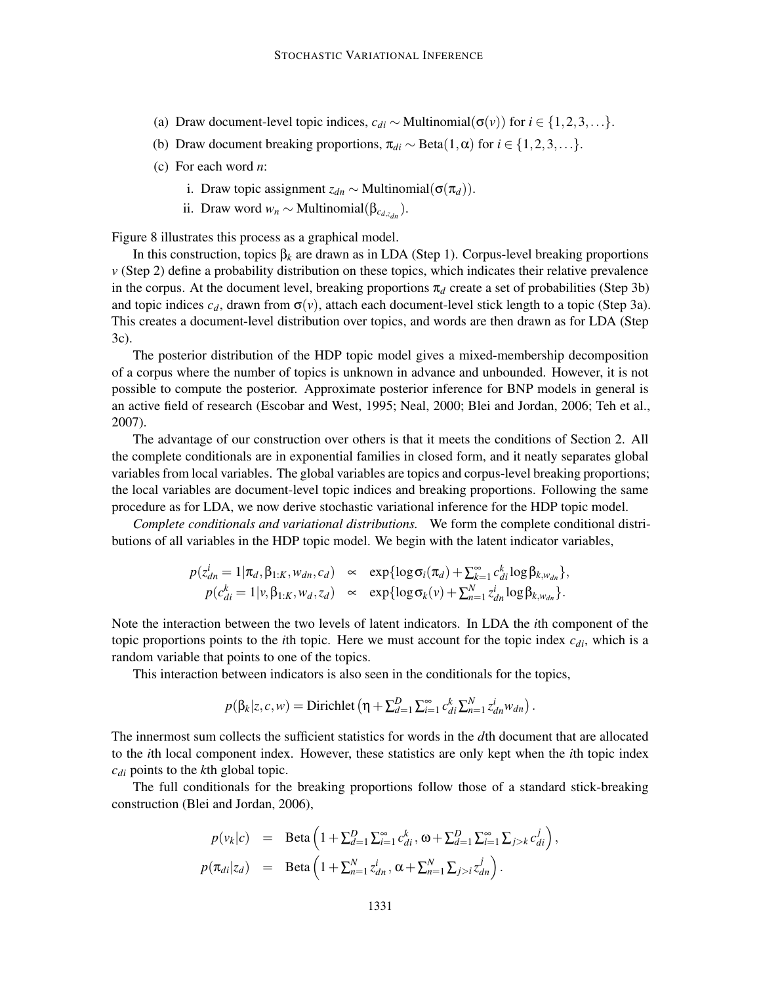- (a) Draw document-level topic indices,  $c_{di} \sim \text{Multinomial}(\sigma(v))$  for  $i \in \{1, 2, 3, ...\}$ .
- (b) Draw document breaking proportions,  $\pi_{di} \sim \text{Beta}(1, \alpha)$  for  $i \in \{1, 2, 3, ...\}$ .
- (c) For each word *n*:
	- i. Draw topic assignment  $z_{dn} \sim \text{Multinomial}(\sigma(\pi_d)).$
	- ii. Draw word  $w_n \sim \text{Multinomial}(\beta_{c_{d,z_{dn}}}).$

Figure 8 illustrates this process as a graphical model.

In this construction, topics β*<sup>k</sup>* are drawn as in LDA (Step 1). Corpus-level breaking proportions *v* (Step 2) define a probability distribution on these topics, which indicates their relative prevalence in the corpus. At the document level, breaking proportions  $\pi_d$  create a set of probabilities (Step 3b) and topic indices  $c_d$ , drawn from  $\sigma(v)$ , attach each document-level stick length to a topic (Step 3a). This creates a document-level distribution over topics, and words are then drawn as for LDA (Step 3c).

The posterior distribution of the HDP topic model gives a mixed-membership decomposition of a corpus where the number of topics is unknown in advance and unbounded. However, it is not possible to compute the posterior. Approximate posterior inference for BNP models in general is an active field of research (Escobar and West, 1995; Neal, 2000; Blei and Jordan, 2006; Teh et al., 2007).

The advantage of our construction over others is that it meets the conditions of Section 2. All the complete conditionals are in exponential families in closed form, and it neatly separates global variables from local variables. The global variables are topics and corpus-level breaking proportions; the local variables are document-level topic indices and breaking proportions. Following the same procedure as for LDA, we now derive stochastic variational inference for the HDP topic model.

*Complete conditionals and variational distributions.* We form the complete conditional distributions of all variables in the HDP topic model. We begin with the latent indicator variables,

$$
p(z_{dn}^i = 1 | \pi_d, \beta_{1:K}, w_{dn}, c_d) \propto \exp\{\log \sigma_i(\pi_d) + \sum_{k=1}^{\infty} c_{di}^k \log \beta_{k, w_{dn}}\},
$$
  
\n
$$
p(c_{di}^k = 1 | v, \beta_{1:K}, w_d, z_d) \propto \exp\{\log \sigma_k(v) + \sum_{n=1}^N z_{dn}^i \log \beta_{k, w_{dn}}\}.
$$

Note the interaction between the two levels of latent indicators. In LDA the *i*th component of the topic proportions points to the *i*th topic. Here we must account for the topic index *cdi*, which is a random variable that points to one of the topics.

This interaction between indicators is also seen in the conditionals for the topics,

$$
p(\beta_k|z,c,w) = \text{Dirichlet}\left(\eta + \sum_{d=1}^D \sum_{i=1}^\infty c_{di}^k \sum_{n=1}^N z_{dn}^i w_{dn}\right).
$$

The innermost sum collects the sufficient statistics for words in the *d*th document that are allocated to the *i*th local component index. However, these statistics are only kept when the *i*th topic index *cdi* points to the *k*th global topic.

The full conditionals for the breaking proportions follow those of a standard stick-breaking construction (Blei and Jordan, 2006),

$$
p(v_k|c) = \text{Beta}\left(1 + \sum_{d=1}^D \sum_{i=1}^\infty c_{di}^k, \omega + \sum_{d=1}^D \sum_{i=1}^\infty \sum_{j>k} c_{di}^j\right),
$$
  

$$
p(\pi_{di}|z_d) = \text{Beta}\left(1 + \sum_{n=1}^N z_{dn}^j, \alpha + \sum_{n=1}^N \sum_{j>i} z_{dn}^j\right).
$$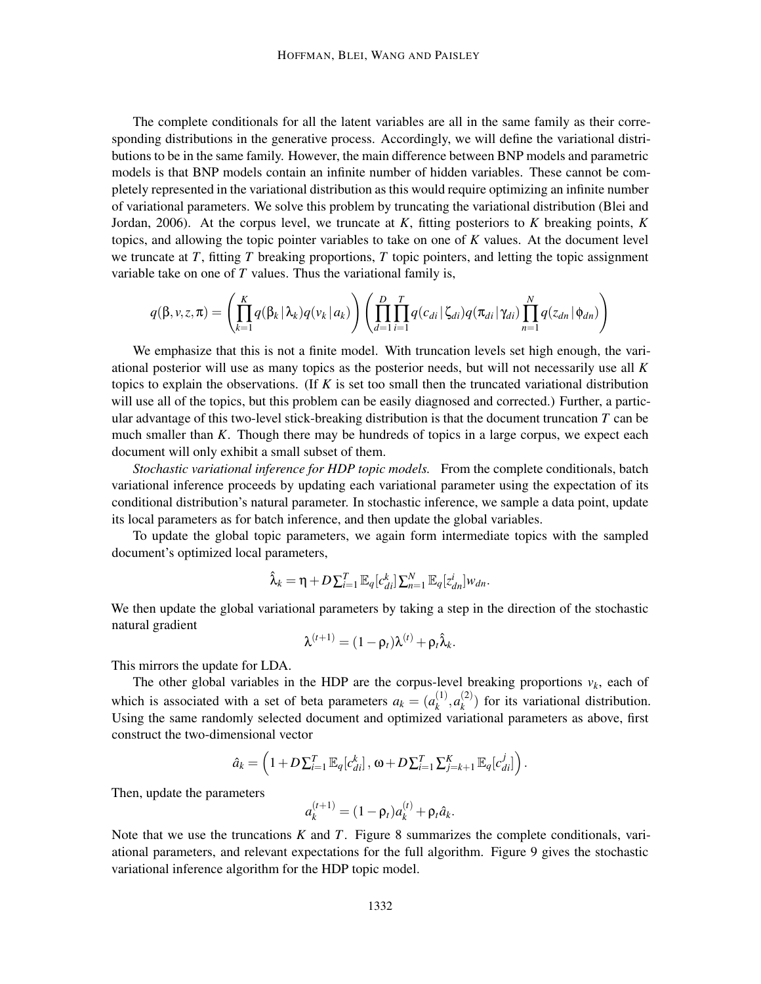The complete conditionals for all the latent variables are all in the same family as their corresponding distributions in the generative process. Accordingly, we will define the variational distributions to be in the same family. However, the main difference between BNP models and parametric models is that BNP models contain an infinite number of hidden variables. These cannot be completely represented in the variational distribution as this would require optimizing an infinite number of variational parameters. We solve this problem by truncating the variational distribution (Blei and Jordan, 2006). At the corpus level, we truncate at *K*, fitting posteriors to *K* breaking points, *K* topics, and allowing the topic pointer variables to take on one of *K* values. At the document level we truncate at *T*, fitting *T* breaking proportions, *T* topic pointers, and letting the topic assignment variable take on one of *T* values. Thus the variational family is,

$$
q(\beta, v, z, \pi) = \left(\prod_{k=1}^K q(\beta_k | \lambda_k) q(v_k | a_k)\right) \left(\prod_{d=1}^D \prod_{i=1}^T q(c_{di} | \zeta_{di}) q(\pi_{di} | \gamma_{di}) \prod_{n=1}^N q(z_{dn} | \phi_{dn})\right)
$$

We emphasize that this is not a finite model. With truncation levels set high enough, the variational posterior will use as many topics as the posterior needs, but will not necessarily use all *K* topics to explain the observations. (If *K* is set too small then the truncated variational distribution will use all of the topics, but this problem can be easily diagnosed and corrected.) Further, a particular advantage of this two-level stick-breaking distribution is that the document truncation *T* can be much smaller than *K*. Though there may be hundreds of topics in a large corpus, we expect each document will only exhibit a small subset of them.

*Stochastic variational inference for HDP topic models.* From the complete conditionals, batch variational inference proceeds by updating each variational parameter using the expectation of its conditional distribution's natural parameter. In stochastic inference, we sample a data point, update its local parameters as for batch inference, and then update the global variables.

To update the global topic parameters, we again form intermediate topics with the sampled document's optimized local parameters,

$$
\hat{\lambda}_k = \eta + D \sum_{i=1}^T \mathbb{E}_q[c_{di}^k] \sum_{n=1}^N \mathbb{E}_q[z_{dn}^i] w_{dn}.
$$

We then update the global variational parameters by taking a step in the direction of the stochastic natural gradient

$$
\lambda^{(t+1)} = (1 - \rho_t)\lambda^{(t)} + \rho_t \hat{\lambda}_k.
$$

This mirrors the update for LDA.

The other global variables in the HDP are the corpus-level breaking proportions  $v_k$ , each of which is associated with a set of beta parameters  $a_k = (a_k^{(1)})$  $a_k^{(1)}, a_k^{(2)}$  $\binom{2}{k}$  for its variational distribution. Using the same randomly selected document and optimized variational parameters as above, first construct the two-dimensional vector

$$
\hat{a}_k = \left(1 + D\sum_{i=1}^T \mathbb{E}_q[c_{di}^k], \omega + D\sum_{i=1}^T \sum_{j=k+1}^K \mathbb{E}_q[c_{di}^j]\right).
$$

Then, update the parameters

$$
a_k^{(t+1)} = (1 - \rho_t)a_k^{(t)} + \rho_t \hat{a}_k.
$$

Note that we use the truncations *K* and *T*. Figure 8 summarizes the complete conditionals, variational parameters, and relevant expectations for the full algorithm. Figure 9 gives the stochastic variational inference algorithm for the HDP topic model.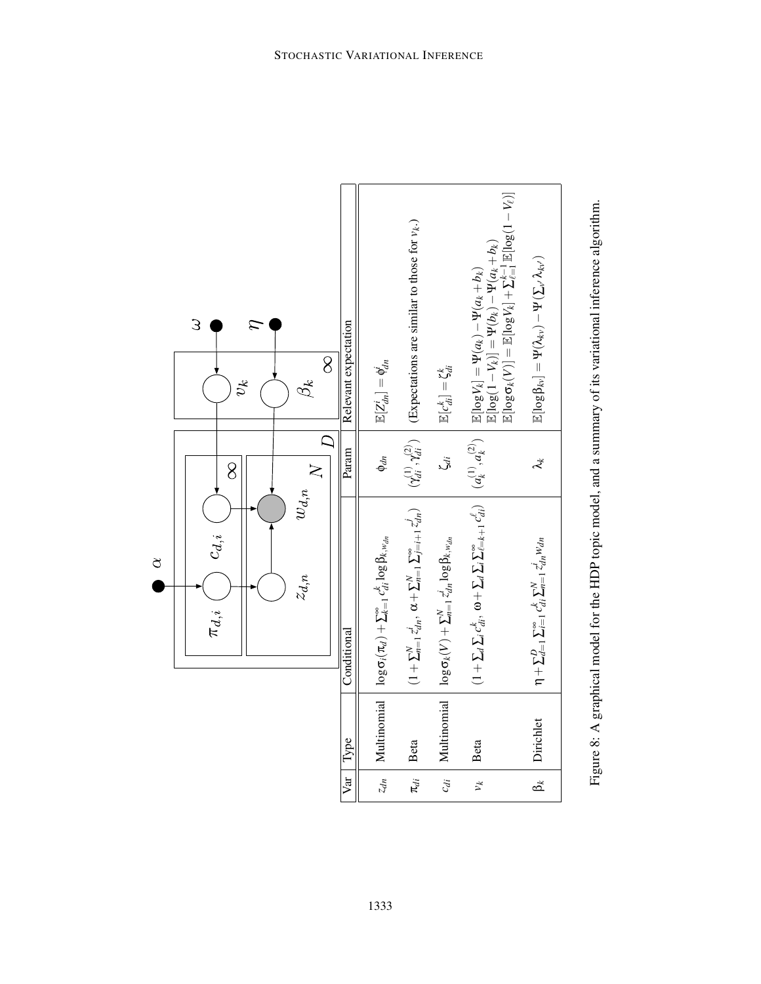

Figure 8: A graphical model for the HDP topic model, and a summary of its variational inference algorithm. Figure 8: A graphical model for the HDP topic model, and a summary of its variational inference algorithm.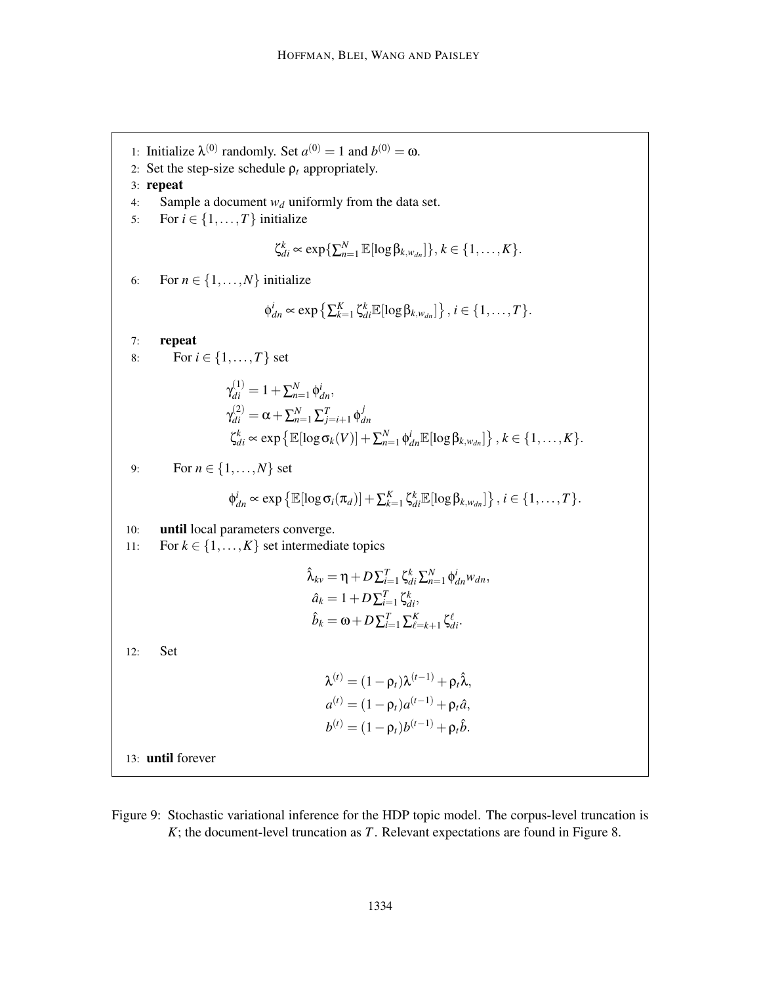1: Initialize  $\lambda^{(0)}$  randomly. Set  $a^{(0)} = 1$  and  $b^{(0)} = \omega$ . 2: Set the step-size schedule  $\rho_t$  appropriately. 3: repeat 4: Sample a document *w<sup>d</sup>* uniformly from the data set. 5: For  $i \in \{1, \ldots, T\}$  initialize  $\zeta_{di}^k \propto \exp\{\sum_{n=1}^N \mathbb{E}[\log \beta_{k,w_{dn}}]\}, k \in \{1,\ldots,K\}.$ 6: For  $n \in \{1, \ldots, N\}$  initialize  $\phi_{dn}^i \propto \exp\left\{\sum_{k=1}^K \zeta_{di}^k \mathbb{E}[\log \beta_{k,w_{dn}}] \right\}, i \in \{1, \ldots, T\}.$ 7: repeat 8: For  $i \in \{1, ..., T\}$  set  $\gamma_{di}^{(1)} = 1 + \sum_{n=1}^{N} \phi_{dn}^{i},$  $\gamma_{di}^{(2)}=\alpha+\sum_{n=1}^{N}\sum_{j=i+1}^{T}\phi_{di}^{j}$ *dn*  $\zeta_{di}^k \propto \exp\left\{\mathbb{E}[\log \sigma_k(V)] + \sum_{n=1}^N \phi_{dn}^i \mathbb{E}[\log \beta_{k,w_{dn}}]\right\}, k \in \{1, \ldots, K\}.$ 9: For  $n \in \{1, ..., N\}$  set  $\phi_{dn}^i \propto \exp\left\{\mathbb{E}[\log \sigma_i(\pi_d)] + \sum_{k=1}^K \zeta_{di}^k \mathbb{E}[\log \beta_{k,w_{dn}}]\right\}, i \in \{1,\ldots,T\}.$ 10: until local parameters converge. 11: For  $k \in \{1, ..., K\}$  set intermediate topics  $\hat{\lambda}_{kv} = \eta + D \sum_{i=1}^{T} \zeta_{di}^{k} \sum_{n=1}^{N} \phi_{dn}^{i} w_{dn}$  $\hat{a}_k = 1 + D \sum_{i=1}^T \zeta_{di}^k$  $\hat{b}_k = \omega + D \sum_{i=1}^T \sum_{\ell=k+1}^K \zeta_{di}^{\ell}.$ 12: Set  $\lambda^{(t)} = (1 - \rho_t)\lambda^{(t-1)} + \rho_t\hat{\lambda},$  $a^{(t)} = (1 - \rho_t) a^{(t-1)} + \rho_t \hat{a},$  $b^{(t)} = (1 - \rho_t) b^{(t-1)} + \rho_t \hat{b}.$ 13: until forever

Figure 9: Stochastic variational inference for the HDP topic model. The corpus-level truncation is *K*; the document-level truncation as *T*. Relevant expectations are found in Figure 8.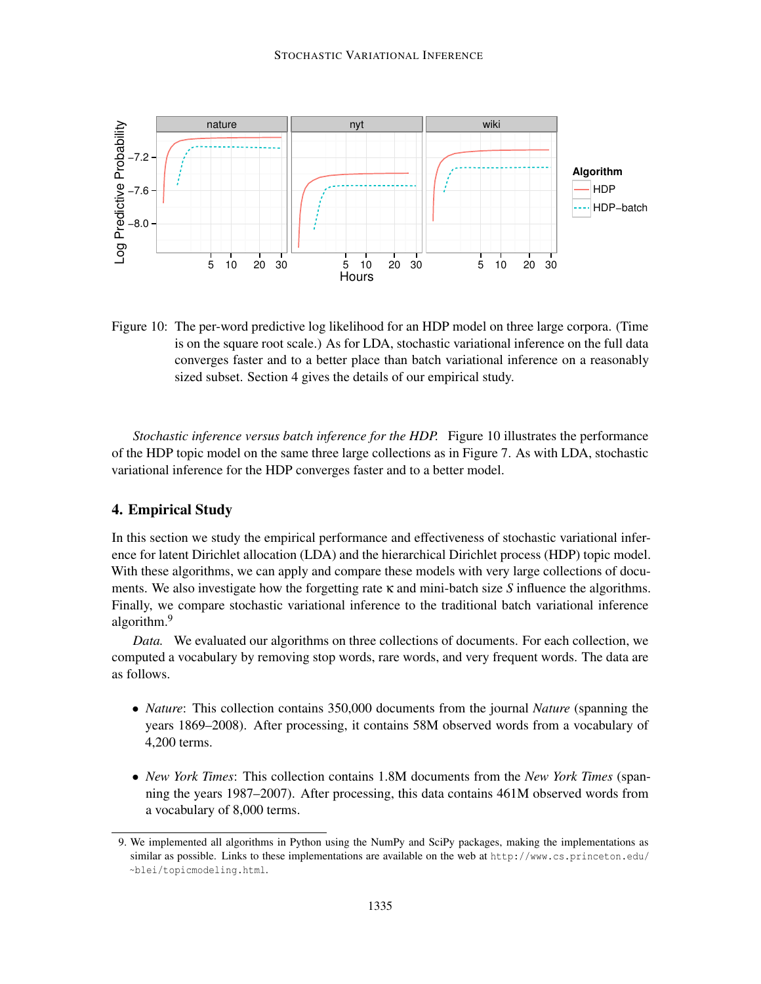

Figure 10: The per-word predictive log likelihood for an HDP model on three large corpora. (Time is on the square root scale.) As for LDA, stochastic variational inference on the full data converges faster and to a better place than batch variational inference on a reasonably sized subset. Section 4 gives the details of our empirical study.

*Stochastic inference versus batch inference for the HDP.* Figure 10 illustrates the performance of the HDP topic model on the same three large collections as in Figure 7. As with LDA, stochastic variational inference for the HDP converges faster and to a better model.

#### 4. Empirical Study

In this section we study the empirical performance and effectiveness of stochastic variational inference for latent Dirichlet allocation (LDA) and the hierarchical Dirichlet process (HDP) topic model. With these algorithms, we can apply and compare these models with very large collections of documents. We also investigate how the forgetting rate κ and mini-batch size *S* influence the algorithms. Finally, we compare stochastic variational inference to the traditional batch variational inference algorithm.<sup>9</sup>

*Data.* We evaluated our algorithms on three collections of documents. For each collection, we computed a vocabulary by removing stop words, rare words, and very frequent words. The data are as follows.

- *Nature*: This collection contains 350,000 documents from the journal *Nature* (spanning the years 1869–2008). After processing, it contains 58M observed words from a vocabulary of 4,200 terms.
- *New York Times*: This collection contains 1.8M documents from the *New York Times* (spanning the years 1987–2007). After processing, this data contains 461M observed words from a vocabulary of 8,000 terms.

<sup>9.</sup> We implemented all algorithms in Python using the NumPy and SciPy packages, making the implementations as similar as possible. Links to these implementations are available on the web at http://www.cs.princeton.edu/ ~blei/topicmodeling.html.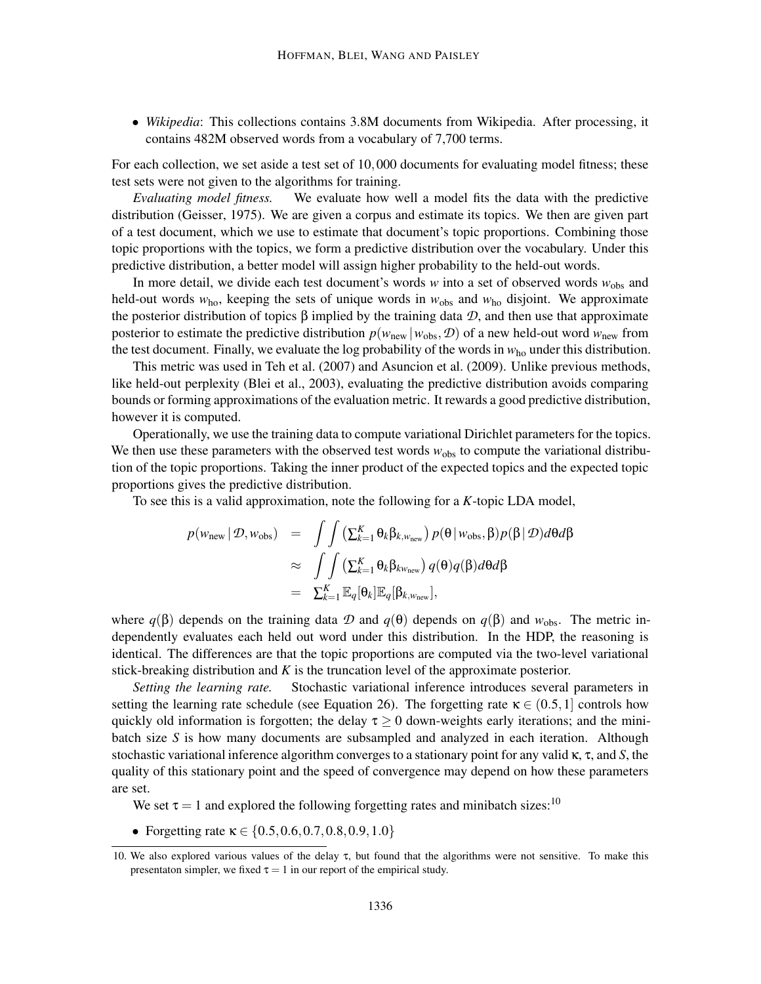• *Wikipedia*: This collections contains 3.8M documents from Wikipedia. After processing, it contains 482M observed words from a vocabulary of 7,700 terms.

For each collection, we set aside a test set of 10,000 documents for evaluating model fitness; these test sets were not given to the algorithms for training.

*Evaluating model fitness.* We evaluate how well a model fits the data with the predictive distribution (Geisser, 1975). We are given a corpus and estimate its topics. We then are given part of a test document, which we use to estimate that document's topic proportions. Combining those topic proportions with the topics, we form a predictive distribution over the vocabulary. Under this predictive distribution, a better model will assign higher probability to the held-out words.

In more detail, we divide each test document's words *w* into a set of observed words *w*obs and held-out words  $w_{ho}$ , keeping the sets of unique words in  $w_{obs}$  and  $w_{ho}$  disjoint. We approximate the posterior distribution of topics  $\beta$  implied by the training data  $\mathcal{D}$ , and then use that approximate posterior to estimate the predictive distribution  $p(w_{\text{new}} | w_{\text{obs}}, \mathcal{D})$  of a new held-out word  $w_{\text{new}}$  from the test document. Finally, we evaluate the log probability of the words in  $w_{\text{ho}}$  under this distribution.

This metric was used in Teh et al. (2007) and Asuncion et al. (2009). Unlike previous methods, like held-out perplexity (Blei et al., 2003), evaluating the predictive distribution avoids comparing bounds or forming approximations of the evaluation metric. It rewards a good predictive distribution, however it is computed.

Operationally, we use the training data to compute variational Dirichlet parameters for the topics. We then use these parameters with the observed test words  $w_{obs}$  to compute the variational distribution of the topic proportions. Taking the inner product of the expected topics and the expected topic proportions gives the predictive distribution.

To see this is a valid approximation, note the following for a *K*-topic LDA model,

$$
p(w_{\text{new}} | \mathcal{D}, w_{\text{obs}}) = \int \int (\sum_{k=1}^{K} \theta_k \beta_{k, w_{\text{new}}}) p(\theta | w_{\text{obs}}, \beta) p(\beta | \mathcal{D}) d\theta d\beta
$$
  
\n
$$
\approx \int \int (\sum_{k=1}^{K} \theta_k \beta_{k w_{\text{new}}}) q(\theta) q(\beta) d\theta d\beta
$$
  
\n
$$
= \sum_{k=1}^{K} \mathbb{E}_q[\theta_k] \mathbb{E}_q[\beta_{k, w_{\text{new}}}],
$$

where  $q(\beta)$  depends on the training data  $\mathcal D$  and  $q(\theta)$  depends on  $q(\beta)$  and  $w_{\text{obs}}$ . The metric independently evaluates each held out word under this distribution. In the HDP, the reasoning is identical. The differences are that the topic proportions are computed via the two-level variational stick-breaking distribution and *K* is the truncation level of the approximate posterior.

*Setting the learning rate.* Stochastic variational inference introduces several parameters in setting the learning rate schedule (see Equation 26). The forgetting rate  $\kappa \in (0.5, 1]$  controls how quickly old information is forgotten; the delay  $\tau \geq 0$  down-weights early iterations; and the minibatch size *S* is how many documents are subsampled and analyzed in each iteration. Although stochastic variational inference algorithm converges to a stationary point for any valid κ, τ, and *S*, the quality of this stationary point and the speed of convergence may depend on how these parameters are set.

We set  $\tau = 1$  and explored the following forgetting rates and minibatch sizes:<sup>10</sup>

• Forgetting rate  $\kappa \in \{0.5, 0.6, 0.7, 0.8, 0.9, 1.0\}$ 

<sup>10.</sup> We also explored various values of the delay τ, but found that the algorithms were not sensitive. To make this presentaton simpler, we fixed  $\tau = 1$  in our report of the empirical study.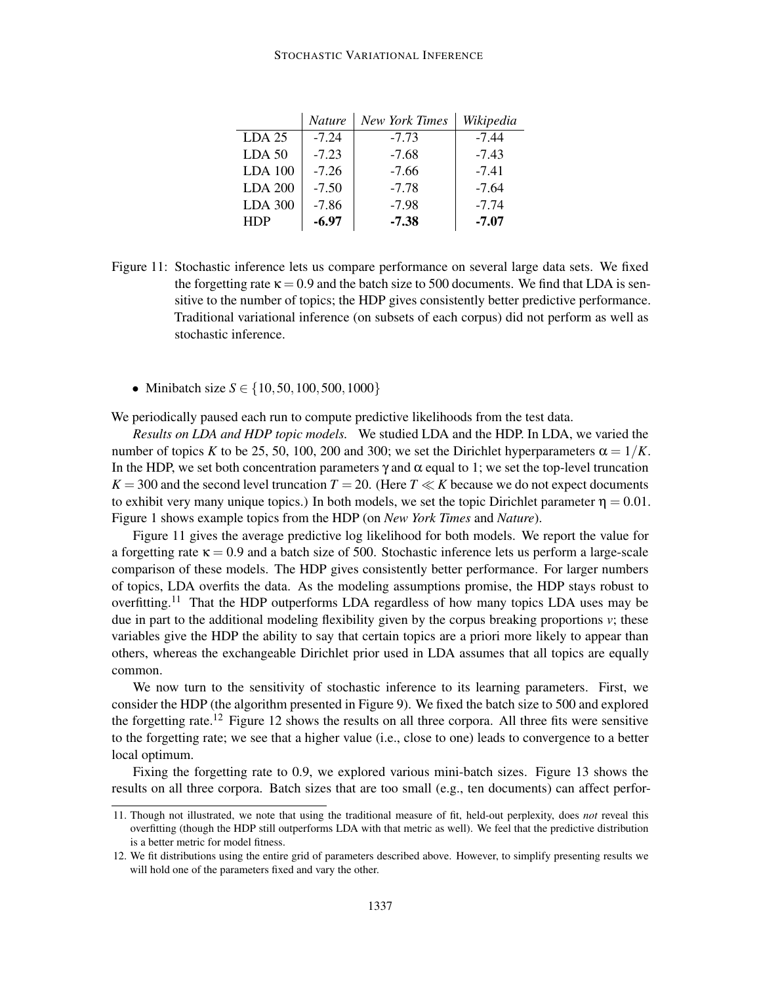#### STOCHASTIC VARIATIONAL INFERENCE

|                | <b>Nature</b> | <b>New York Times</b> | Wikipedia |
|----------------|---------------|-----------------------|-----------|
| $LDA$ 25       | $-7.24$       | $-7.73$               | $-7.44$   |
| <b>LDA 50</b>  | $-7.23$       | $-7.68$               | $-7.43$   |
| <b>LDA 100</b> | $-7.26$       | $-7.66$               | $-7.41$   |
| <b>LDA 200</b> | $-7.50$       | $-7.78$               | $-7.64$   |
| <b>LDA 300</b> | $-7.86$       | $-7.98$               | $-7.74$   |
| <b>HDP</b>     | $-6.97$       | $-7.38$               | $-7.07$   |

Figure 11: Stochastic inference lets us compare performance on several large data sets. We fixed the forgetting rate  $\kappa = 0.9$  and the batch size to 500 documents. We find that LDA is sensitive to the number of topics; the HDP gives consistently better predictive performance. Traditional variational inference (on subsets of each corpus) did not perform as well as stochastic inference.

• Minibatch size *S* ∈ {10,50,100,500,1000}

We periodically paused each run to compute predictive likelihoods from the test data.

*Results on LDA and HDP topic models.* We studied LDA and the HDP. In LDA, we varied the number of topics *K* to be 25, 50, 100, 200 and 300; we set the Dirichlet hyperparameters  $\alpha = 1/K$ . In the HDP, we set both concentration parameters  $\gamma$  and  $\alpha$  equal to 1; we set the top-level truncation  $K = 300$  and the second level truncation  $T = 20$ . (Here  $T \ll K$  because we do not expect documents to exhibit very many unique topics.) In both models, we set the topic Dirichlet parameter  $\eta = 0.01$ . Figure 1 shows example topics from the HDP (on *New York Times* and *Nature*).

Figure 11 gives the average predictive log likelihood for both models. We report the value for a forgetting rate  $\kappa = 0.9$  and a batch size of 500. Stochastic inference lets us perform a large-scale comparison of these models. The HDP gives consistently better performance. For larger numbers of topics, LDA overfits the data. As the modeling assumptions promise, the HDP stays robust to overfitting.<sup>11</sup> That the HDP outperforms LDA regardless of how many topics LDA uses may be due in part to the additional modeling flexibility given by the corpus breaking proportions *v*; these variables give the HDP the ability to say that certain topics are a priori more likely to appear than others, whereas the exchangeable Dirichlet prior used in LDA assumes that all topics are equally common.

We now turn to the sensitivity of stochastic inference to its learning parameters. First, we consider the HDP (the algorithm presented in Figure 9). We fixed the batch size to 500 and explored the forgetting rate.<sup>12</sup> Figure 12 shows the results on all three corpora. All three fits were sensitive to the forgetting rate; we see that a higher value (i.e., close to one) leads to convergence to a better local optimum.

Fixing the forgetting rate to 0.9, we explored various mini-batch sizes. Figure 13 shows the results on all three corpora. Batch sizes that are too small (e.g., ten documents) can affect perfor-

<sup>11.</sup> Though not illustrated, we note that using the traditional measure of fit, held-out perplexity, does *not* reveal this overfitting (though the HDP still outperforms LDA with that metric as well). We feel that the predictive distribution is a better metric for model fitness.

<sup>12.</sup> We fit distributions using the entire grid of parameters described above. However, to simplify presenting results we will hold one of the parameters fixed and vary the other.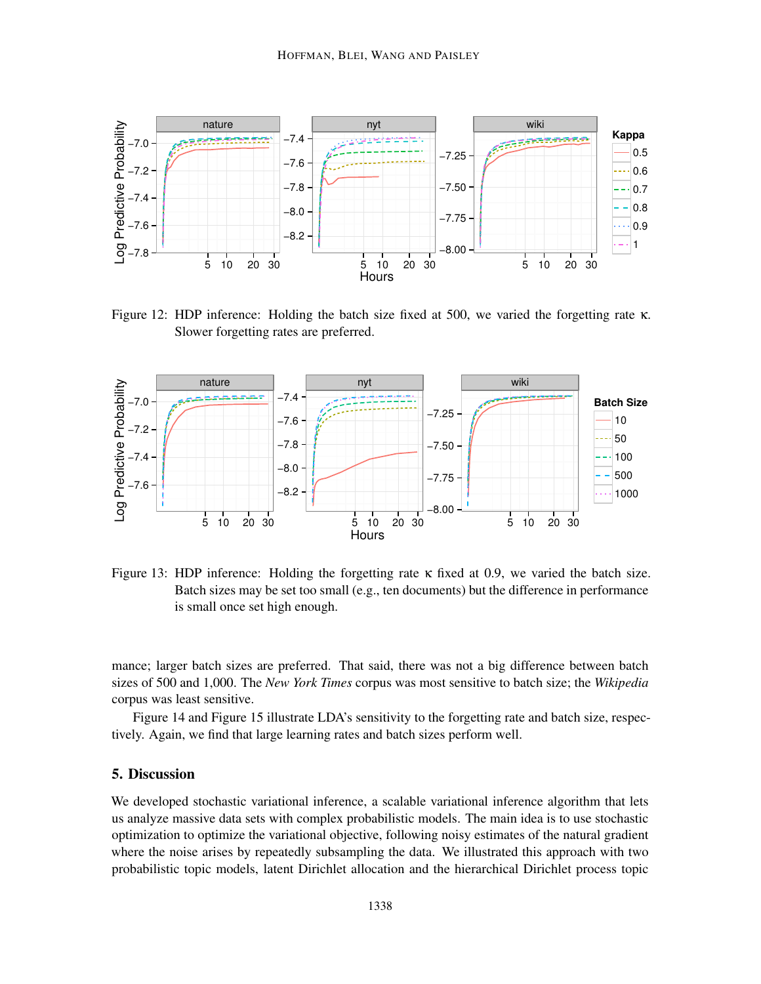

Figure 12: HDP inference: Holding the batch size fixed at 500, we varied the forgetting rate κ. Slower forgetting rates are preferred.



Figure 13: HDP inference: Holding the forgetting rate  $\kappa$  fixed at 0.9, we varied the batch size. Batch sizes may be set too small (e.g., ten documents) but the difference in performance is small once set high enough.

mance; larger batch sizes are preferred. That said, there was not a big difference between batch sizes of 500 and 1,000. The *New York Times* corpus was most sensitive to batch size; the *Wikipedia* corpus was least sensitive.

Figure 14 and Figure 15 illustrate LDA's sensitivity to the forgetting rate and batch size, respectively. Again, we find that large learning rates and batch sizes perform well.

### 5. Discussion

We developed stochastic variational inference, a scalable variational inference algorithm that lets us analyze massive data sets with complex probabilistic models. The main idea is to use stochastic optimization to optimize the variational objective, following noisy estimates of the natural gradient where the noise arises by repeatedly subsampling the data. We illustrated this approach with two probabilistic topic models, latent Dirichlet allocation and the hierarchical Dirichlet process topic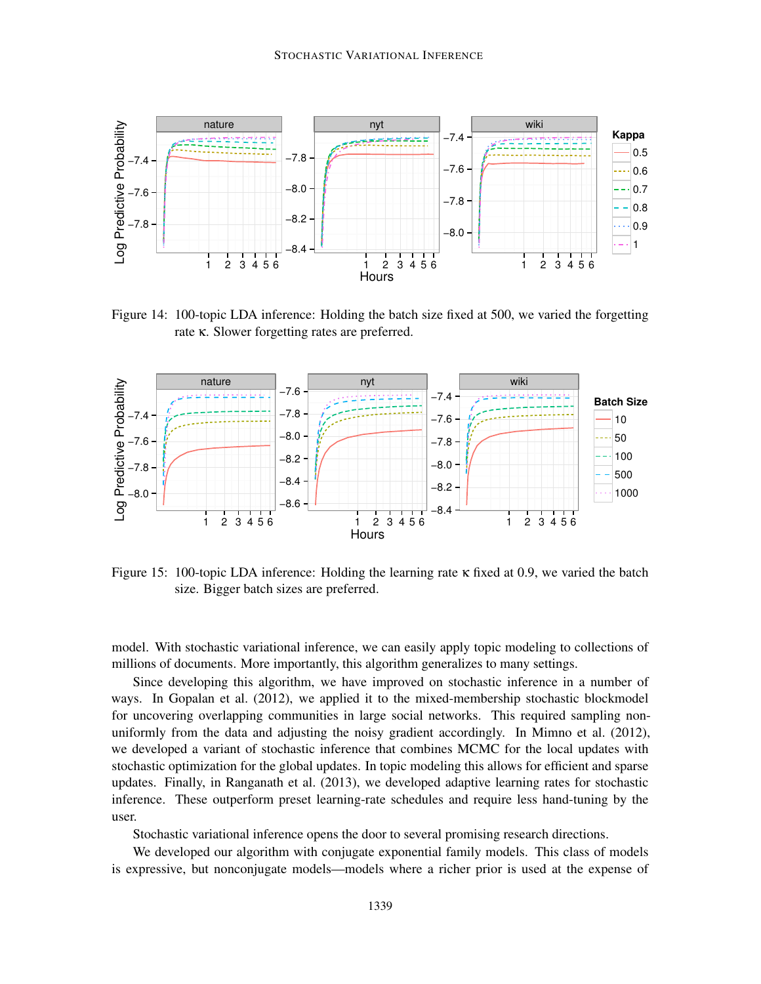

Figure 14: 100-topic LDA inference: Holding the batch size fixed at 500, we varied the forgetting rate κ. Slower forgetting rates are preferred.



Figure 15: 100-topic LDA inference: Holding the learning rate  $\kappa$  fixed at 0.9, we varied the batch size. Bigger batch sizes are preferred.

model. With stochastic variational inference, we can easily apply topic modeling to collections of millions of documents. More importantly, this algorithm generalizes to many settings.

Since developing this algorithm, we have improved on stochastic inference in a number of ways. In Gopalan et al. (2012), we applied it to the mixed-membership stochastic blockmodel for uncovering overlapping communities in large social networks. This required sampling nonuniformly from the data and adjusting the noisy gradient accordingly. In Mimno et al. (2012), we developed a variant of stochastic inference that combines MCMC for the local updates with stochastic optimization for the global updates. In topic modeling this allows for efficient and sparse updates. Finally, in Ranganath et al. (2013), we developed adaptive learning rates for stochastic inference. These outperform preset learning-rate schedules and require less hand-tuning by the user.

Stochastic variational inference opens the door to several promising research directions.

We developed our algorithm with conjugate exponential family models. This class of models is expressive, but nonconjugate models—models where a richer prior is used at the expense of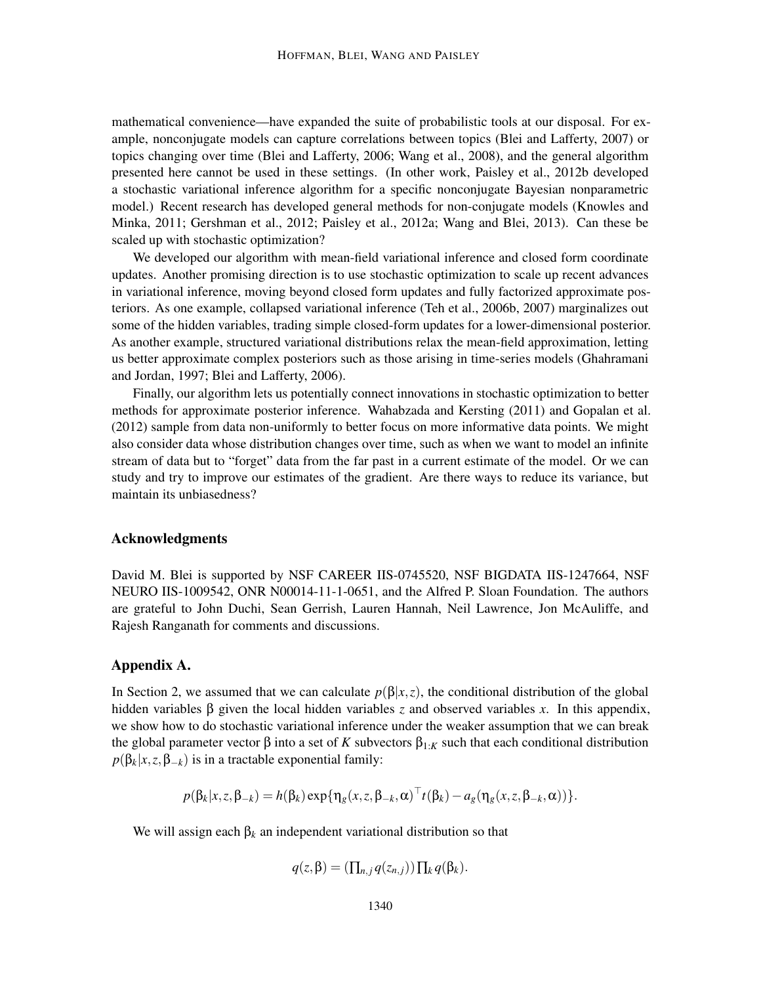mathematical convenience—have expanded the suite of probabilistic tools at our disposal. For example, nonconjugate models can capture correlations between topics (Blei and Lafferty, 2007) or topics changing over time (Blei and Lafferty, 2006; Wang et al., 2008), and the general algorithm presented here cannot be used in these settings. (In other work, Paisley et al., 2012b developed a stochastic variational inference algorithm for a specific nonconjugate Bayesian nonparametric model.) Recent research has developed general methods for non-conjugate models (Knowles and Minka, 2011; Gershman et al., 2012; Paisley et al., 2012a; Wang and Blei, 2013). Can these be scaled up with stochastic optimization?

We developed our algorithm with mean-field variational inference and closed form coordinate updates. Another promising direction is to use stochastic optimization to scale up recent advances in variational inference, moving beyond closed form updates and fully factorized approximate posteriors. As one example, collapsed variational inference (Teh et al., 2006b, 2007) marginalizes out some of the hidden variables, trading simple closed-form updates for a lower-dimensional posterior. As another example, structured variational distributions relax the mean-field approximation, letting us better approximate complex posteriors such as those arising in time-series models (Ghahramani and Jordan, 1997; Blei and Lafferty, 2006).

Finally, our algorithm lets us potentially connect innovations in stochastic optimization to better methods for approximate posterior inference. Wahabzada and Kersting (2011) and Gopalan et al. (2012) sample from data non-uniformly to better focus on more informative data points. We might also consider data whose distribution changes over time, such as when we want to model an infinite stream of data but to "forget" data from the far past in a current estimate of the model. Or we can study and try to improve our estimates of the gradient. Are there ways to reduce its variance, but maintain its unbiasedness?

#### Acknowledgments

David M. Blei is supported by NSF CAREER IIS-0745520, NSF BIGDATA IIS-1247664, NSF NEURO IIS-1009542, ONR N00014-11-1-0651, and the Alfred P. Sloan Foundation. The authors are grateful to John Duchi, Sean Gerrish, Lauren Hannah, Neil Lawrence, Jon McAuliffe, and Rajesh Ranganath for comments and discussions.

#### Appendix A.

In Section 2, we assumed that we can calculate  $p(\beta|x,z)$ , the conditional distribution of the global hidden variables  $\beta$  given the local hidden variables *z* and observed variables *x*. In this appendix, we show how to do stochastic variational inference under the weaker assumption that we can break the global parameter vector  $\beta$  into a set of *K* subvectors  $\beta_{1:K}$  such that each conditional distribution  $p(\beta_k|x, z, \beta_{-k})$  is in a tractable exponential family:

$$
p(\beta_k|x,z,\beta_{-k})=h(\beta_k)\exp{\{\eta_g(x,z,\beta_{-k},\alpha)^{\top}t(\beta_k)-a_g(\eta_g(x,z,\beta_{-k},\alpha))\}}.
$$

We will assign each  $β_k$  an independent variational distribution so that

$$
q(z,\beta)=(\prod_{n,j}q(z_{n,j}))\prod_k q(\beta_k).
$$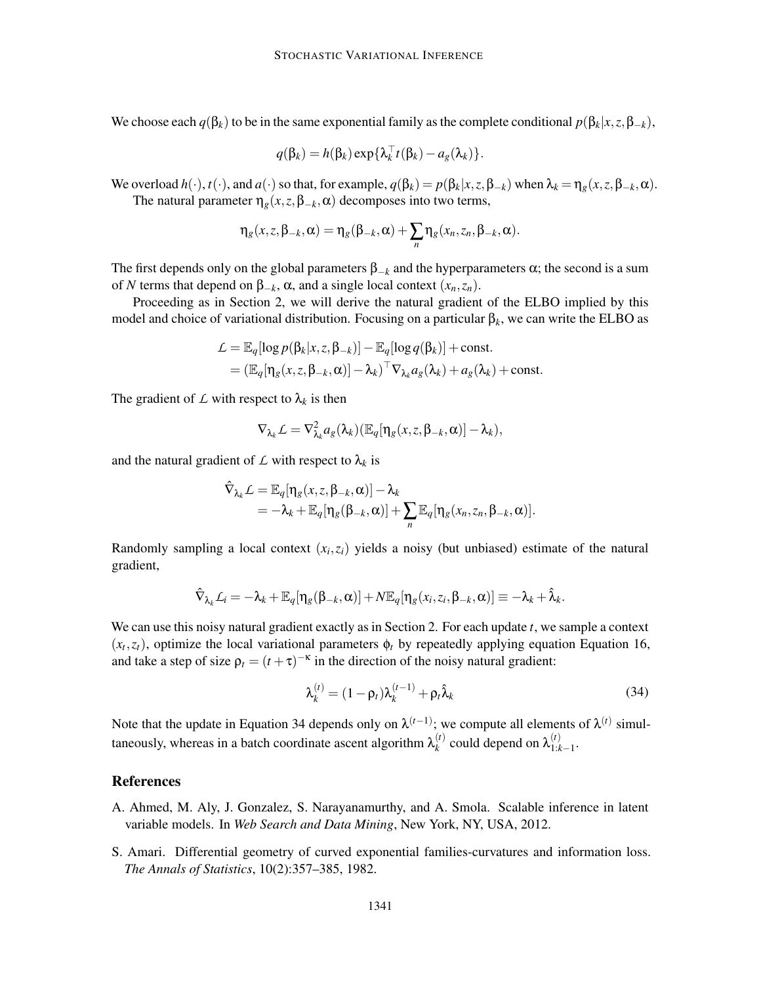We choose each  $q(\beta_k)$  to be in the same exponential family as the complete conditional  $p(\beta_k|x, z, \beta_{-k})$ ,

$$
q(\beta_k) = h(\beta_k) \exp{\{\lambda_k^{\top} t(\beta_k) - a_g(\lambda_k)\}}.
$$

We overload  $h(\cdot)$ ,  $t(\cdot)$ , and  $a(\cdot)$  so that, for example,  $q(\beta_k) = p(\beta_k|x, z, \beta_{-k})$  when  $\lambda_k = \eta_g(x, z, \beta_{-k}, \alpha)$ . The natural parameter  $\eta_g(x, z, \beta_{-k}, \alpha)$  decomposes into two terms,

$$
\eta_g(x,z,\beta_{-k},\alpha)=\eta_g(\beta_{-k},\alpha)+\sum_n\eta_g(x_n,z_n,\beta_{-k},\alpha).
$$

The first depends only on the global parameters  $\beta_{-k}$  and the hyperparameters  $\alpha$ ; the second is a sum of *N* terms that depend on β−*k*, α, and a single local context (*xn*,*zn*).

Proceeding as in Section 2, we will derive the natural gradient of the ELBO implied by this model and choice of variational distribution. Focusing on a particular  $β<sub>k</sub>$ , we can write the ELBO as

$$
\mathcal{L} = \mathbb{E}_q[\log p(\beta_k | x, z, \beta_{-k})] - \mathbb{E}_q[\log q(\beta_k)] + \text{const.}
$$
  
=  $(\mathbb{E}_q[\eta_g(x, z, \beta_{-k}, \alpha)] - \lambda_k)^{\top} \nabla_{\lambda_k} a_g(\lambda_k) + a_g(\lambda_k) + \text{const.}$ 

The gradient of  $\mathcal L$  with respect to  $\lambda_k$  is then

$$
\nabla_{\lambda_k} \mathcal{L} = \nabla^2_{\lambda_k} a_g(\lambda_k) (\mathbb{E}_q[\eta_g(x,z,\beta_{-k},\alpha)] - \lambda_k),
$$

and the natural gradient of  $\mathcal L$  with respect to  $\lambda_k$  is

$$
\hat{\nabla}_{\lambda_k} \mathcal{L} = \mathbb{E}_q[\eta_g(x, z, \beta_{-k}, \alpha)] - \lambda_k \n= -\lambda_k + \mathbb{E}_q[\eta_g(\beta_{-k}, \alpha)] + \sum_n \mathbb{E}_q[\eta_g(x_n, z_n, \beta_{-k}, \alpha)].
$$

Randomly sampling a local context  $(x_i, z_i)$  yields a noisy (but unbiased) estimate of the natural gradient,

$$
\hat{\nabla}_{\lambda_k} L_i = -\lambda_k + \mathbb{E}_q[\eta_s(\beta_{-k}, \alpha)] + N \mathbb{E}_q[\eta_s(x_i, z_i, \beta_{-k}, \alpha)] \equiv -\lambda_k + \hat{\lambda}_k.
$$

We can use this noisy natural gradient exactly as in Section 2. For each update *t*, we sample a context  $(x_t, z_t)$ , optimize the local variational parameters  $\phi_t$  by repeatedly applying equation Equation 16, and take a step of size  $\rho_t = (t + \tau)^{-\kappa}$  in the direction of the noisy natural gradient:

$$
\lambda_k^{(t)} = (1 - \rho_t)\lambda_k^{(t-1)} + \rho_t \hat{\lambda}_k
$$
\n(34)

Note that the update in Equation 34 depends only on  $\lambda^{(t-1)}$ ; we compute all elements of  $\lambda^{(t)}$  simultaneously, whereas in a batch coordinate ascent algorithm  $\lambda_k^{(t)}$  $\lambda_k^{(t)}$  could depend on  $\lambda_{1:k}^{(t)}$ 1:*k*−1 .

#### References

- A. Ahmed, M. Aly, J. Gonzalez, S. Narayanamurthy, and A. Smola. Scalable inference in latent variable models. In *Web Search and Data Mining*, New York, NY, USA, 2012.
- S. Amari. Differential geometry of curved exponential families-curvatures and information loss. *The Annals of Statistics*, 10(2):357–385, 1982.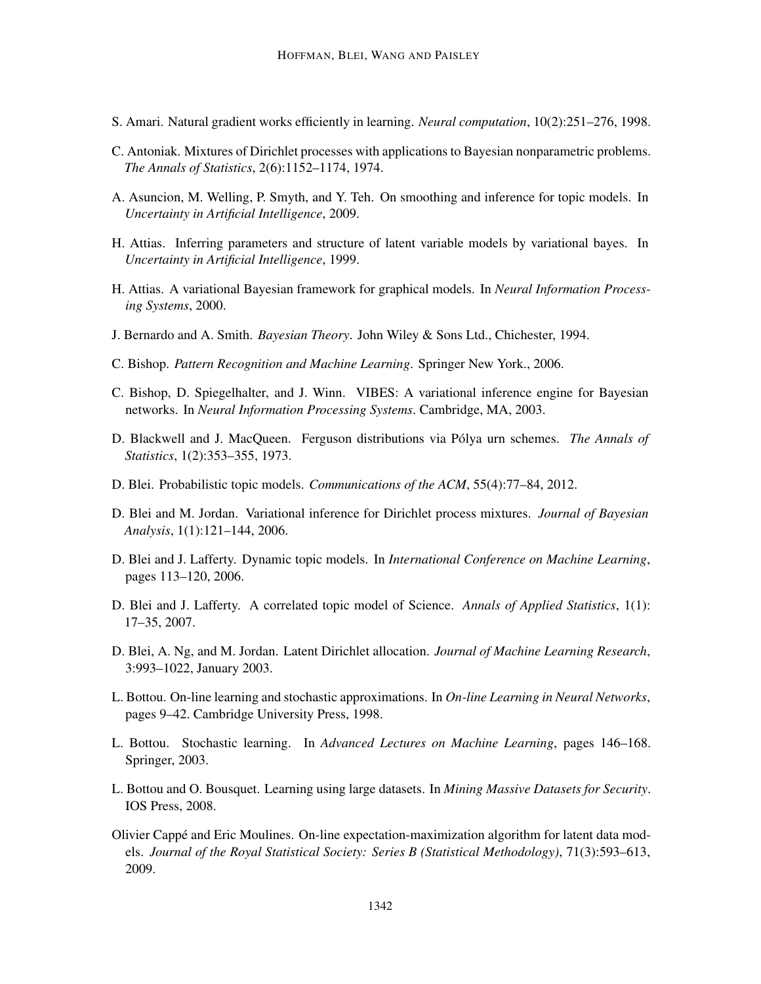- S. Amari. Natural gradient works efficiently in learning. *Neural computation*, 10(2):251–276, 1998.
- C. Antoniak. Mixtures of Dirichlet processes with applications to Bayesian nonparametric problems. *The Annals of Statistics*, 2(6):1152–1174, 1974.
- A. Asuncion, M. Welling, P. Smyth, and Y. Teh. On smoothing and inference for topic models. In *Uncertainty in Artificial Intelligence*, 2009.
- H. Attias. Inferring parameters and structure of latent variable models by variational bayes. In *Uncertainty in Artificial Intelligence*, 1999.
- H. Attias. A variational Bayesian framework for graphical models. In *Neural Information Processing Systems*, 2000.
- J. Bernardo and A. Smith. *Bayesian Theory*. John Wiley & Sons Ltd., Chichester, 1994.
- C. Bishop. *Pattern Recognition and Machine Learning*. Springer New York., 2006.
- C. Bishop, D. Spiegelhalter, and J. Winn. VIBES: A variational inference engine for Bayesian networks. In *Neural Information Processing Systems*. Cambridge, MA, 2003.
- D. Blackwell and J. MacQueen. Ferguson distributions via Pólya urn schemes. *The Annals of Statistics*, 1(2):353–355, 1973.
- D. Blei. Probabilistic topic models. *Communications of the ACM*, 55(4):77–84, 2012.
- D. Blei and M. Jordan. Variational inference for Dirichlet process mixtures. *Journal of Bayesian Analysis*, 1(1):121–144, 2006.
- D. Blei and J. Lafferty. Dynamic topic models. In *International Conference on Machine Learning*, pages 113–120, 2006.
- D. Blei and J. Lafferty. A correlated topic model of Science. *Annals of Applied Statistics*, 1(1): 17–35, 2007.
- D. Blei, A. Ng, and M. Jordan. Latent Dirichlet allocation. *Journal of Machine Learning Research*, 3:993–1022, January 2003.
- L. Bottou. On-line learning and stochastic approximations. In *On-line Learning in Neural Networks*, pages 9–42. Cambridge University Press, 1998.
- L. Bottou. Stochastic learning. In *Advanced Lectures on Machine Learning*, pages 146–168. Springer, 2003.
- L. Bottou and O. Bousquet. Learning using large datasets. In *Mining Massive Datasets for Security*. IOS Press, 2008.
- Olivier Cappé and Eric Moulines. On-line expectation-maximization algorithm for latent data models. *Journal of the Royal Statistical Society: Series B (Statistical Methodology)*, 71(3):593–613, 2009.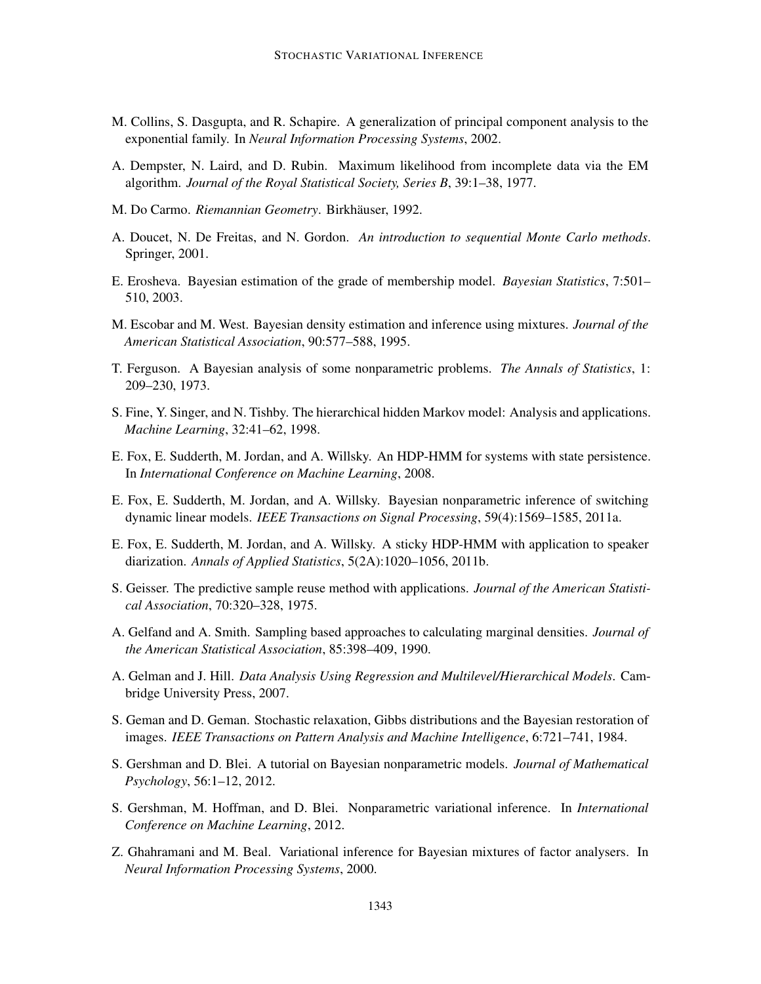- M. Collins, S. Dasgupta, and R. Schapire. A generalization of principal component analysis to the exponential family. In *Neural Information Processing Systems*, 2002.
- A. Dempster, N. Laird, and D. Rubin. Maximum likelihood from incomplete data via the EM algorithm. *Journal of the Royal Statistical Society, Series B*, 39:1–38, 1977.
- M. Do Carmo. *Riemannian Geometry*. Birkhäuser, 1992.
- A. Doucet, N. De Freitas, and N. Gordon. *An introduction to sequential Monte Carlo methods*. Springer, 2001.
- E. Erosheva. Bayesian estimation of the grade of membership model. *Bayesian Statistics*, 7:501– 510, 2003.
- M. Escobar and M. West. Bayesian density estimation and inference using mixtures. *Journal of the American Statistical Association*, 90:577–588, 1995.
- T. Ferguson. A Bayesian analysis of some nonparametric problems. *The Annals of Statistics*, 1: 209–230, 1973.
- S. Fine, Y. Singer, and N. Tishby. The hierarchical hidden Markov model: Analysis and applications. *Machine Learning*, 32:41–62, 1998.
- E. Fox, E. Sudderth, M. Jordan, and A. Willsky. An HDP-HMM for systems with state persistence. In *International Conference on Machine Learning*, 2008.
- E. Fox, E. Sudderth, M. Jordan, and A. Willsky. Bayesian nonparametric inference of switching dynamic linear models. *IEEE Transactions on Signal Processing*, 59(4):1569–1585, 2011a.
- E. Fox, E. Sudderth, M. Jordan, and A. Willsky. A sticky HDP-HMM with application to speaker diarization. *Annals of Applied Statistics*, 5(2A):1020–1056, 2011b.
- S. Geisser. The predictive sample reuse method with applications. *Journal of the American Statistical Association*, 70:320–328, 1975.
- A. Gelfand and A. Smith. Sampling based approaches to calculating marginal densities. *Journal of the American Statistical Association*, 85:398–409, 1990.
- A. Gelman and J. Hill. *Data Analysis Using Regression and Multilevel/Hierarchical Models*. Cambridge University Press, 2007.
- S. Geman and D. Geman. Stochastic relaxation, Gibbs distributions and the Bayesian restoration of images. *IEEE Transactions on Pattern Analysis and Machine Intelligence*, 6:721–741, 1984.
- S. Gershman and D. Blei. A tutorial on Bayesian nonparametric models. *Journal of Mathematical Psychology*, 56:1–12, 2012.
- S. Gershman, M. Hoffman, and D. Blei. Nonparametric variational inference. In *International Conference on Machine Learning*, 2012.
- Z. Ghahramani and M. Beal. Variational inference for Bayesian mixtures of factor analysers. In *Neural Information Processing Systems*, 2000.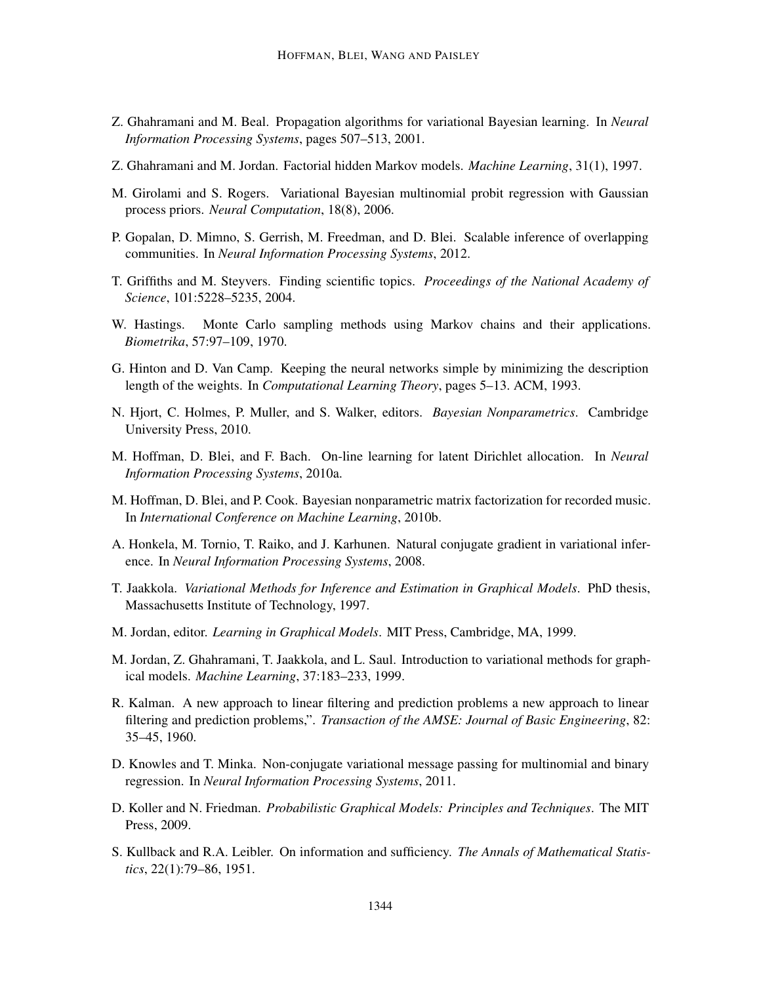- Z. Ghahramani and M. Beal. Propagation algorithms for variational Bayesian learning. In *Neural Information Processing Systems*, pages 507–513, 2001.
- Z. Ghahramani and M. Jordan. Factorial hidden Markov models. *Machine Learning*, 31(1), 1997.
- M. Girolami and S. Rogers. Variational Bayesian multinomial probit regression with Gaussian process priors. *Neural Computation*, 18(8), 2006.
- P. Gopalan, D. Mimno, S. Gerrish, M. Freedman, and D. Blei. Scalable inference of overlapping communities. In *Neural Information Processing Systems*, 2012.
- T. Griffiths and M. Steyvers. Finding scientific topics. *Proceedings of the National Academy of Science*, 101:5228–5235, 2004.
- W. Hastings. Monte Carlo sampling methods using Markov chains and their applications. *Biometrika*, 57:97–109, 1970.
- G. Hinton and D. Van Camp. Keeping the neural networks simple by minimizing the description length of the weights. In *Computational Learning Theory*, pages 5–13. ACM, 1993.
- N. Hjort, C. Holmes, P. Muller, and S. Walker, editors. *Bayesian Nonparametrics*. Cambridge University Press, 2010.
- M. Hoffman, D. Blei, and F. Bach. On-line learning for latent Dirichlet allocation. In *Neural Information Processing Systems*, 2010a.
- M. Hoffman, D. Blei, and P. Cook. Bayesian nonparametric matrix factorization for recorded music. In *International Conference on Machine Learning*, 2010b.
- A. Honkela, M. Tornio, T. Raiko, and J. Karhunen. Natural conjugate gradient in variational inference. In *Neural Information Processing Systems*, 2008.
- T. Jaakkola. *Variational Methods for Inference and Estimation in Graphical Models*. PhD thesis, Massachusetts Institute of Technology, 1997.
- M. Jordan, editor. *Learning in Graphical Models*. MIT Press, Cambridge, MA, 1999.
- M. Jordan, Z. Ghahramani, T. Jaakkola, and L. Saul. Introduction to variational methods for graphical models. *Machine Learning*, 37:183–233, 1999.
- R. Kalman. A new approach to linear filtering and prediction problems a new approach to linear filtering and prediction problems,". *Transaction of the AMSE: Journal of Basic Engineering*, 82: 35–45, 1960.
- D. Knowles and T. Minka. Non-conjugate variational message passing for multinomial and binary regression. In *Neural Information Processing Systems*, 2011.
- D. Koller and N. Friedman. *Probabilistic Graphical Models: Principles and Techniques*. The MIT Press, 2009.
- S. Kullback and R.A. Leibler. On information and sufficiency. *The Annals of Mathematical Statistics*, 22(1):79–86, 1951.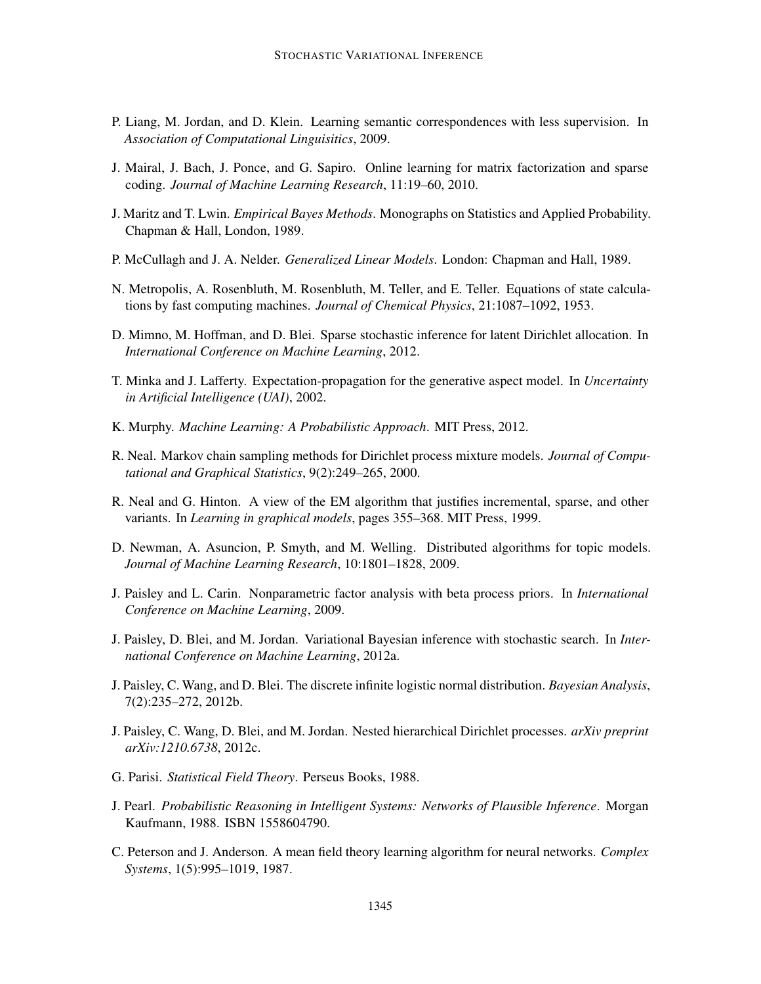- P. Liang, M. Jordan, and D. Klein. Learning semantic correspondences with less supervision. In *Association of Computational Linguisitics*, 2009.
- J. Mairal, J. Bach, J. Ponce, and G. Sapiro. Online learning for matrix factorization and sparse coding. *Journal of Machine Learning Research*, 11:19–60, 2010.
- J. Maritz and T. Lwin. *Empirical Bayes Methods*. Monographs on Statistics and Applied Probability. Chapman & Hall, London, 1989.
- P. McCullagh and J. A. Nelder. *Generalized Linear Models*. London: Chapman and Hall, 1989.
- N. Metropolis, A. Rosenbluth, M. Rosenbluth, M. Teller, and E. Teller. Equations of state calculations by fast computing machines. *Journal of Chemical Physics*, 21:1087–1092, 1953.
- D. Mimno, M. Hoffman, and D. Blei. Sparse stochastic inference for latent Dirichlet allocation. In *International Conference on Machine Learning*, 2012.
- T. Minka and J. Lafferty. Expectation-propagation for the generative aspect model. In *Uncertainty in Artificial Intelligence (UAI)*, 2002.
- K. Murphy. *Machine Learning: A Probabilistic Approach*. MIT Press, 2012.
- R. Neal. Markov chain sampling methods for Dirichlet process mixture models. *Journal of Computational and Graphical Statistics*, 9(2):249–265, 2000.
- R. Neal and G. Hinton. A view of the EM algorithm that justifies incremental, sparse, and other variants. In *Learning in graphical models*, pages 355–368. MIT Press, 1999.
- D. Newman, A. Asuncion, P. Smyth, and M. Welling. Distributed algorithms for topic models. *Journal of Machine Learning Research*, 10:1801–1828, 2009.
- J. Paisley and L. Carin. Nonparametric factor analysis with beta process priors. In *International Conference on Machine Learning*, 2009.
- J. Paisley, D. Blei, and M. Jordan. Variational Bayesian inference with stochastic search. In *International Conference on Machine Learning*, 2012a.
- J. Paisley, C. Wang, and D. Blei. The discrete infinite logistic normal distribution. *Bayesian Analysis*, 7(2):235–272, 2012b.
- J. Paisley, C. Wang, D. Blei, and M. Jordan. Nested hierarchical Dirichlet processes. *arXiv preprint arXiv:1210.6738*, 2012c.
- G. Parisi. *Statistical Field Theory*. Perseus Books, 1988.
- J. Pearl. *Probabilistic Reasoning in Intelligent Systems: Networks of Plausible Inference*. Morgan Kaufmann, 1988. ISBN 1558604790.
- C. Peterson and J. Anderson. A mean field theory learning algorithm for neural networks. *Complex Systems*, 1(5):995–1019, 1987.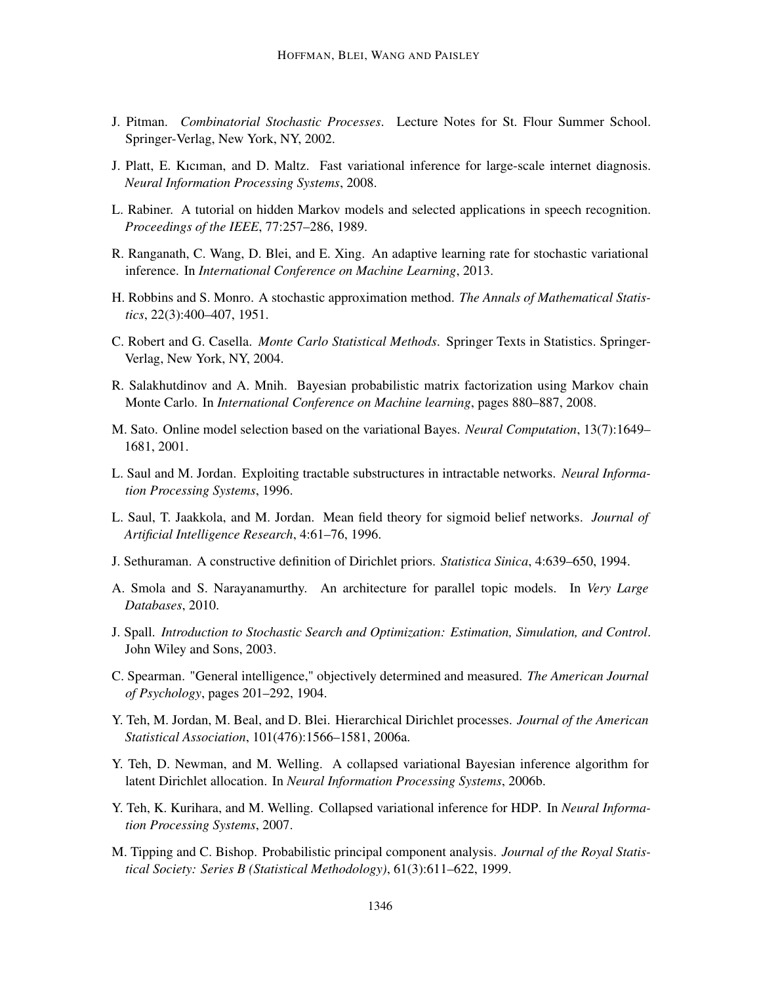- J. Pitman. *Combinatorial Stochastic Processes*. Lecture Notes for St. Flour Summer School. Springer-Verlag, New York, NY, 2002.
- J. Platt, E. Kıcıman, and D. Maltz. Fast variational inference for large-scale internet diagnosis. *Neural Information Processing Systems*, 2008.
- L. Rabiner. A tutorial on hidden Markov models and selected applications in speech recognition. *Proceedings of the IEEE*, 77:257–286, 1989.
- R. Ranganath, C. Wang, D. Blei, and E. Xing. An adaptive learning rate for stochastic variational inference. In *International Conference on Machine Learning*, 2013.
- H. Robbins and S. Monro. A stochastic approximation method. *The Annals of Mathematical Statistics*, 22(3):400–407, 1951.
- C. Robert and G. Casella. *Monte Carlo Statistical Methods*. Springer Texts in Statistics. Springer-Verlag, New York, NY, 2004.
- R. Salakhutdinov and A. Mnih. Bayesian probabilistic matrix factorization using Markov chain Monte Carlo. In *International Conference on Machine learning*, pages 880–887, 2008.
- M. Sato. Online model selection based on the variational Bayes. *Neural Computation*, 13(7):1649– 1681, 2001.
- L. Saul and M. Jordan. Exploiting tractable substructures in intractable networks. *Neural Information Processing Systems*, 1996.
- L. Saul, T. Jaakkola, and M. Jordan. Mean field theory for sigmoid belief networks. *Journal of Artificial Intelligence Research*, 4:61–76, 1996.
- J. Sethuraman. A constructive definition of Dirichlet priors. *Statistica Sinica*, 4:639–650, 1994.
- A. Smola and S. Narayanamurthy. An architecture for parallel topic models. In *Very Large Databases*, 2010.
- J. Spall. *Introduction to Stochastic Search and Optimization: Estimation, Simulation, and Control*. John Wiley and Sons, 2003.
- C. Spearman. "General intelligence," objectively determined and measured. *The American Journal of Psychology*, pages 201–292, 1904.
- Y. Teh, M. Jordan, M. Beal, and D. Blei. Hierarchical Dirichlet processes. *Journal of the American Statistical Association*, 101(476):1566–1581, 2006a.
- Y. Teh, D. Newman, and M. Welling. A collapsed variational Bayesian inference algorithm for latent Dirichlet allocation. In *Neural Information Processing Systems*, 2006b.
- Y. Teh, K. Kurihara, and M. Welling. Collapsed variational inference for HDP. In *Neural Information Processing Systems*, 2007.
- M. Tipping and C. Bishop. Probabilistic principal component analysis. *Journal of the Royal Statistical Society: Series B (Statistical Methodology)*, 61(3):611–622, 1999.